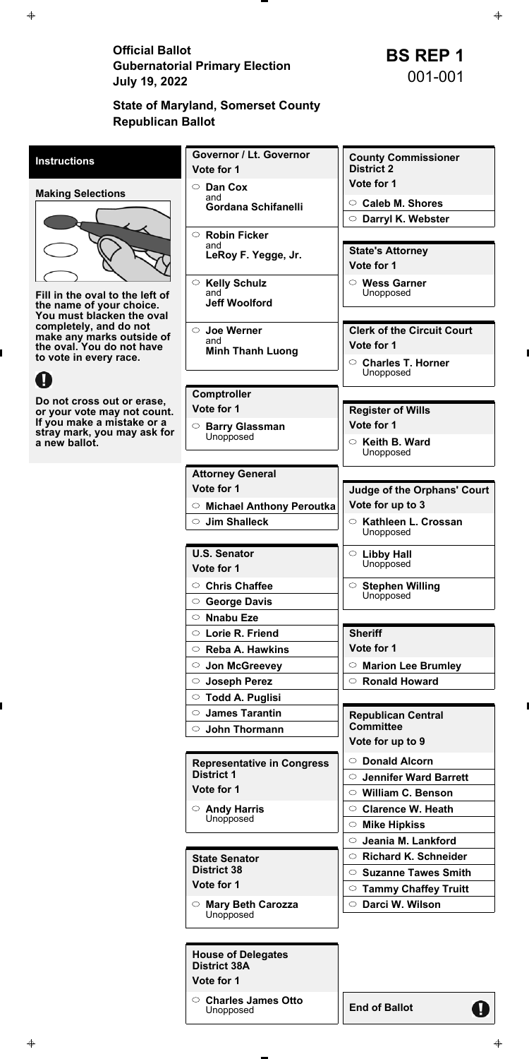Official Ballot<br>
Gubernatorial Primary Election<br>
July 19. 2022<br> **BS REP 1**<br>
001-001 **July 19, 2022** 

# **State of Maryland, Somerset County Republican Ballot**

| <b>House of Delegates</b><br><b>District 38A</b><br>Vote for 1 |                      |
|----------------------------------------------------------------|----------------------|
| $\circ$ Charles James Otto                                     | <b>End of Ballot</b> |
| Unopposed                                                      | Н                    |

| <b>Instructions</b>                                         | <b>Governor / Lt. Governor</b>                         | <b>County Commissioner</b>                          |
|-------------------------------------------------------------|--------------------------------------------------------|-----------------------------------------------------|
|                                                             | Vote for 1                                             | <b>District 2</b>                                   |
| <b>Making Selections</b>                                    | <b>Dan Cox</b><br>$\circ$                              | Vote for 1                                          |
|                                                             | and<br><b>Gordana Schifanelli</b>                      | <b>Caleb M. Shores</b><br>$\circ$                   |
|                                                             |                                                        | ○ Darryl K. Webster                                 |
|                                                             | $\circ$ Robin Ficker                                   |                                                     |
|                                                             | and<br>LeRoy F. Yegge, Jr.                             | <b>State's Attorney</b>                             |
|                                                             |                                                        | Vote for 1                                          |
|                                                             | $\circ$ Kelly Schulz                                   | $\circ$ Wess Garner                                 |
| Fill in the oval to the left of<br>the name of your choice. | and<br><b>Jeff Woolford</b>                            | Unopposed                                           |
| You must blacken the oval                                   |                                                        |                                                     |
| completely, and do not<br>make any marks outside of         | <b>Joe Werner</b><br>$\circ$                           | <b>Clerk of the Circuit Court</b>                   |
| the oval. You do not have                                   | and<br><b>Minh Thanh Luong</b>                         | Vote for 1                                          |
| to vote in every race.                                      |                                                        | ○ Charles T. Horner                                 |
|                                                             |                                                        | Unopposed                                           |
| Do not cross out or erase,                                  | <b>Comptroller</b>                                     |                                                     |
| or your vote may not count.                                 | Vote for 1                                             | <b>Register of Wills</b>                            |
| If you make a mistake or a<br>stray mark, you may ask for   | <b>Barry Glassman</b><br>$\circ$                       | Vote for 1                                          |
| a new ballot.                                               | Unopposed                                              | $\circ$ Keith B. Ward                               |
|                                                             |                                                        | Unopposed                                           |
|                                                             | <b>Attorney General</b>                                |                                                     |
|                                                             | Vote for 1                                             | <b>Judge of the Orphans' Court</b>                  |
|                                                             | $\circ$ Michael Anthony Peroutka                       | Vote for up to 3                                    |
|                                                             | $\circ$ Jim Shalleck                                   | Kathleen L. Crossan<br>Unopposed                    |
|                                                             |                                                        |                                                     |
|                                                             | <b>U.S. Senator</b>                                    | $\circ$ Libby Hall<br>Unopposed                     |
|                                                             | Vote for 1                                             |                                                     |
|                                                             | <b>Chris Chaffee</b><br>$\circ$                        | $\circ$ Stephen Willing<br>Unopposed                |
|                                                             | $\circ$ George Davis                                   |                                                     |
|                                                             | $\circ$ Nnabu Eze                                      |                                                     |
|                                                             | $\circ$ Lorie R. Friend                                | <b>Sheriff</b><br>Vote for 1                        |
|                                                             | $\circ$ Reba A. Hawkins                                |                                                     |
|                                                             | ○ Jon McGreevey                                        | $\circ$ Marion Lee Brumley                          |
|                                                             | ○ Joseph Perez                                         | $\circ$ Ronald Howard                               |
|                                                             | $\circ$ Todd A. Puglisi<br>$\circ$ James Tarantin      |                                                     |
|                                                             | $\circ$ John Thormann                                  | <b>Republican Central</b><br><b>Committee</b>       |
|                                                             |                                                        | Vote for up to 9                                    |
|                                                             |                                                        | ○ Donald Alcorn                                     |
|                                                             | <b>Representative in Congress</b><br><b>District 1</b> | <b>Jennifer Ward Barrett</b><br>$\circlearrowright$ |
|                                                             | Vote for 1                                             | $\circ$ William C. Benson                           |
|                                                             | $\circ$ Andy Harris                                    | $\circ$ Clarence W. Heath                           |
|                                                             | Unopposed                                              | $\circ$ Mike Hipkiss                                |
|                                                             |                                                        | Jeania M. Lankford<br>$\circ$                       |
|                                                             | <b>State Senator</b>                                   | $\circ$ Richard K. Schneider                        |
|                                                             | <b>District 38</b>                                     | $\circ$ Suzanne Tawes Smith                         |
|                                                             | Vote for 1                                             | $\circ$ Tammy Chaffey Truitt                        |
|                                                             | $\circ$ Mary Beth Carozza                              | ○ Darci W. Wilson                                   |
|                                                             | Unopposed                                              |                                                     |

 $\spadesuit$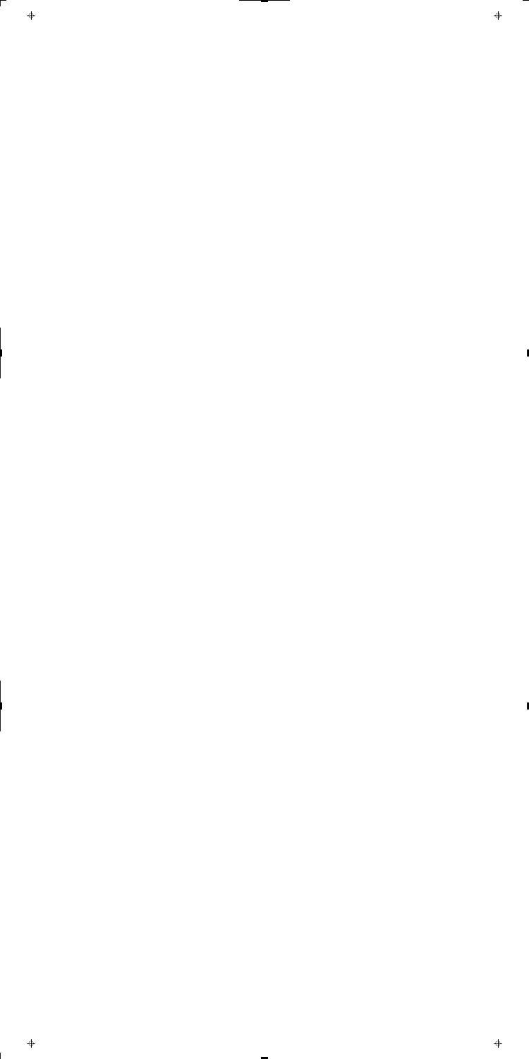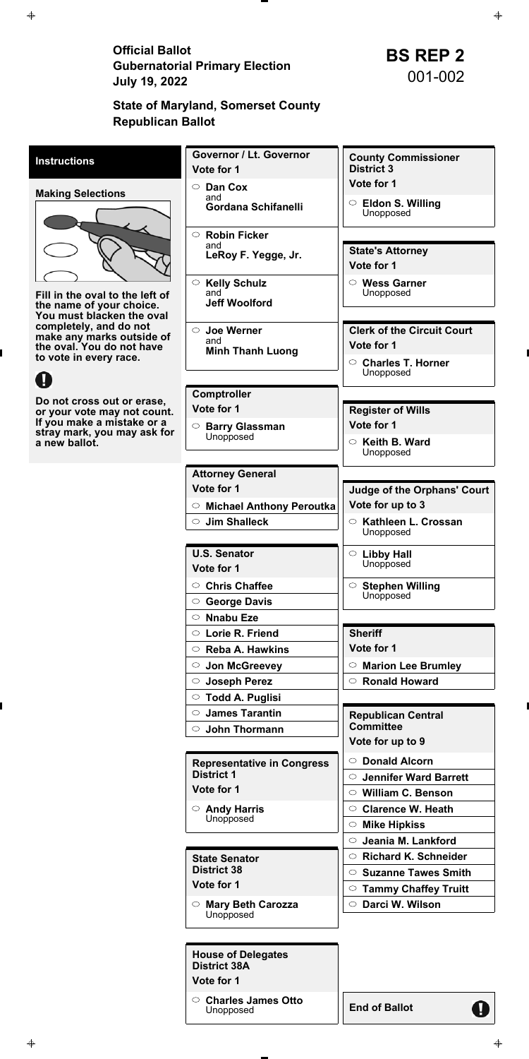Official Ballot<br>
Gubernatorial Primary Election<br>
July 19. 2022<br> **BS REP 2**<br>
001-002 **July 19, 2022** 

| <b>House of Delegates</b><br><b>District 38A</b><br>Vote for 1 |                      |
|----------------------------------------------------------------|----------------------|
| $\circ$ Charles James Otto                                     | <b>End of Ballot</b> |
| Unopposed                                                      | Н                    |

| <b>Instructions</b>                                                                      | Governor / Lt. Governor                                | <b>County Commissioner</b>               |
|------------------------------------------------------------------------------------------|--------------------------------------------------------|------------------------------------------|
|                                                                                          | Vote for 1                                             | <b>District 3</b>                        |
| <b>Making Selections</b>                                                                 | $\circ$ Dan Cox                                        | Vote for 1                               |
|                                                                                          | and<br><b>Gordana Schifanelli</b>                      | $\circ$ Eldon S. Willing<br>Unopposed    |
|                                                                                          | $\circ$ Robin Ficker                                   |                                          |
|                                                                                          | and<br>LeRoy F. Yegge, Jr.                             | <b>State's Attorney</b><br>Vote for 1    |
|                                                                                          | ○ Kelly Schulz                                         | $\circ$ Wess Garner                      |
| Fill in the oval to the left of<br>the name of your choice.<br>You must blacken the oval | and<br><b>Jeff Woolford</b>                            | Unopposed                                |
| completely, and do not                                                                   | ○ Joe Werner                                           | <b>Clerk of the Circuit Court</b>        |
| make any marks outside of<br>the oval. You do not have                                   | and<br><b>Minh Thanh Luong</b>                         | Vote for 1                               |
| to vote in every race.                                                                   |                                                        | $\circ$ Charles T. Horner<br>Unopposed   |
|                                                                                          | <b>Comptroller</b>                                     |                                          |
| Do not cross out or erase,                                                               | Vote for 1                                             | <b>Register of Wills</b>                 |
| or your vote may not count.<br>If you make a mistake or a                                | <b>Barry Glassman</b><br>$\circ$                       | Vote for 1                               |
| stray mark, you may ask for<br>a new ballot.                                             | Unopposed                                              | $\circ$ Keith B. Ward                    |
|                                                                                          |                                                        | Unopposed                                |
|                                                                                          | <b>Attorney General</b>                                |                                          |
|                                                                                          | Vote for 1                                             | <b>Judge of the Orphans' Court</b>       |
|                                                                                          | $\circ$ Michael Anthony Peroutka                       | Vote for up to 3                         |
|                                                                                          | $\circ$ Jim Shalleck                                   | $\circ$ Kathleen L. Crossan<br>Unopposed |
|                                                                                          | <b>U.S. Senator</b>                                    | $\circ$ Libby Hall                       |
|                                                                                          | Vote for 1                                             | Unopposed                                |
|                                                                                          | $\circ$ Chris Chaffee                                  | ○ Stephen Willing                        |
|                                                                                          | $\circ$ George Davis                                   | Unopposed                                |
|                                                                                          | <b>Nnabu Eze</b><br>$\circ$                            |                                          |
|                                                                                          | $\circ$ Lorie R. Friend                                | <b>Sheriff</b>                           |
|                                                                                          | $\circ$ Reba A. Hawkins                                | Vote for 1                               |
|                                                                                          | ○ Jon McGreevey                                        | $\circ$ Marion Lee Brumley               |
|                                                                                          | ○ Joseph Perez                                         | $\circ$ Ronald Howard                    |
|                                                                                          | <b>Todd A. Puglisi</b>                                 |                                          |
|                                                                                          | $\circ$ James Tarantin                                 | <b>Republican Central</b>                |
|                                                                                          | $\circ$ John Thormann                                  | <b>Committee</b><br>Vote for up to 9     |
|                                                                                          |                                                        | ○ Donald Alcorn                          |
|                                                                                          | <b>Representative in Congress</b><br><b>District 1</b> | $\circ$ Jennifer Ward Barrett            |
|                                                                                          | Vote for 1                                             | $\circ$ William C. Benson                |
|                                                                                          | $\circ$ Andy Harris                                    | <b>Clarence W. Heath</b><br>$\circ$      |
|                                                                                          | Unopposed                                              | $\circ$ Mike Hipkiss                     |
|                                                                                          |                                                        | Jeania M. Lankford<br>$\circ$            |
|                                                                                          | <b>State Senator</b>                                   | $\circ$ Richard K. Schneider             |
|                                                                                          | <b>District 38</b>                                     | $\circ$ Suzanne Tawes Smith              |
|                                                                                          | Vote for 1                                             | $\circ$ Tammy Chaffey Truitt             |
|                                                                                          |                                                        | ○ Darci W. Wilson                        |
|                                                                                          | ○ Mary Beth Carozza<br>Unopposed                       |                                          |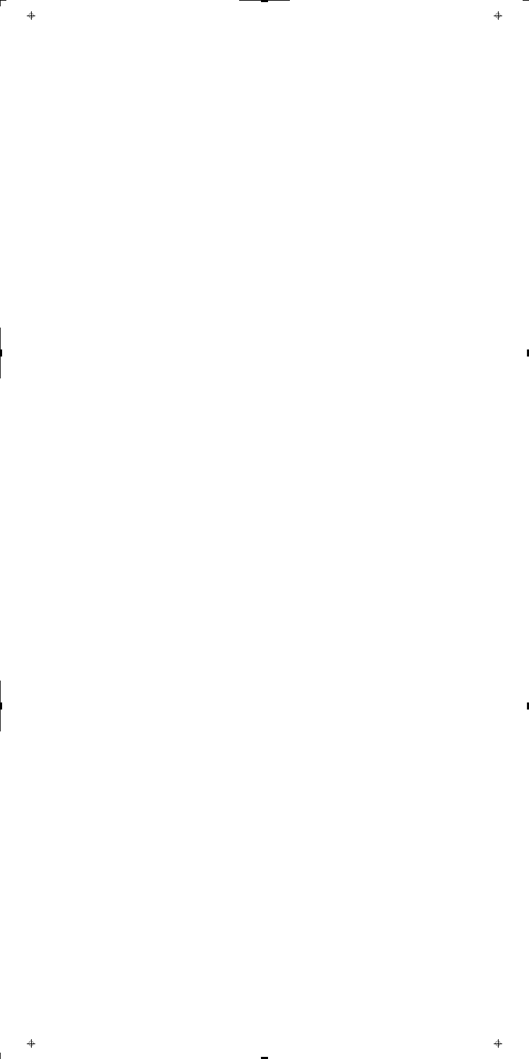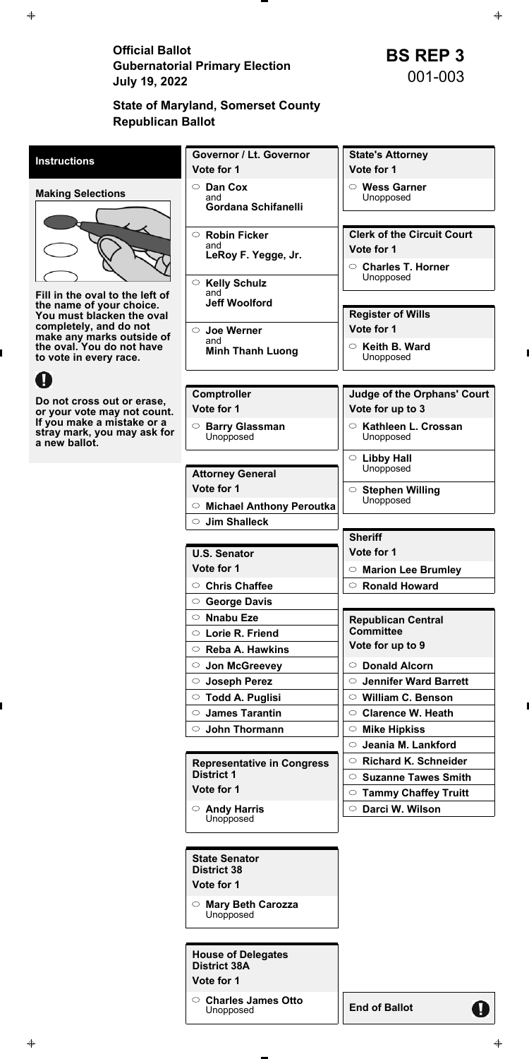Official Ballot<br>
Gubernatorial Primary Election<br>
July 19, 2022<br> **BS REP 3**<br>
001-003 **July 19, 2022** 

**State of Maryland, Somerset County Republican Ballot** 

> **Mary Beth Carozza Unopposed**

| <b>House of Delegates</b><br><b>District 38A</b><br>Vote for 1 |                      |
|----------------------------------------------------------------|----------------------|
| $\circ$ Charles James Otto<br>Unopposed                        | <b>End of Ballot</b> |

| <b>Instructions</b>                                         | <b>Governor / Lt. Governor</b>    | <b>State's Attorney</b>                 |
|-------------------------------------------------------------|-----------------------------------|-----------------------------------------|
|                                                             | Vote for 1                        | Vote for 1                              |
| <b>Making Selections</b>                                    | ○ Dan Cox<br>and                  | $\circ$ Wess Garner<br>Unopposed        |
|                                                             | <b>Gordana Schifanelli</b>        |                                         |
|                                                             |                                   |                                         |
|                                                             | $\circ$ Robin Ficker<br>and       | <b>Clerk of the Circuit Court</b>       |
|                                                             | LeRoy F. Yegge, Jr.               | Vote for 1                              |
|                                                             |                                   | $\circ$ Charles T. Horner<br>Unopposed  |
|                                                             | $\circ$ Kelly Schulz<br>and       |                                         |
| Fill in the oval to the left of<br>the name of your choice. | <b>Jeff Woolford</b>              |                                         |
| You must blacken the oval                                   |                                   | <b>Register of Wills</b>                |
| completely, and do not<br>make any marks outside of         | $\circ$ Joe Werner                | Vote for 1                              |
| the oval. You do not have                                   | and<br><b>Minh Thanh Luong</b>    | <b>Keith B. Ward</b><br>$\circ$         |
| to vote in every race.                                      |                                   | Unopposed                               |
| $\bf 0$                                                     |                                   |                                         |
| Do not cross out or erase,                                  | <b>Comptroller</b>                | <b>Judge of the Orphans' Court</b>      |
| or your vote may not count.                                 | Vote for 1                        | Vote for up to 3                        |
| If you make a mistake or a<br>stray mark, you may ask for   | ○ Barry Glassman                  | ○ Kathleen L. Crossan                   |
| a new ballot.                                               | Unopposed                         | Unopposed                               |
|                                                             |                                   | $\circ$ Libby Hall                      |
|                                                             | <b>Attorney General</b>           | Unopposed                               |
|                                                             | Vote for 1                        | $\circ$ Stephen Willing                 |
|                                                             | $\circ$ Michael Anthony Peroutka  | Unopposed                               |
|                                                             | $\circ$ Jim Shalleck              |                                         |
|                                                             |                                   | <b>Sheriff</b>                          |
|                                                             | <b>U.S. Senator</b>               | Vote for 1                              |
|                                                             | Vote for 1                        | <b>Marion Lee Brumley</b><br>$\circ$    |
|                                                             | $\circ$ Chris Chaffee             | <b>Ronald Howard</b><br>$\circ$         |
|                                                             | ○ George Davis                    |                                         |
|                                                             | $\circ$ Nnabu Eze                 | <b>Republican Central</b>               |
|                                                             | $\circ$ Lorie R. Friend           | <b>Committee</b>                        |
|                                                             | $\circ$ Reba A. Hawkins           | Vote for up to 9                        |
|                                                             | <b>Jon McGreevey</b>              | <b>Donald Alcorn</b><br>$\circ$         |
|                                                             | $\circ$ Joseph Perez              | <b>Jennifer Ward Barrett</b><br>$\circ$ |
|                                                             | $\circ$ Todd A. Puglisi           | $\circ$ William C. Benson               |
|                                                             | $\circ$ James Tarantin            | $\circ$ Clarence W. Heath               |
|                                                             | $\circ$ John Thormann             | $\circ$ Mike Hipkiss                    |
|                                                             |                                   | Jeania M. Lankford<br>$\circ$           |
|                                                             | <b>Representative in Congress</b> | <b>Richard K. Schneider</b><br>$\circ$  |
|                                                             | <b>District 1</b>                 | $\circ$ Suzanne Tawes Smith             |

**Vote for 1** 

**Andy Harris** Unopposed

**State Senator District 38** 

**Vote for 1** 

**Tammy Chaffey Truitt** 

**Darci W. Wilson**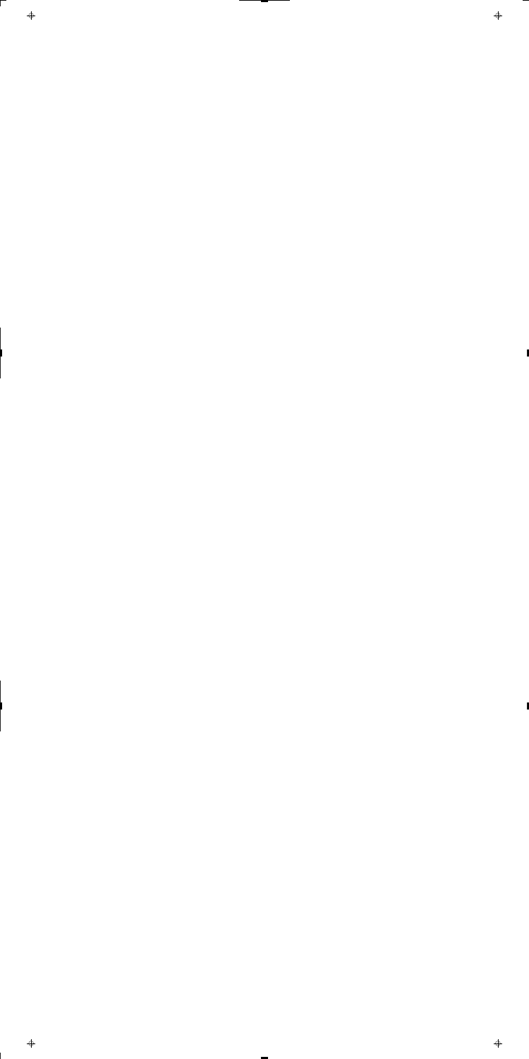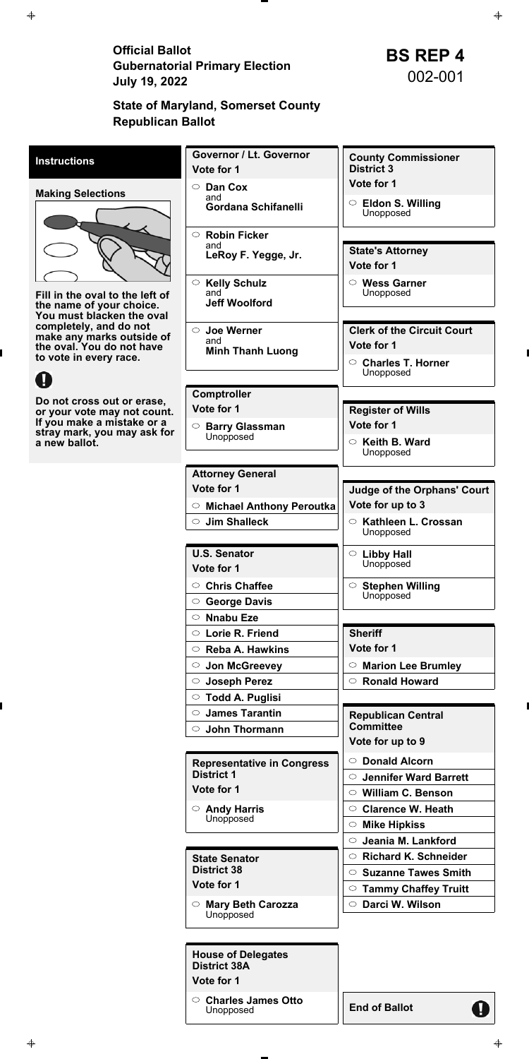Official Ballot<br>
Gubernatorial Primary Election<br>
July 19. 2022<br> **BS REP 4**<br>
002-001 **July 19, 2022** 

| <b>House of Delegates</b><br><b>District 38A</b><br>Vote for 1 |                      |
|----------------------------------------------------------------|----------------------|
| $\circ$ Charles James Otto                                     | <b>End of Ballot</b> |
| Unopposed                                                      | Н                    |

| <b>Instructions</b>                                       | <b>Governor / Lt. Governor</b>          | <b>County Commissioner</b>              |
|-----------------------------------------------------------|-----------------------------------------|-----------------------------------------|
|                                                           | Vote for 1                              | <b>District 3</b>                       |
| <b>Making Selections</b>                                  | ○ Dan Cox                               | Vote for 1                              |
|                                                           | and<br><b>Gordana Schifanelli</b>       | $\circ$ Eldon S. Willing                |
|                                                           |                                         | Unopposed                               |
|                                                           | $\circ$ Robin Ficker                    |                                         |
|                                                           | and<br>LeRoy F. Yegge, Jr.              | <b>State's Attorney</b>                 |
|                                                           |                                         | Vote for 1                              |
|                                                           | $\circ$ Kelly Schulz                    | $\circ$ Wess Garner                     |
| Fill in the oval to the left of                           | and<br><b>Jeff Woolford</b>             | Unopposed                               |
| the name of your choice.<br>You must blacken the oval     |                                         |                                         |
| completely, and do not                                    | <b>Joe Werner</b><br>$\circ$            | <b>Clerk of the Circuit Court</b>       |
| make any marks outside of<br>the oval. You do not have    | and<br><b>Minh Thanh Luong</b>          | Vote for 1                              |
| to vote in every race.                                    |                                         | ○ Charles T. Horner                     |
|                                                           |                                         | Unopposed                               |
|                                                           | Comptroller                             |                                         |
| Do not cross out or erase,<br>or your vote may not count. | Vote for 1                              | <b>Register of Wills</b>                |
| If you make a mistake or a                                | ○ Barry Glassman                        | Vote for 1                              |
| stray mark, you may ask for<br>a new ballot.              | Unopposed                               | $\circ$ Keith B. Ward                   |
|                                                           |                                         | Unopposed                               |
|                                                           | <b>Attorney General</b>                 |                                         |
|                                                           | Vote for 1                              | <b>Judge of the Orphans' Court</b>      |
|                                                           | $\circ$ Michael Anthony Peroutka        | Vote for up to 3                        |
|                                                           | <b>Jim Shalleck</b>                     | $\circ$<br>Kathleen L. Crossan          |
|                                                           |                                         | Unopposed                               |
|                                                           | <b>U.S. Senator</b>                     | $\circ$ Libby Hall                      |
|                                                           | Vote for 1                              | Unopposed                               |
|                                                           | $\circ$ Chris Chaffee                   | $\circ$ Stephen Willing                 |
|                                                           | ○ George Davis                          | Unopposed                               |
|                                                           | $\circ$ Nnabu Eze                       |                                         |
|                                                           | C Lorie R. Friend                       | <b>Sheriff</b>                          |
|                                                           | $\circ$ Reba A. Hawkins                 | Vote for 1                              |
|                                                           | $\circ$ Jon McGreevey                   | <b>Marion Lee Brumley</b><br>$\circ$    |
|                                                           | ○ Joseph Perez                          | $\circ$ Ronald Howard                   |
|                                                           | $\circ$ Todd A. Puglisi                 |                                         |
|                                                           | $\circ$ James Tarantin                  | <b>Republican Central</b>               |
|                                                           | $\circ$ John Thormann                   | <b>Committee</b>                        |
|                                                           |                                         | Vote for up to 9                        |
|                                                           | <b>Representative in Congress</b>       | ○ Donald Alcorn                         |
|                                                           | <b>District 1</b>                       | <b>Jennifer Ward Barrett</b><br>$\circ$ |
|                                                           | Vote for 1                              | $\circ$ William C. Benson               |
|                                                           | $\circ$ Andy Harris                     | $\circ$ Clarence W. Heath               |
|                                                           | Unopposed                               | $\circ$ Mike Hipkiss                    |
|                                                           |                                         | $\circ$ Jeania M. Lankford              |
|                                                           | <b>State Senator</b>                    | $\circ$ Richard K. Schneider            |
|                                                           | <b>District 38</b>                      | $\circ$ Suzanne Tawes Smith             |
|                                                           | Vote for 1                              | <b>Tammy Chaffey Truitt</b><br>$\circ$  |
|                                                           | ○ <b>Mary Beth Carozza</b><br>Unopposed | ○ Darci W. Wilson                       |
|                                                           |                                         |                                         |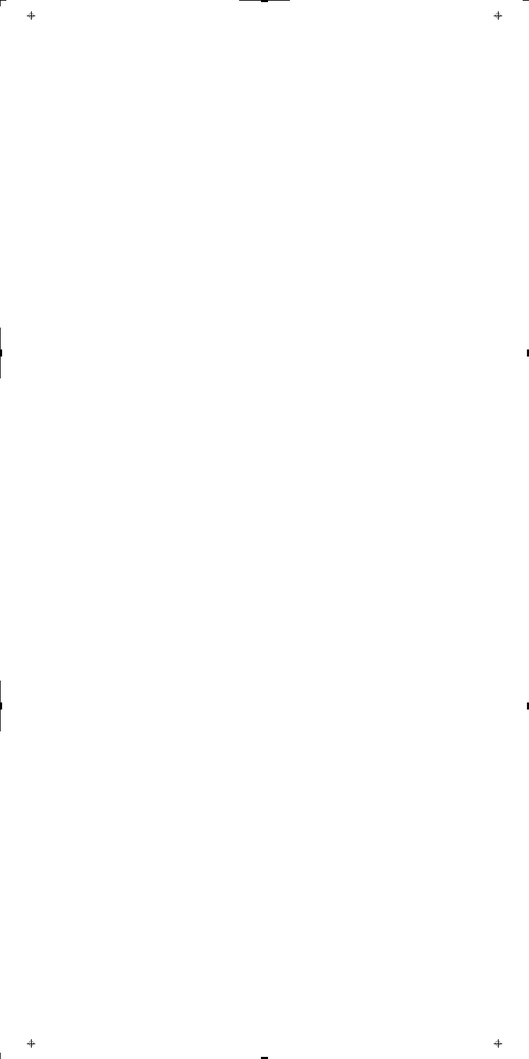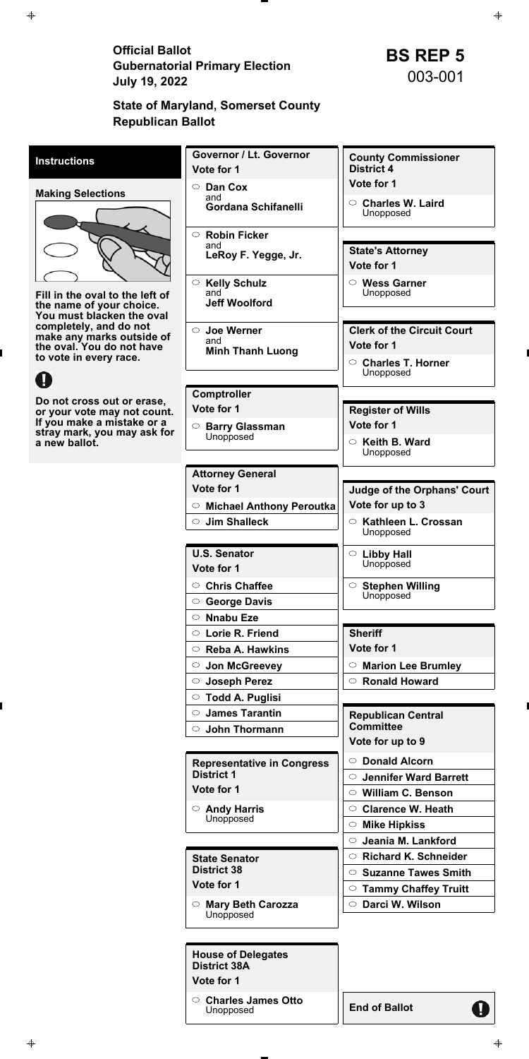Official Ballot<br>
Gubernatorial Primary Election<br>
July 19. 2022<br> **BS REP 5**<br>
003-001 **July 19, 2022** 

| <b>House of Delegates</b><br><b>District 38A</b><br>Vote for 1 |                      |
|----------------------------------------------------------------|----------------------|
| $\circ$ Charles James Otto                                     | <b>End of Ballot</b> |
| Unopposed                                                      | Н                    |

| <b>Instructions</b>                                         | <b>Governor / Lt. Governor</b>                | <b>County Commissioner</b>         |
|-------------------------------------------------------------|-----------------------------------------------|------------------------------------|
|                                                             | Vote for 1                                    | <b>District 4</b>                  |
| <b>Making Selections</b>                                    | $\circ$ Dan Cox                               | Vote for 1                         |
|                                                             | and<br><b>Gordana Schifanelli</b>             | $\circ$ Charles W. Laird           |
|                                                             |                                               | Unopposed                          |
|                                                             | $\circ$ Robin Ficker                          |                                    |
|                                                             | and<br>LeRoy F. Yegge, Jr.                    | <b>State's Attorney</b>            |
|                                                             |                                               | Vote for 1                         |
|                                                             | ○ Kelly Schulz                                | $\circ$ Wess Garner                |
| Fill in the oval to the left of<br>the name of your choice. | and<br><b>Jeff Woolford</b>                   | Unopposed                          |
| You must blacken the oval                                   |                                               |                                    |
| completely, and do not<br>make any marks outside of         | ○ Joe Werner                                  | <b>Clerk of the Circuit Court</b>  |
| the oval. You do not have                                   | and<br><b>Minh Thanh Luong</b>                | Vote for 1                         |
| to vote in every race.                                      |                                               | ○ Charles T. Horner                |
|                                                             |                                               | Unopposed                          |
| Do not cross out or erase,                                  | Comptroller                                   |                                    |
| or your vote may not count.                                 | Vote for 1                                    | <b>Register of Wills</b>           |
| If you make a mistake or a<br>stray mark, you may ask for   | <b>Barry Glassman</b><br>$\circ$<br>Unopposed | Vote for 1                         |
| a new ballot.                                               |                                               | $\circ$ Keith B. Ward<br>Unopposed |
|                                                             |                                               |                                    |
|                                                             | <b>Attorney General</b>                       |                                    |
|                                                             | Vote for 1                                    | <b>Judge of the Orphans' Court</b> |
|                                                             | $\circ$ Michael Anthony Peroutka              | Vote for up to 3                   |
|                                                             | <b>Jim Shalleck</b><br>$\circ$                | ○ Kathleen L. Crossan<br>Unopposed |
|                                                             | <b>U.S. Senator</b>                           | $\circ$ Libby Hall                 |
|                                                             | Vote for 1                                    | Unopposed                          |
|                                                             | <b>Chris Chaffee</b><br>$\circ$               | $\circ$ Stephen Willing            |
|                                                             | $\circ$ George Davis                          | Unopposed                          |
|                                                             | <b>Nnabu Eze</b><br>$\circ$                   |                                    |
|                                                             | $\circ$ Lorie R. Friend                       | <b>Sheriff</b>                     |
|                                                             | $\circ$ Reba A. Hawkins                       | Vote for 1                         |
|                                                             | ○ Jon McGreevey                               | $\circ$ Marion Lee Brumley         |
|                                                             | ○ Joseph Perez                                | $\circ$ Ronald Howard              |
|                                                             | <b>Todd A. Puglisi</b>                        |                                    |
|                                                             | $\circ$ James Tarantin                        | <b>Republican Central</b>          |
|                                                             | <b>John Thormann</b><br>$\circ$               | <b>Committee</b>                   |
|                                                             |                                               | Vote for up to 9                   |
|                                                             | <b>Representative in Congress</b>             | ○ Donald Alcorn                    |
|                                                             | <b>District 1</b>                             | $\circ$ Jennifer Ward Barrett      |
|                                                             | Vote for 1                                    | $\circ$ William C. Benson          |
|                                                             | $\circ$ Andy Harris                           | $\circ$ Clarence W. Heath          |
|                                                             | Unopposed                                     | $\circ$ Mike Hipkiss               |
|                                                             |                                               | Jeania M. Lankford<br>$\circ$      |
|                                                             | <b>State Senator</b>                          | $\circ$ Richard K. Schneider       |
|                                                             | <b>District 38</b>                            | $\circ$ Suzanne Tawes Smith        |
|                                                             | Vote for 1                                    | $\circ$ Tammy Chaffey Truitt       |
|                                                             | $\circ$ Mary Beth Carozza                     | ○ Darci W. Wilson                  |
|                                                             | Unopposed                                     |                                    |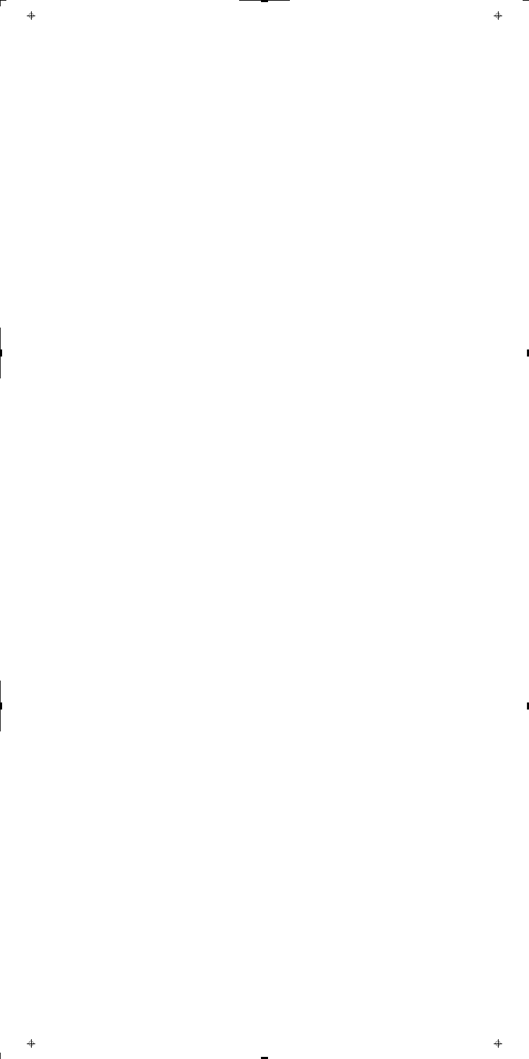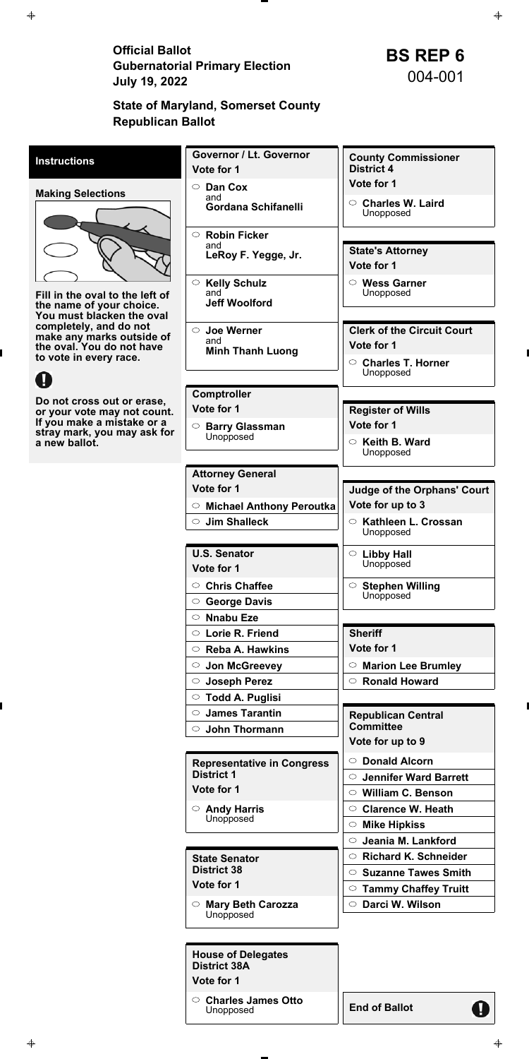Official Ballot<br>
Gubernatorial Primary Election<br>
July 19. 2022<br> **BS REP 6**<br>
004-001 **July 19, 2022** 

| <b>House of Delegates</b><br><b>District 38A</b><br>Vote for 1 |                      |
|----------------------------------------------------------------|----------------------|
| $\circ$ Charles James Otto                                     | <b>End of Ballot</b> |
| Unopposed                                                      | Н                    |

| <b>Instructions</b>                                         | Governor / Lt. Governor                                | <b>County Commissioner</b>                                 |
|-------------------------------------------------------------|--------------------------------------------------------|------------------------------------------------------------|
|                                                             | Vote for 1                                             | <b>District 4</b>                                          |
| <b>Making Selections</b>                                    | Dan Cox<br>$\circ$                                     | Vote for 1                                                 |
|                                                             | and<br><b>Gordana Schifanelli</b>                      | <b>Charles W. Laird</b><br>$\circ$                         |
|                                                             |                                                        | Unopposed                                                  |
|                                                             | <b>Robin Ficker</b><br>$\circ$                         |                                                            |
|                                                             | and<br>LeRoy F. Yegge, Jr.                             | <b>State's Attorney</b>                                    |
|                                                             |                                                        | Vote for 1                                                 |
|                                                             | <b>Kelly Schulz</b><br>$\circ$<br>and                  | $\circ$ Wess Garner<br>Unopposed                           |
| Fill in the oval to the left of<br>the name of your choice. | <b>Jeff Woolford</b>                                   |                                                            |
| You must blacken the oval<br>completely, and do not         |                                                        |                                                            |
| make any marks outside of                                   | ○ Joe Werner<br>and                                    | <b>Clerk of the Circuit Court</b>                          |
| the oval. You do not have<br>to vote in every race.         | <b>Minh Thanh Luong</b>                                | Vote for 1                                                 |
|                                                             |                                                        | <b>Charles T. Horner</b><br>$\circ$<br>Unopposed           |
|                                                             |                                                        |                                                            |
| Do not cross out or erase,                                  | <b>Comptroller</b>                                     |                                                            |
| or your vote may not count.<br>If you make a mistake or a   | Vote for 1                                             | <b>Register of Wills</b>                                   |
| stray mark, you may ask for                                 | <b>Barry Glassman</b><br>$\circ$<br>Unopposed          | Vote for 1                                                 |
| a new ballot.                                               |                                                        | $\circ$ Keith B. Ward<br>Unopposed                         |
|                                                             | <b>Attorney General</b>                                |                                                            |
|                                                             | Vote for 1                                             | <b>Judge of the Orphans' Court</b>                         |
|                                                             | $\circ$ Michael Anthony Peroutka                       | Vote for up to 3                                           |
|                                                             | <b>Jim Shalleck</b><br>$\circ$                         | $\circ$ Kathleen L. Crossan                                |
|                                                             |                                                        | Unopposed                                                  |
|                                                             | <b>U.S. Senator</b>                                    | $\circ$ Libby Hall                                         |
|                                                             | Vote for 1                                             | Unopposed                                                  |
|                                                             | <b>Chris Chaffee</b><br>$\circ$                        | ○ Stephen Willing                                          |
|                                                             | <b>George Davis</b><br>$\circ$                         | Unopposed                                                  |
|                                                             | $\circ$ Nnabu Eze                                      |                                                            |
|                                                             | $\circ$ Lorie R. Friend                                | <b>Sheriff</b>                                             |
|                                                             | $\circ$ Reba A. Hawkins                                | Vote for 1                                                 |
|                                                             | $\circ$ Jon McGreevey                                  | <b>Marion Lee Brumley</b><br>$\circ$                       |
|                                                             | ○ Joseph Perez                                         | $\circ$ Ronald Howard                                      |
|                                                             | <b>Todd A. Puglisi</b><br>$\circ$                      |                                                            |
|                                                             | <b>James Tarantin</b><br>$\circ$                       | <b>Republican Central</b>                                  |
|                                                             | <b>John Thormann</b><br>$\circ$                        | <b>Committee</b><br>Vote for up to 9                       |
|                                                             |                                                        |                                                            |
|                                                             | <b>Representative in Congress</b><br><b>District 1</b> | <b>Donald Alcorn</b><br>$\circ$                            |
|                                                             | Vote for 1                                             | $\circ$ Jennifer Ward Barrett<br>$\circ$ William C. Benson |
|                                                             | $\circ$ Andy Harris                                    | <b>Clarence W. Heath</b><br>$\circ$                        |
|                                                             | Unopposed                                              | <b>Mike Hipkiss</b><br>$\circ$                             |
|                                                             |                                                        | Jeania M. Lankford<br>$\circ$                              |
|                                                             |                                                        | $\circ$ Richard K. Schneider                               |
|                                                             | <b>State Senator</b><br><b>District 38</b>             | $\circ$ Suzanne Tawes Smith                                |
|                                                             | Vote for 1                                             | $\circ$ Tammy Chaffey Truitt                               |
|                                                             |                                                        | $\circ$ Darci W. Wilson                                    |
|                                                             | ○ Mary Beth Carozza<br>Unopposed                       |                                                            |
|                                                             |                                                        |                                                            |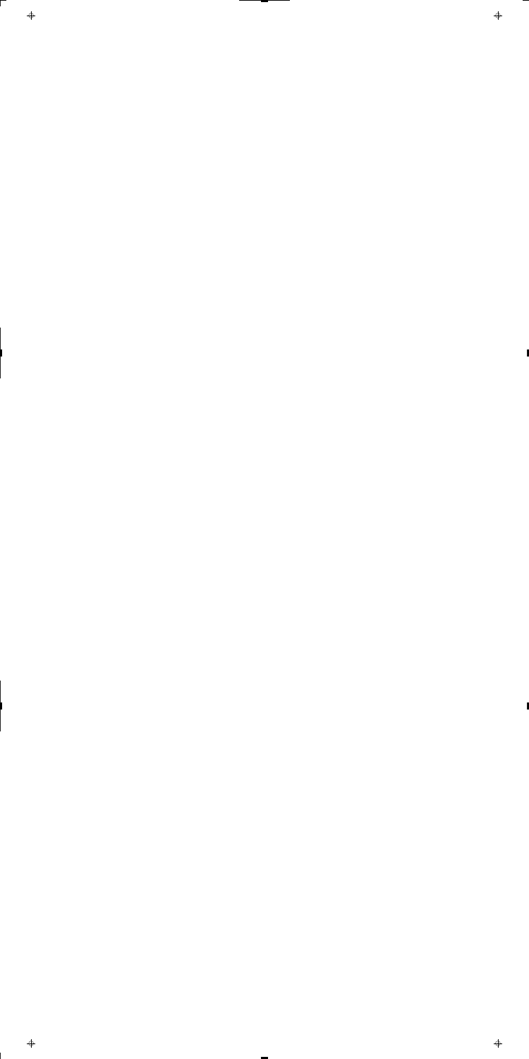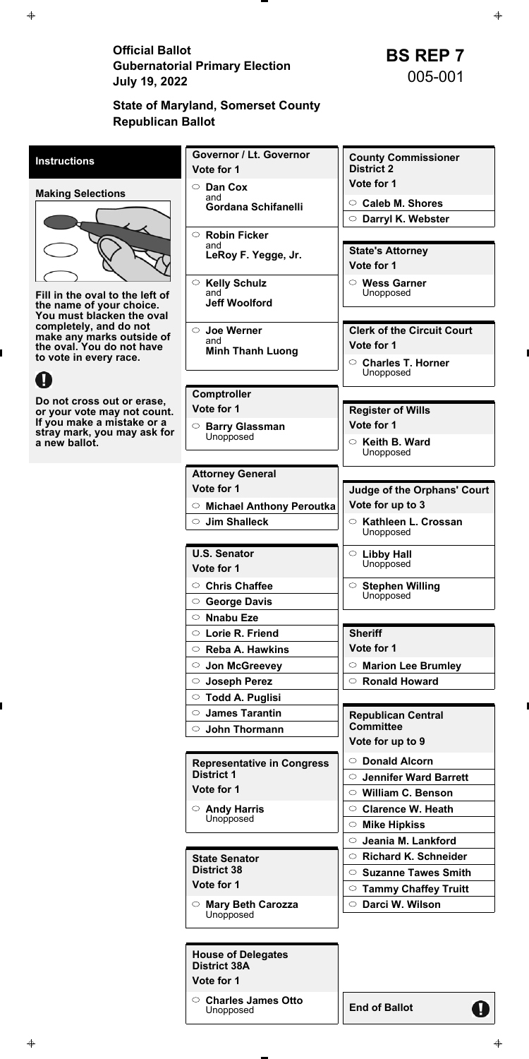Official Ballot<br>
Gubernatorial Primary Election<br>
July 19. 2022<br> **BS REP 7**<br>
005-001 **July 19, 2022** 

| <b>House of Delegates</b><br><b>District 38A</b><br>Vote for 1 |                      |
|----------------------------------------------------------------|----------------------|
| $\circ$ Charles James Otto                                     | <b>End of Ballot</b> |
| Unopposed                                                      | Н                    |

| <b>Instructions</b>                                       | <b>Governor / Lt. Governor</b>    | <b>County Commissioner</b>              |
|-----------------------------------------------------------|-----------------------------------|-----------------------------------------|
|                                                           | Vote for 1                        | <b>District 2</b>                       |
| <b>Making Selections</b>                                  | Dan Cox<br>$\circ$                | Vote for 1                              |
|                                                           | and<br><b>Gordana Schifanelli</b> | ○ Caleb M. Shores                       |
|                                                           |                                   | ○ Darryl K. Webster                     |
|                                                           | $\circ$ Robin Ficker              |                                         |
|                                                           | and<br>LeRoy F. Yegge, Jr.        | <b>State's Attorney</b>                 |
|                                                           |                                   | Vote for 1                              |
|                                                           | $\circ$ Kelly Schulz              | $\circ$ Wess Garner                     |
| Fill in the oval to the left of                           | and<br><b>Jeff Woolford</b>       | Unopposed                               |
| the name of your choice.<br>You must blacken the oval     |                                   |                                         |
| completely, and do not                                    | $\circ$ Joe Werner                | <b>Clerk of the Circuit Court</b>       |
| make any marks outside of<br>the oval. You do not have    | and<br><b>Minh Thanh Luong</b>    | Vote for 1                              |
| to vote in every race.                                    |                                   | ○ Charles T. Horner                     |
|                                                           |                                   | Unopposed                               |
|                                                           | <b>Comptroller</b>                |                                         |
| Do not cross out or erase,<br>or your vote may not count. | Vote for 1                        | <b>Register of Wills</b>                |
| If you make a mistake or a                                | ○ Barry Glassman                  | Vote for 1                              |
| stray mark, you may ask for<br>a new ballot.              | Unopposed                         | Keith B. Ward<br>$\circ$                |
|                                                           |                                   | Unopposed                               |
|                                                           | <b>Attorney General</b>           |                                         |
|                                                           | Vote for 1                        | <b>Judge of the Orphans' Court</b>      |
|                                                           | $\circ$ Michael Anthony Peroutka  | Vote for up to 3                        |
|                                                           | $\circ$ Jim Shalleck              | ○ Kathleen L. Crossan                   |
|                                                           |                                   | Unopposed                               |
|                                                           | <b>U.S. Senator</b>               | $\circ$ Libby Hall                      |
|                                                           | Vote for 1                        | Unopposed                               |
|                                                           | <b>Chris Chaffee</b><br>$\circ$   | $\circ$ Stephen Willing                 |
|                                                           | $\circ$ George Davis              | Unopposed                               |
|                                                           | $\circ$ Nnabu Eze                 |                                         |
|                                                           | $\circ$ Lorie R. Friend           | <b>Sheriff</b>                          |
|                                                           | $\circ$ Reba A. Hawkins           | Vote for 1                              |
|                                                           | ○ Jon McGreevey                   | $\circ$ Marion Lee Brumley              |
|                                                           | ○ Joseph Perez                    | $\circ$ Ronald Howard                   |
|                                                           | $\circ$ Todd A. Puglisi           |                                         |
|                                                           | $\circ$ James Tarantin            | <b>Republican Central</b>               |
|                                                           | $\circ$ John Thormann             | <b>Committee</b>                        |
|                                                           |                                   | Vote for up to 9                        |
|                                                           | <b>Representative in Congress</b> | $\circ$ Donald Alcorn                   |
|                                                           | <b>District 1</b>                 | <b>Jennifer Ward Barrett</b><br>$\circ$ |
|                                                           | Vote for 1                        | $\circ$ William C. Benson               |
|                                                           | $\circ$ Andy Harris               | $\circ$ Clarence W. Heath               |
|                                                           | Unopposed                         | $\circ$ Mike Hipkiss                    |
|                                                           |                                   | Jeania M. Lankford<br>$\circ$           |
|                                                           | <b>State Senator</b>              | $\circ$ Richard K. Schneider            |
|                                                           | <b>District 38</b>                | $\circ$ Suzanne Tawes Smith             |
|                                                           | Vote for 1                        | $\circ$ Tammy Chaffey Truitt            |
|                                                           | $\circ$ Mary Beth Carozza         | ○ Darci W. Wilson                       |
|                                                           | Unopposed                         |                                         |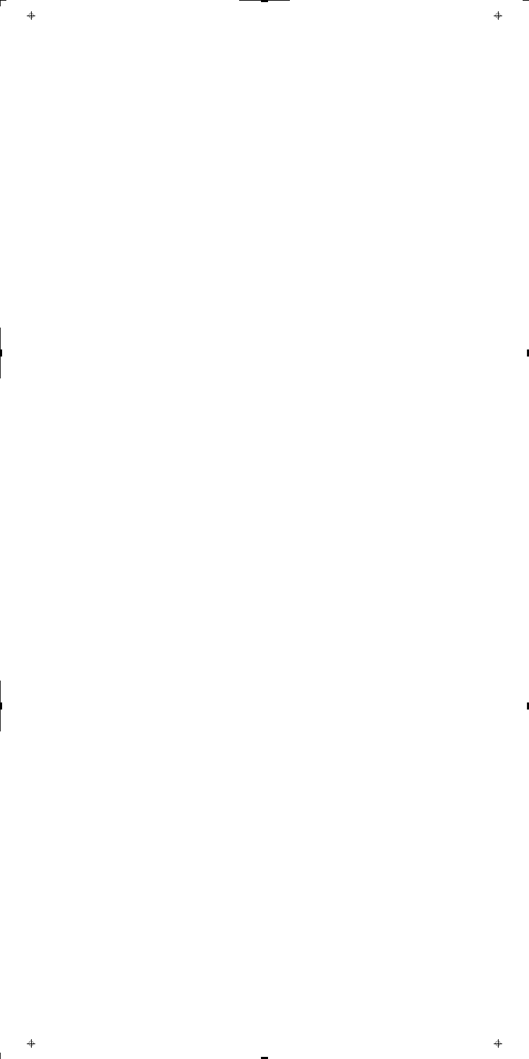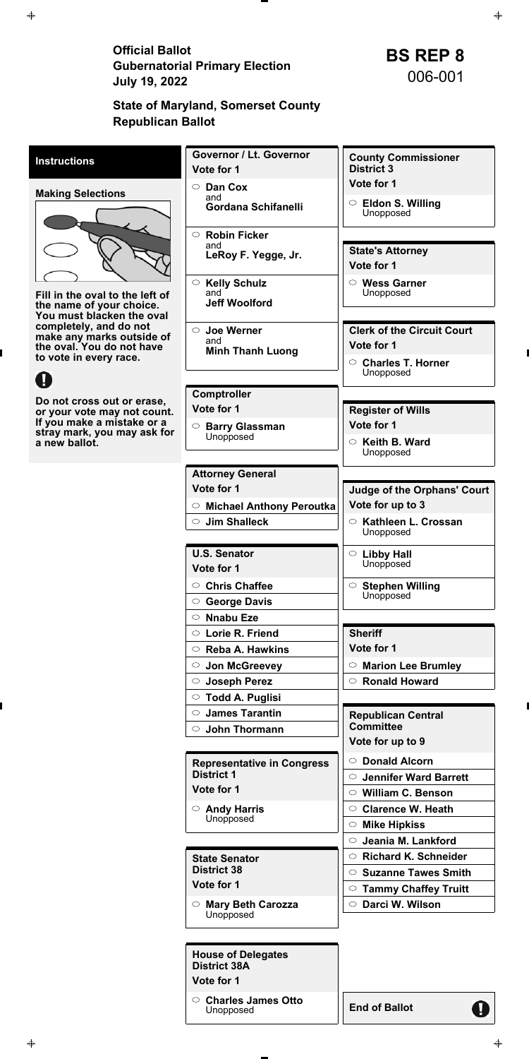Official Ballot<br>
Gubernatorial Primary Election<br>
July 19. 2022<br> **BS REP 8**<br>
006-001 **July 19, 2022** 

| <b>House of Delegates</b><br><b>District 38A</b><br>Vote for 1 |                      |
|----------------------------------------------------------------|----------------------|
| $\circ$ Charles James Otto                                     | <b>End of Ballot</b> |
| Unopposed                                                      | Н                    |

| <b>Instructions</b>                                       | <b>Governor / Lt. Governor</b>          | <b>County Commissioner</b>              |
|-----------------------------------------------------------|-----------------------------------------|-----------------------------------------|
|                                                           | Vote for 1                              | <b>District 3</b>                       |
| <b>Making Selections</b>                                  | $\circ$ Dan Cox                         | Vote for 1                              |
|                                                           | and<br><b>Gordana Schifanelli</b>       | $\circ$ Eldon S. Willing                |
|                                                           |                                         | Unopposed                               |
|                                                           | $\circ$ Robin Ficker                    |                                         |
|                                                           | and<br>LeRoy F. Yegge, Jr.              | <b>State's Attorney</b>                 |
|                                                           |                                         | Vote for 1                              |
|                                                           | $\circ$ Kelly Schulz                    | $\circ$ Wess Garner                     |
| Fill in the oval to the left of                           | and<br><b>Jeff Woolford</b>             | Unopposed                               |
| the name of your choice.<br>You must blacken the oval     |                                         |                                         |
| completely, and do not                                    | <b>Joe Werner</b><br>$\circ$            | <b>Clerk of the Circuit Court</b>       |
| make any marks outside of<br>the oval. You do not have    | and                                     | Vote for 1                              |
| to vote in every race.                                    | <b>Minh Thanh Luong</b>                 | ○ Charles T. Horner                     |
|                                                           |                                         | Unopposed                               |
|                                                           | Comptroller                             |                                         |
| Do not cross out or erase,<br>or your vote may not count. | Vote for 1                              | <b>Register of Wills</b>                |
| If you make a mistake or a                                | ○ Barry Glassman                        | Vote for 1                              |
| stray mark, you may ask for<br>a new ballot.              | Unopposed                               | $\circ$ Keith B. Ward                   |
|                                                           |                                         | Unopposed                               |
|                                                           | <b>Attorney General</b>                 |                                         |
|                                                           | Vote for 1                              | <b>Judge of the Orphans' Court</b>      |
|                                                           | $\circ$ Michael Anthony Peroutka        | Vote for up to 3                        |
|                                                           | <b>Jim Shalleck</b>                     | Kathleen L. Crossan                     |
|                                                           |                                         | Unopposed                               |
|                                                           | <b>U.S. Senator</b>                     | $\circ$ Libby Hall                      |
|                                                           | Vote for 1                              | Unopposed                               |
|                                                           | $\circ$ Chris Chaffee                   | $\circ$ Stephen Willing                 |
|                                                           | ○ George Davis                          | Unopposed                               |
|                                                           | $\circ$ Nnabu Eze                       |                                         |
|                                                           | C Lorie R. Friend                       | <b>Sheriff</b>                          |
|                                                           | $\circ$ Reba A. Hawkins                 | Vote for 1                              |
|                                                           | $\circ$ Jon McGreevey                   | <b>Marion Lee Brumley</b><br>$\circ$    |
|                                                           | ○ Joseph Perez                          | $\circ$ Ronald Howard                   |
|                                                           | ○ Todd A. Puglisi                       |                                         |
|                                                           | $\circ$ James Tarantin                  | <b>Republican Central</b>               |
|                                                           | $\circ$ John Thormann                   | <b>Committee</b>                        |
|                                                           |                                         | Vote for up to 9                        |
|                                                           | <b>Representative in Congress</b>       | ○ Donald Alcorn                         |
|                                                           | <b>District 1</b>                       | <b>Jennifer Ward Barrett</b><br>$\circ$ |
|                                                           | Vote for 1                              | $\circ$ William C. Benson               |
|                                                           | $\circ$ Andy Harris                     | $\circ$ Clarence W. Heath               |
|                                                           | Unopposed                               | $\circ$ Mike Hipkiss                    |
|                                                           |                                         | $\circ$ Jeania M. Lankford              |
|                                                           | <b>State Senator</b>                    | $\circ$ Richard K. Schneider            |
|                                                           | <b>District 38</b>                      | $\circ$ Suzanne Tawes Smith             |
|                                                           | Vote for 1                              | <b>Tammy Chaffey Truitt</b><br>$\circ$  |
|                                                           |                                         | $\circ$<br>Darci W. Wilson              |
|                                                           | ○ <b>Mary Beth Carozza</b><br>Unopposed |                                         |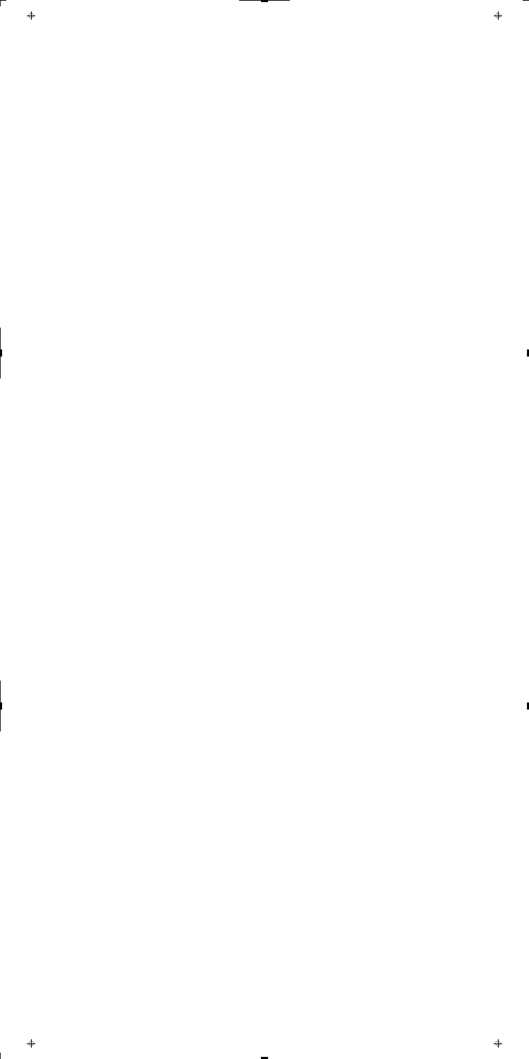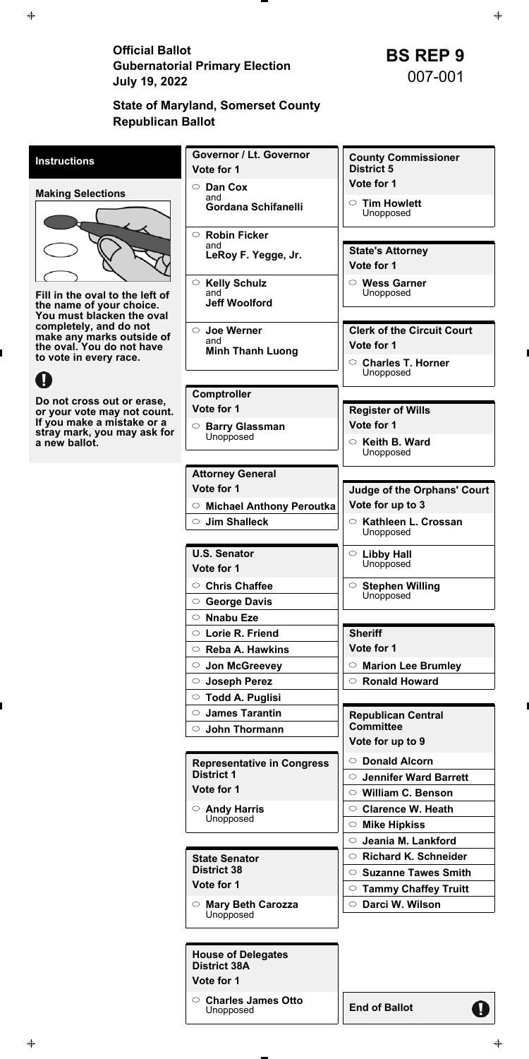Official Ballot<br>
Gubernatorial Primary Election<br>
July 19. 2022<br> **BS REP 9**<br>
007-001 **July 19, 2022** 

| <b>House of Delegates</b><br><b>District 38A</b><br>Vote for 1 |                      |
|----------------------------------------------------------------|----------------------|
| $\circ$ Charles James Otto                                     | <b>End of Ballot</b> |
| Unopposed                                                      | Н                    |

| <b>Instructions</b>                                       | Governor / Lt. Governor                 | <b>County Commissioner</b>              |
|-----------------------------------------------------------|-----------------------------------------|-----------------------------------------|
|                                                           | Vote for 1                              | <b>District 5</b>                       |
|                                                           | $\circ$ Dan Cox                         | Vote for 1                              |
| <b>Making Selections</b>                                  | and<br><b>Gordana Schifanelli</b>       | $\circ$ Tim Howlett                     |
|                                                           |                                         | Unopposed                               |
|                                                           | $\circ$ Robin Ficker                    |                                         |
|                                                           | and<br>LeRoy F. Yegge, Jr.              | <b>State's Attorney</b>                 |
|                                                           |                                         | Vote for 1                              |
|                                                           | ○ Kelly Schulz                          | $\circ$ Wess Garner                     |
| Fill in the oval to the left of                           | and<br><b>Jeff Woolford</b>             | Unopposed                               |
| the name of your choice.<br>You must blacken the oval     |                                         |                                         |
| completely, and do not                                    | $\circ$ Joe Werner                      | <b>Clerk of the Circuit Court</b>       |
| make any marks outside of<br>the oval. You do not have    | and<br><b>Minh Thanh Luong</b>          | Vote for 1                              |
| to vote in every race.                                    |                                         | ○ Charles T. Horner                     |
|                                                           |                                         | Unopposed                               |
|                                                           | Comptroller                             |                                         |
| Do not cross out or erase,<br>or your vote may not count. | Vote for 1                              | <b>Register of Wills</b>                |
| If you make a mistake or a                                | ○ Barry Glassman                        | Vote for 1                              |
| stray mark, you may ask for<br>a new ballot.              | Unopposed                               | $\circ$ Keith B. Ward                   |
|                                                           |                                         | Unopposed                               |
|                                                           | <b>Attorney General</b>                 |                                         |
|                                                           | Vote for 1                              | <b>Judge of the Orphans' Court</b>      |
|                                                           | $\circ$ Michael Anthony Peroutka        | Vote for up to 3                        |
|                                                           | <b>Jim Shalleck</b>                     | $\circ$<br>Kathleen L. Crossan          |
|                                                           |                                         | Unopposed                               |
|                                                           | <b>U.S. Senator</b>                     | $\circ$ Libby Hall                      |
|                                                           | Vote for 1                              | Unopposed                               |
|                                                           | $\circ$ Chris Chaffee                   | $\circ$ Stephen Willing                 |
|                                                           | ○ George Davis                          | Unopposed                               |
|                                                           | $\circ$ Nnabu Eze                       |                                         |
|                                                           | $\circ$ Lorie R. Friend                 | <b>Sheriff</b>                          |
|                                                           | $\circ$ Reba A. Hawkins                 | Vote for 1                              |
|                                                           | $\circ$ Jon McGreevey                   | <b>Marion Lee Brumley</b><br>$\circ$    |
|                                                           | ○ Joseph Perez                          | $\circ$ Ronald Howard                   |
|                                                           | ○ Todd A. Puglisi                       |                                         |
|                                                           | $\circ$ James Tarantin                  | <b>Republican Central</b>               |
|                                                           | $\circ$ John Thormann                   | <b>Committee</b>                        |
|                                                           |                                         | Vote for up to 9                        |
|                                                           | <b>Representative in Congress</b>       | ○ Donald Alcorn                         |
|                                                           | <b>District 1</b>                       | <b>Jennifer Ward Barrett</b><br>$\circ$ |
|                                                           | Vote for 1                              | $\circ$ William C. Benson               |
|                                                           | $\circ$ Andy Harris                     | $\circ$ Clarence W. Heath               |
|                                                           | Unopposed                               | $\circ$ Mike Hipkiss                    |
|                                                           |                                         | $\circ$ Jeania M. Lankford              |
|                                                           | <b>State Senator</b>                    | $\circ$ Richard K. Schneider            |
|                                                           |                                         |                                         |
|                                                           | <b>District 38</b>                      | $\circ$ Suzanne Tawes Smith             |
|                                                           | Vote for 1                              | <b>Tammy Chaffey Truitt</b><br>$\circ$  |
|                                                           | ○ <b>Mary Beth Carozza</b><br>Unopposed | ○ Darci W. Wilson                       |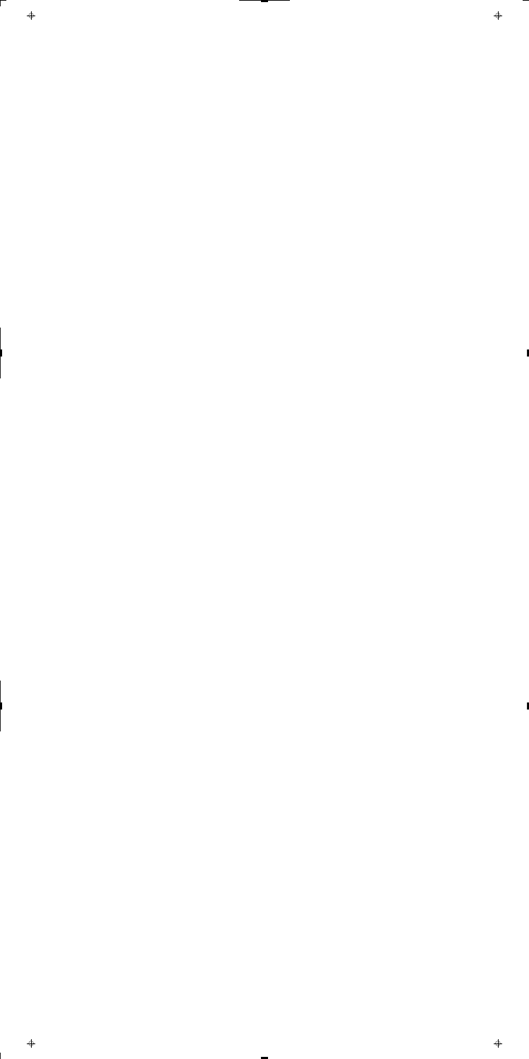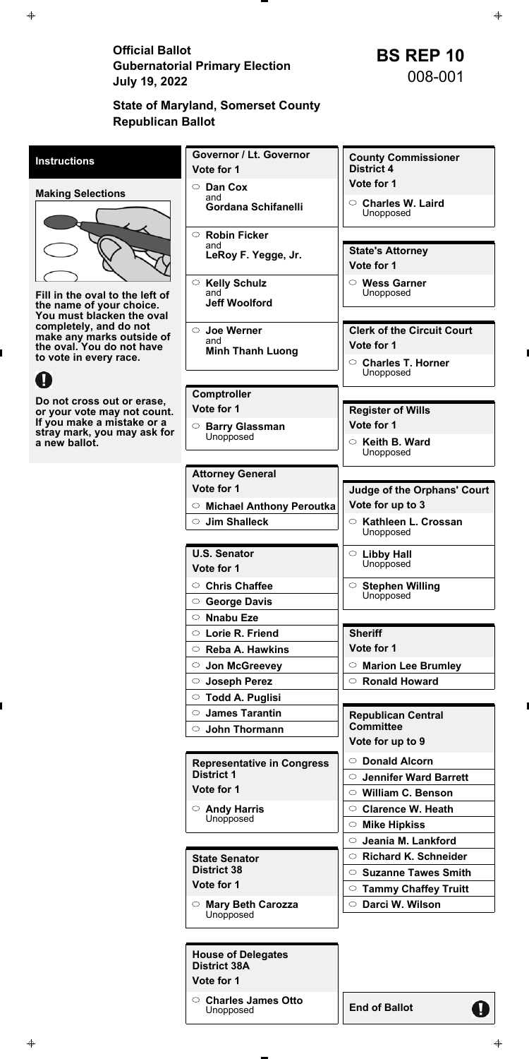Official Ballot<br>
Gubernatorial Primary Election<br>
July 19. 2022<br> **BS REP 10**<br>
008-001 **July 19, 2022** 

| <b>House of Delegates</b><br><b>District 38A</b><br>Vote for 1 |                      |
|----------------------------------------------------------------|----------------------|
| $\circ$ Charles James Otto                                     | <b>End of Ballot</b> |
| Unopposed                                                      | Н                    |

| <b>Instructions</b>                                       | Governor / Lt. Governor                    | <b>County Commissioner</b>              |
|-----------------------------------------------------------|--------------------------------------------|-----------------------------------------|
|                                                           | Vote for 1                                 | <b>District 4</b>                       |
| <b>Making Selections</b>                                  | ○ Dan Cox                                  | Vote for 1                              |
|                                                           | and<br><b>Gordana Schifanelli</b>          | $\circ$ Charles W. Laird                |
|                                                           |                                            | Unopposed                               |
|                                                           | ○ Robin Ficker                             |                                         |
|                                                           | and<br>LeRoy F. Yegge, Jr.                 | <b>State's Attorney</b>                 |
|                                                           |                                            | Vote for 1                              |
|                                                           | $\circ$ Kelly Schulz                       | $\circ$ Wess Garner                     |
| Fill in the oval to the left of                           | and<br><b>Jeff Woolford</b>                | Unopposed                               |
| the name of your choice.<br>You must blacken the oval     |                                            |                                         |
| completely, and do not                                    | <b>Joe Werner</b><br>$\circ$               | <b>Clerk of the Circuit Court</b>       |
| make any marks outside of<br>the oval. You do not have    | and<br><b>Minh Thanh Luong</b>             | Vote for 1                              |
| to vote in every race.                                    |                                            | ○ Charles T. Horner                     |
|                                                           |                                            | Unopposed                               |
|                                                           | <b>Comptroller</b>                         |                                         |
| Do not cross out or erase,<br>or your vote may not count. | Vote for 1                                 | <b>Register of Wills</b>                |
| If you make a mistake or a                                | ○ Barry Glassman                           | Vote for 1                              |
| stray mark, you may ask for<br>a new ballot.              | Unopposed                                  | $\circ$ Keith B. Ward                   |
|                                                           |                                            | Unopposed                               |
|                                                           | <b>Attorney General</b>                    |                                         |
|                                                           | Vote for 1                                 | <b>Judge of the Orphans' Court</b>      |
|                                                           | $\circ$ Michael Anthony Peroutka           | Vote for up to 3                        |
|                                                           | <b>Jim Shalleck</b>                        | $\circ$<br>Kathleen L. Crossan          |
|                                                           |                                            | Unopposed                               |
|                                                           | <b>U.S. Senator</b>                        | $\circ$ Libby Hall                      |
|                                                           | Vote for 1                                 | Unopposed                               |
|                                                           | <b>Chris Chaffee</b><br>$\circ$            | $\circ$ Stephen Willing                 |
|                                                           | ○ George Davis                             | Unopposed                               |
|                                                           | $\circ$ Nnabu Eze                          |                                         |
|                                                           | $\circ$ Lorie R. Friend                    | <b>Sheriff</b>                          |
|                                                           | $\circ$ Reba A. Hawkins                    | Vote for 1                              |
|                                                           | $\circ$ Jon McGreevey                      | <b>Marion Lee Brumley</b><br>$\circ$    |
|                                                           | ○ Joseph Perez                             | $\circ$ Ronald Howard                   |
|                                                           | $\circ$ Todd A. Puglisi                    |                                         |
|                                                           | $\circ$ James Tarantin                     | <b>Republican Central</b>               |
|                                                           | $\circ$ John Thormann                      | <b>Committee</b>                        |
|                                                           |                                            | Vote for up to 9                        |
|                                                           | <b>Representative in Congress</b>          | ○ Donald Alcorn                         |
|                                                           | <b>District 1</b>                          | <b>Jennifer Ward Barrett</b><br>$\circ$ |
|                                                           | Vote for 1                                 | $\circ$ William C. Benson               |
|                                                           | $\circ$ Andy Harris                        | $\circ$ Clarence W. Heath               |
|                                                           | Unopposed                                  |                                         |
|                                                           |                                            | $\circ$ Mike Hipkiss                    |
|                                                           |                                            | $\circ$ Jeania M. Lankford              |
|                                                           |                                            | $\circ$ Richard K. Schneider            |
|                                                           | <b>State Senator</b><br><b>District 38</b> | $\circ$ Suzanne Tawes Smith             |
|                                                           | Vote for 1                                 | <b>Tammy Chaffey Truitt</b><br>$\circ$  |
|                                                           | ○ <b>Mary Beth Carozza</b><br>Unopposed    | $\circ$<br>Darci W. Wilson              |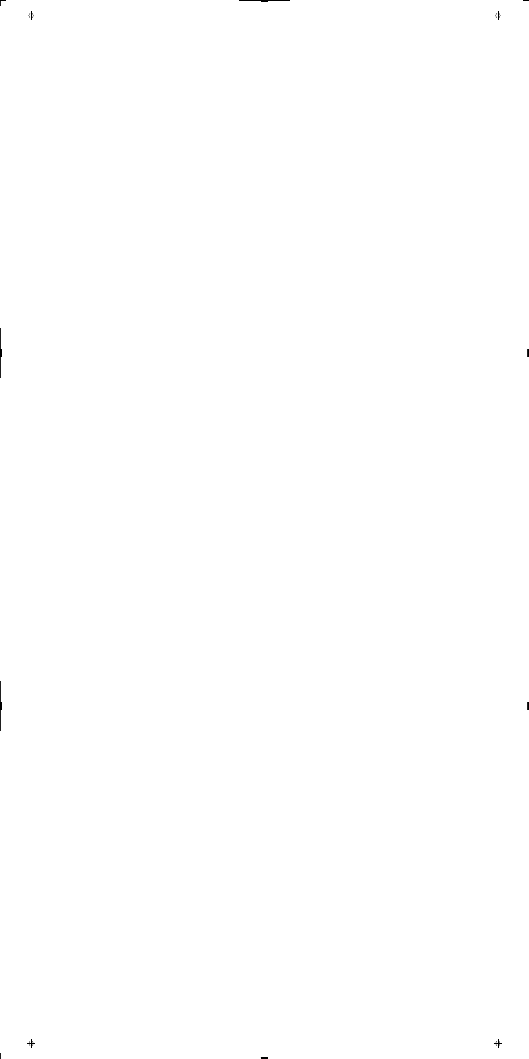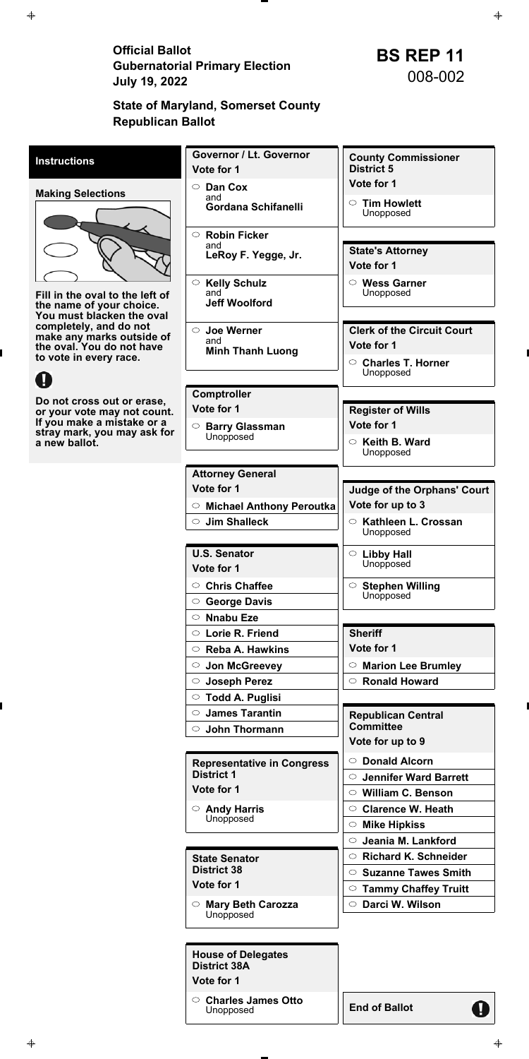Official Ballot<br>
Gubernatorial Primary Election<br>
July 19. 2022<br> **BS REP 11**<br>
008-002 **July 19, 2022** 

| <b>House of Delegates</b><br><b>District 38A</b><br>Vote for 1 |                      |
|----------------------------------------------------------------|----------------------|
| $\circ$ Charles James Otto                                     | <b>End of Ballot</b> |
| Unopposed                                                      | Н                    |

| <b>Instructions</b>                                       | Governor / Lt. Governor                                | <b>County Commissioner</b>                    |
|-----------------------------------------------------------|--------------------------------------------------------|-----------------------------------------------|
|                                                           | Vote for 1                                             | <b>District 5</b>                             |
| <b>Making Selections</b>                                  | $\circ$ Dan Cox                                        | Vote for 1                                    |
|                                                           | and<br><b>Gordana Schifanelli</b>                      | $\circ$ Tim Howlett                           |
|                                                           |                                                        | Unopposed                                     |
|                                                           | $\circ$ Robin Ficker                                   |                                               |
|                                                           | and<br>LeRoy F. Yegge, Jr.                             | <b>State's Attorney</b>                       |
|                                                           |                                                        | Vote for 1                                    |
|                                                           | $\circ$ Kelly Schulz                                   | $\circ$ Wess Garner                           |
| Fill in the oval to the left of                           | and<br><b>Jeff Woolford</b>                            | Unopposed                                     |
| the name of your choice.<br>You must blacken the oval     |                                                        |                                               |
| completely, and do not<br>make any marks outside of       | $\circ$ Joe Werner                                     | <b>Clerk of the Circuit Court</b>             |
| the oval. You do not have                                 | and<br><b>Minh Thanh Luong</b>                         | Vote for 1                                    |
| to vote in every race.                                    |                                                        | ○ Charles T. Horner                           |
|                                                           |                                                        | Unopposed                                     |
| Do not cross out or erase,                                | <b>Comptroller</b>                                     |                                               |
| or your vote may not count.                               | Vote for 1                                             | <b>Register of Wills</b>                      |
| If you make a mistake or a<br>stray mark, you may ask for | ○ Barry Glassman                                       | Vote for 1                                    |
| a new ballot.                                             | Unopposed                                              | $\circ$ Keith B. Ward                         |
|                                                           |                                                        | Unopposed                                     |
|                                                           | <b>Attorney General</b>                                |                                               |
|                                                           | Vote for 1                                             | <b>Judge of the Orphans' Court</b>            |
|                                                           | $\circ$ Michael Anthony Peroutka                       | Vote for up to 3                              |
|                                                           | <b>Jim Shalleck</b>                                    | $\circ$<br>Kathleen L. Crossan                |
|                                                           |                                                        | Unopposed                                     |
|                                                           | <b>U.S. Senator</b>                                    | $\circ$ Libby Hall<br>Unopposed               |
|                                                           | Vote for 1                                             |                                               |
|                                                           | $\circ$ Chris Chaffee                                  | Stephen Willing<br>Unopposed                  |
|                                                           | $\circ$ George Davis                                   |                                               |
|                                                           | $\circ$ Nnabu Eze                                      |                                               |
|                                                           | $\circ$ Lorie R. Friend                                | <b>Sheriff</b>                                |
|                                                           | $\circ$ Reba A. Hawkins                                | Vote for 1                                    |
|                                                           | ○ Jon McGreevey                                        | <b>Marion Lee Brumley</b><br>$\circ$          |
|                                                           | ○ Joseph Perez                                         | $\circ$ Ronald Howard                         |
|                                                           | ○ Todd A. Puglisi                                      |                                               |
|                                                           | $\circ$ James Tarantin                                 | <b>Republican Central</b><br><b>Committee</b> |
|                                                           | $\circ$ John Thormann                                  | Vote for up to 9                              |
|                                                           |                                                        | ○ Donald Alcorn                               |
|                                                           | <b>Representative in Congress</b><br><b>District 1</b> | <b>Jennifer Ward Barrett</b><br>$\circ$       |
|                                                           | Vote for 1                                             | $\circ$ William C. Benson                     |
|                                                           | $\circ$ Andy Harris                                    | $\circ$ Clarence W. Heath                     |
|                                                           | Unopposed                                              | $\circ$ Mike Hipkiss                          |
|                                                           |                                                        | $\circ$ Jeania M. Lankford                    |
|                                                           | <b>State Senator</b>                                   | $\circ$ Richard K. Schneider                  |
|                                                           | <b>District 38</b>                                     | $\circ$ Suzanne Tawes Smith                   |
|                                                           | Vote for 1                                             | <b>Tammy Chaffey Truitt</b><br>$\circ$        |
|                                                           |                                                        | ○ Darci W. Wilson                             |
|                                                           | ○ <b>Mary Beth Carozza</b><br>Unopposed                |                                               |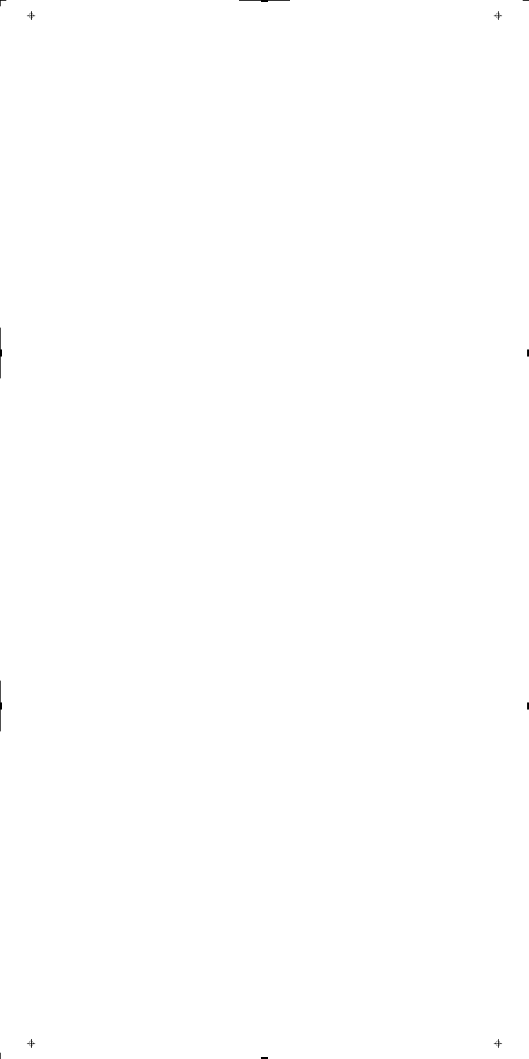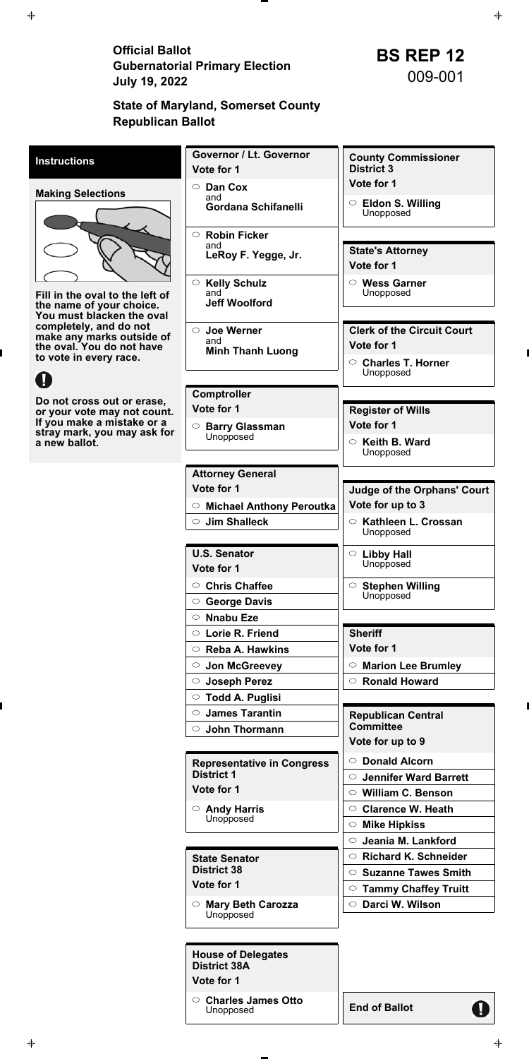Official Ballot<br>
Gubernatorial Primary Election<br>
July 19. 2022<br> **BS REP 12**<br>
009-001 **July 19, 2022** 

| <b>House of Delegates</b><br><b>District 38A</b><br>Vote for 1 |                      |
|----------------------------------------------------------------|----------------------|
| $\circ$ Charles James Otto                                     | <b>End of Ballot</b> |
| Unopposed                                                      | Н                    |

| <b>Instructions</b>                                         | Governor / Lt. Governor                       | <b>County Commissioner</b>              |
|-------------------------------------------------------------|-----------------------------------------------|-----------------------------------------|
|                                                             | Vote for 1                                    | <b>District 3</b>                       |
| <b>Making Selections</b>                                    | ○ Dan Cox                                     | Vote for 1                              |
|                                                             | and<br><b>Gordana Schifanelli</b>             | $\circ$ Eldon S. Willing                |
|                                                             |                                               | Unopposed                               |
|                                                             | <b>Robin Ficker</b><br>$\circ$                |                                         |
|                                                             | and<br>LeRoy F. Yegge, Jr.                    | <b>State's Attorney</b>                 |
|                                                             |                                               | Vote for 1                              |
|                                                             | <b>Kelly Schulz</b><br>$\circ$                | $\circ$ Wess Garner                     |
| Fill in the oval to the left of<br>the name of your choice. | and<br><b>Jeff Woolford</b>                   | Unopposed                               |
| You must blacken the oval                                   |                                               |                                         |
| completely, and do not<br>make any marks outside of         | $\circ$ Joe Werner<br>and                     | <b>Clerk of the Circuit Court</b>       |
| the oval. You do not have                                   | <b>Minh Thanh Luong</b>                       | Vote for 1                              |
| to vote in every race.                                      |                                               | $\circ$ Charles T. Horner               |
|                                                             |                                               | Unopposed                               |
| Do not cross out or erase,                                  | <b>Comptroller</b>                            |                                         |
| or your vote may not count.<br>If you make a mistake or a   | Vote for 1                                    | <b>Register of Wills</b>                |
| stray mark, you may ask for                                 | <b>Barry Glassman</b><br>$\circ$<br>Unopposed | Vote for 1                              |
| a new ballot.                                               |                                               | $\circ$ Keith B. Ward<br>Unopposed      |
|                                                             |                                               |                                         |
|                                                             | <b>Attorney General</b>                       |                                         |
|                                                             | Vote for 1                                    | <b>Judge of the Orphans' Court</b>      |
|                                                             | ○ Michael Anthony Peroutka                    | Vote for up to 3                        |
|                                                             | $\circ$ Jim Shalleck                          | ○ Kathleen L. Crossan<br>Unopposed      |
|                                                             | <b>U.S. Senator</b>                           | $\circ$ Libby Hall                      |
|                                                             | Vote for 1                                    | Unopposed                               |
|                                                             | <b>Chris Chaffee</b><br>$\circ$               | $\circ$ Stephen Willing                 |
|                                                             | <b>George Davis</b><br>$\circ$                | Unopposed                               |
|                                                             | <b>Nnabu Eze</b><br>$\circ$                   |                                         |
|                                                             | $\circ$ Lorie R. Friend                       | <b>Sheriff</b>                          |
|                                                             | $\circ$ Reba A. Hawkins                       | Vote for 1                              |
|                                                             | ○ Jon McGreevey                               | <b>Marion Lee Brumley</b><br>$\circ$    |
|                                                             | ○ Joseph Perez                                | $\circ$ Ronald Howard                   |
|                                                             | $\circ$ Todd A. Puglisi                       |                                         |
|                                                             | $\circ$ James Tarantin                        | <b>Republican Central</b>               |
|                                                             | $\circ$ John Thormann                         | <b>Committee</b>                        |
|                                                             |                                               | Vote for up to 9                        |
|                                                             | <b>Representative in Congress</b>             | <b>Donald Alcorn</b><br>$\circ$         |
|                                                             | <b>District 1</b>                             | <b>Jennifer Ward Barrett</b><br>$\circ$ |
|                                                             | Vote for 1                                    | $\circ$ William C. Benson               |
|                                                             | $\circ$ Andy Harris                           | <b>Clarence W. Heath</b><br>$\circ$     |
|                                                             | Unopposed                                     | <b>Mike Hipkiss</b><br>$\circ$          |
|                                                             |                                               | Jeania M. Lankford<br>$\circ$           |
|                                                             | <b>State Senator</b>                          | <b>Richard K. Schneider</b><br>$\circ$  |
|                                                             | <b>District 38</b>                            | $\circ$ Suzanne Tawes Smith             |
|                                                             | Vote for 1                                    | $\circ$ Tammy Chaffey Truitt            |
|                                                             | $\circ$ Mary Beth Carozza<br>Unopposed        | $\circ$ Darci W. Wilson                 |
|                                                             |                                               |                                         |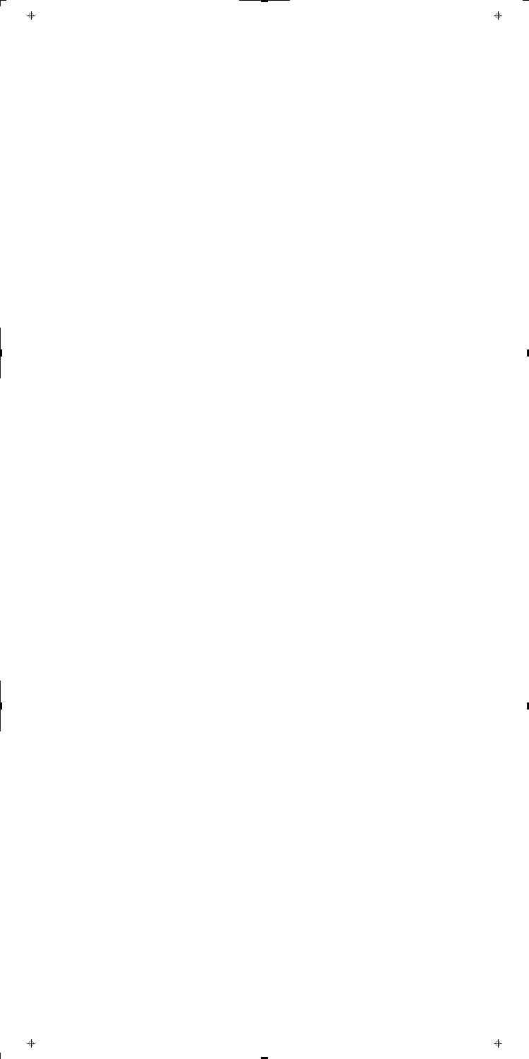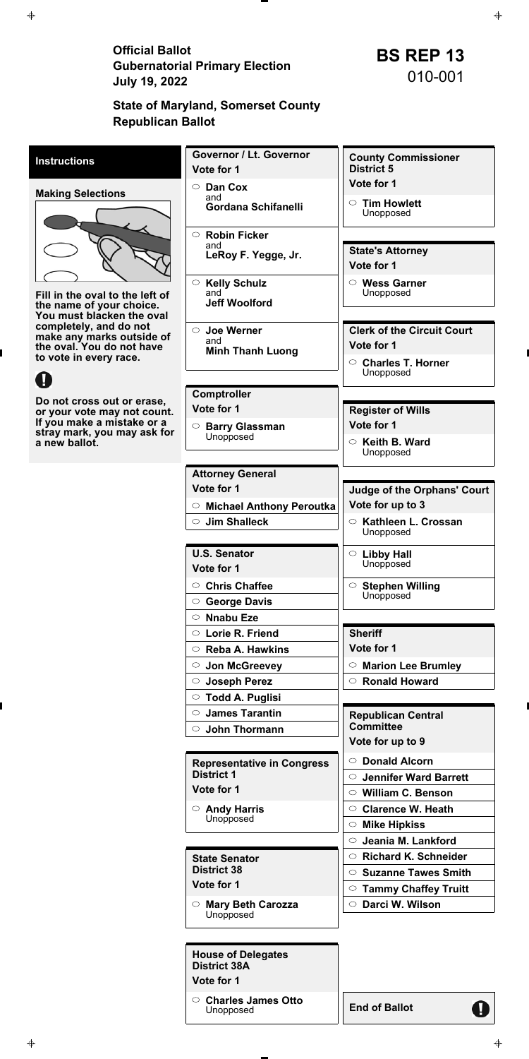Official Ballot<br>
Gubernatorial Primary Election<br>
July 19. 2022<br> **BS REP 13**<br>
010-001 **July 19, 2022** 

| <b>House of Delegates</b><br><b>District 38A</b><br>Vote for 1 |                      |
|----------------------------------------------------------------|----------------------|
| $\circ$ Charles James Otto                                     | <b>End of Ballot</b> |
| Unopposed                                                      | Н                    |

| Governor / Lt. Governor<br><b>County Commissioner</b><br><b>Instructions</b>                          |  |
|-------------------------------------------------------------------------------------------------------|--|
|                                                                                                       |  |
| <b>District 5</b><br>Vote for 1                                                                       |  |
| Vote for 1<br>Dan Cox<br>$\circ$<br><b>Making Selections</b>                                          |  |
| and<br><b>Tim Howlett</b><br>$\circ$<br><b>Gordana Schifanelli</b>                                    |  |
| Unopposed                                                                                             |  |
| <b>Robin Ficker</b><br>$\circ$                                                                        |  |
| and<br><b>State's Attorney</b><br>LeRoy F. Yegge, Jr.                                                 |  |
| Vote for 1                                                                                            |  |
| $\circ$<br><b>Kelly Schulz</b><br>$\circ$ Wess Garner<br>and<br>Unopposed                             |  |
| Fill in the oval to the left of<br><b>Jeff Woolford</b><br>the name of your choice.                   |  |
| You must blacken the oval<br>completely, and do not                                                   |  |
| <b>Clerk of the Circuit Court</b><br><b>Joe Werner</b><br>$\circ$<br>make any marks outside of<br>and |  |
| Vote for 1<br>the oval. You do not have<br><b>Minh Thanh Luong</b><br>to vote in every race.          |  |
| ○ Charles T. Horner<br>Unopposed                                                                      |  |
|                                                                                                       |  |
| Comptroller<br>Do not cross out or erase,<br>Vote for 1                                               |  |
| <b>Register of Wills</b><br>or your vote may not count.<br>If you make a mistake or a<br>Vote for 1   |  |
| <b>Barry Glassman</b><br>$\circ$<br>stray mark, you may ask for<br>Unopposed                          |  |
| Keith B. Ward<br>a new ballot.<br>$\circ$<br>Unopposed                                                |  |
| <b>Attorney General</b>                                                                               |  |
| Vote for 1<br><b>Judge of the Orphans' Court</b>                                                      |  |
| Vote for up to 3<br><b>Michael Anthony Peroutka</b><br>$\circ$                                        |  |
| $\circ$<br><b>Jim Shalleck</b><br>$\circ$ Kathleen L. Crossan                                         |  |
|                                                                                                       |  |
| Unopposed                                                                                             |  |
| <b>U.S. Senator</b><br>$\circ$ Libby Hall                                                             |  |
| Unopposed<br>Vote for 1                                                                               |  |
| <b>Chris Chaffee</b><br>○ Stephen Willing<br>$\circ$                                                  |  |
| Unopposed<br>○ George Davis                                                                           |  |
| <b>Nnabu Eze</b><br>$\circ$                                                                           |  |
| <b>Sheriff</b><br>$\circ$ Lorie R. Friend                                                             |  |
| Vote for 1<br><b>Reba A. Hawkins</b><br>$\circ$                                                       |  |
| <b>Marion Lee Brumley</b><br><b>Jon McGreevey</b><br>$\circ$<br>$\circ$                               |  |
| $\circ$ Ronald Howard<br><b>Joseph Perez</b>                                                          |  |
| <b>Todd A. Puglisi</b>                                                                                |  |
| $\circ$ James Tarantin<br><b>Republican Central</b>                                                   |  |
| <b>Committee</b><br><b>John Thormann</b><br>$\circ$                                                   |  |
| Vote for up to 9                                                                                      |  |
| <b>Donald Alcorn</b><br>$\circ$<br><b>Representative in Congress</b>                                  |  |
| <b>District 1</b><br><b>Jennifer Ward Barrett</b><br>$\circ$                                          |  |
| Vote for 1<br>$\circ$ William C. Benson                                                               |  |
| $\circ$ Andy Harris<br>$\circ$ Clarence W. Heath<br>Unopposed                                         |  |
| $\circ$ Mike Hipkiss                                                                                  |  |
| Jeania M. Lankford<br>$\circ$<br>$\circ$                                                              |  |
| <b>Richard K. Schneider</b><br><b>State Senator</b><br><b>District 38</b>                             |  |
| <b>Suzanne Tawes Smith</b><br>$\circ$<br>Vote for 1                                                   |  |
| $\circ$ Tammy Chaffey Truitt<br>$\circ$ Mary Beth Carozza<br>○ Darci W. Wilson<br>Unopposed           |  |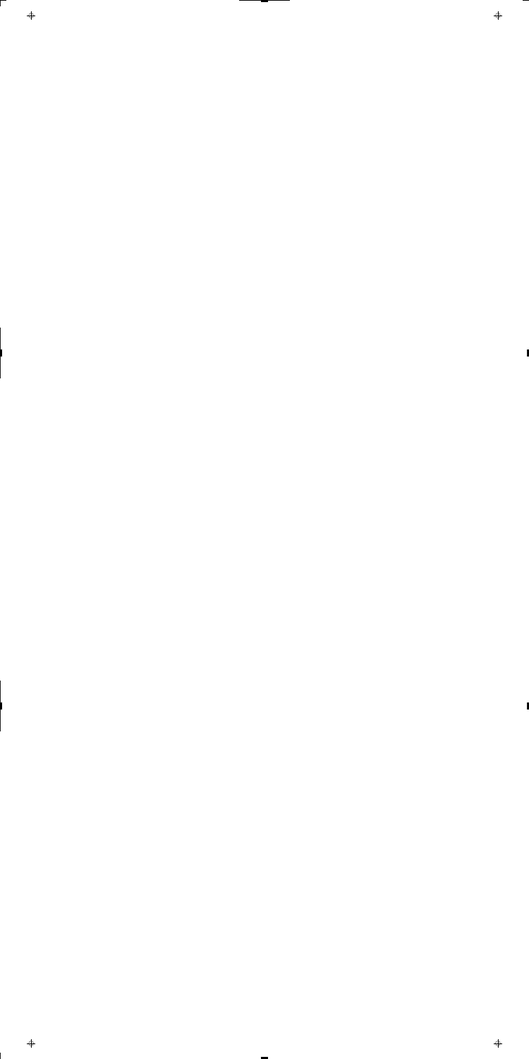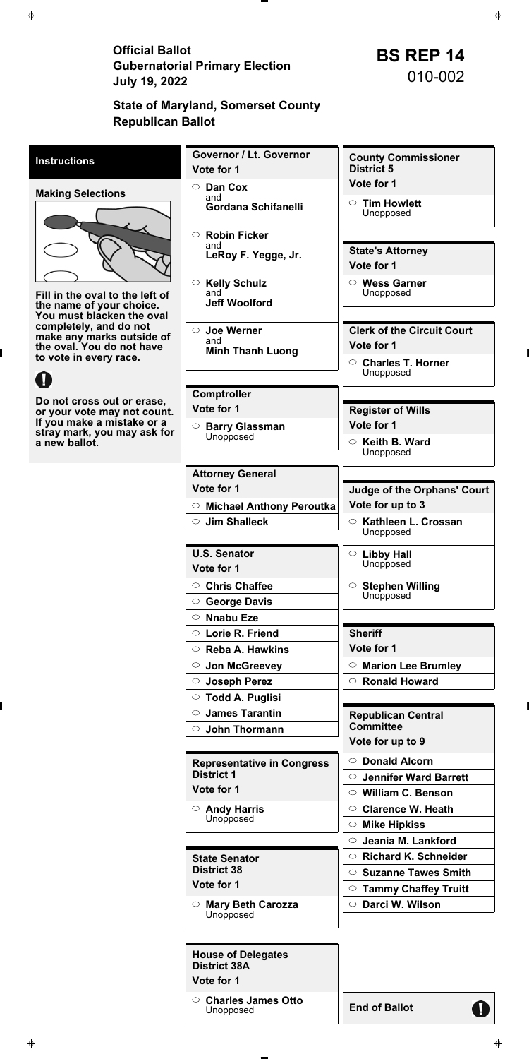Official Ballot<br>
Gubernatorial Primary Election<br>
July 19. 2022<br> **BS REP 14**<br>
010-002 **July 19, 2022** 

| <b>House of Delegates</b><br><b>District 38A</b><br>Vote for 1 |                      |
|----------------------------------------------------------------|----------------------|
| $\circ$ Charles James Otto                                     | <b>End of Ballot</b> |
| Unopposed                                                      | Н                    |

| <b>Instructions</b>                                         | Governor / Lt. Governor<br>Vote for 1      | <b>County Commissioner</b><br><b>District 5</b>   |
|-------------------------------------------------------------|--------------------------------------------|---------------------------------------------------|
| <b>Making Selections</b>                                    | Dan Cox<br>$\circ$                         | Vote for 1                                        |
|                                                             | and<br><b>Gordana Schifanelli</b>          | <b>Tim Howlett</b><br>$\circ$<br>Unopposed        |
|                                                             | $\circ$ Robin Ficker                       |                                                   |
|                                                             | and<br>LeRoy F. Yegge, Jr.                 | <b>State's Attorney</b>                           |
|                                                             |                                            | Vote for 1                                        |
|                                                             | $\circ$<br><b>Kelly Schulz</b><br>and      | $\circ$ Wess Garner                               |
| Fill in the oval to the left of<br>the name of your choice. | <b>Jeff Woolford</b>                       | Unopposed                                         |
| You must blacken the oval<br>completely, and do not         |                                            |                                                   |
| make any marks outside of                                   | $\circ$ Joe Werner<br>and                  | <b>Clerk of the Circuit Court</b><br>Vote for 1   |
| the oval. You do not have<br>to vote in every race.         | <b>Minh Thanh Luong</b>                    | <b>Charles T. Horner</b><br>$\circ$               |
|                                                             |                                            | Unopposed                                         |
|                                                             | <b>Comptroller</b>                         |                                                   |
| Do not cross out or erase,<br>or your vote may not count.   | Vote for 1                                 | <b>Register of Wills</b>                          |
| If you make a mistake or a                                  | <b>Barry Glassman</b><br>$\circ$           | Vote for 1                                        |
| stray mark, you may ask for<br>a new ballot.                | Unopposed                                  | $\circ$ Keith B. Ward<br>Unopposed                |
|                                                             | <b>Attorney General</b>                    |                                                   |
|                                                             | Vote for 1                                 | <b>Judge of the Orphans' Court</b>                |
|                                                             | $\circ$ Michael Anthony Peroutka           | Vote for up to 3                                  |
|                                                             | $\circ$ Jim Shalleck                       | $\circ$ Kathleen L. Crossan<br>Unopposed          |
|                                                             | <b>U.S. Senator</b>                        | $\circ$ Libby Hall                                |
|                                                             | Vote for 1                                 | Unopposed                                         |
|                                                             | <b>Chris Chaffee</b><br>$\circ$            | ○ Stephen Willing                                 |
|                                                             | <b>George Davis</b><br>$\circ$             | Unopposed                                         |
|                                                             | $\circ$ Nnabu Eze                          |                                                   |
|                                                             | $\circ$ Lorie R. Friend                    | <b>Sheriff</b>                                    |
|                                                             | $\circ$ Reba A. Hawkins                    | Vote for 1                                        |
|                                                             | <b>Jon McGreevey</b><br>$\circ$            | <b>Marion Lee Brumley</b><br>$\circ$              |
|                                                             | ○ Joseph Perez<br><b>Todd A. Puglisi</b>   | $\circ$ Ronald Howard                             |
|                                                             | <b>James Tarantin</b><br>$\circ$           | <b>Republican Central</b>                         |
|                                                             | $\circ$ John Thormann                      | <b>Committee</b>                                  |
|                                                             |                                            | Vote for up to 9                                  |
|                                                             | <b>Representative in Congress</b>          | ○ Donald Alcorn                                   |
|                                                             | <b>District 1</b>                          | <b>Jennifer Ward Barrett</b><br>$\circ$           |
|                                                             | Vote for 1                                 | $\circ$ William C. Benson                         |
|                                                             | $\circ$ Andy Harris                        | <b>Clarence W. Heath</b><br>$\circ$               |
|                                                             | Unopposed                                  | <b>Mike Hipkiss</b><br>$\circ$                    |
|                                                             |                                            | Jeania M. Lankford<br>$\circ$                     |
|                                                             | <b>State Senator</b><br><b>District 38</b> | $\circ$ Richard K. Schneider                      |
|                                                             | Vote for 1                                 | $\circ$ Suzanne Tawes Smith                       |
|                                                             |                                            | $\circ$ Tammy Chaffey Truitt<br>○ Darci W. Wilson |
|                                                             | ○ Mary Beth Carozza<br>Unopposed           |                                                   |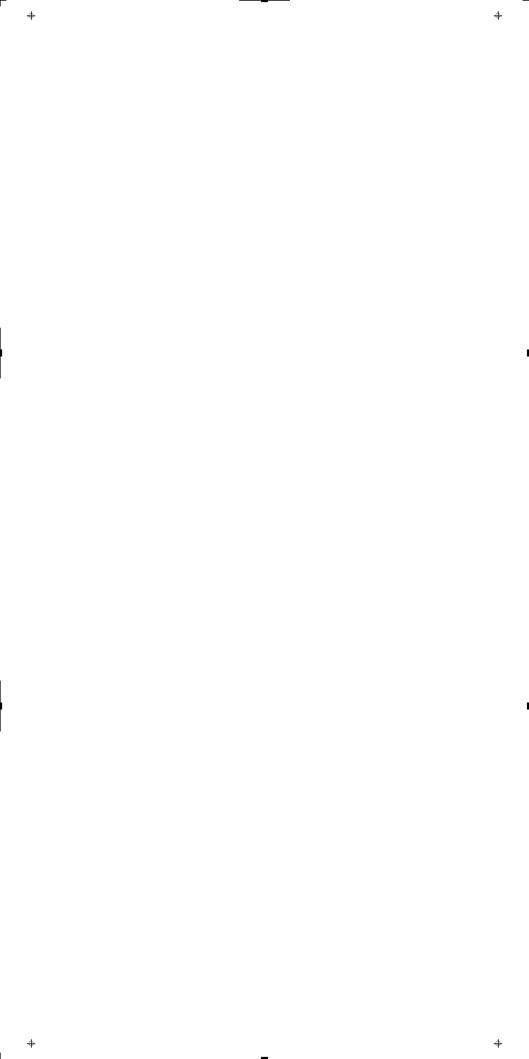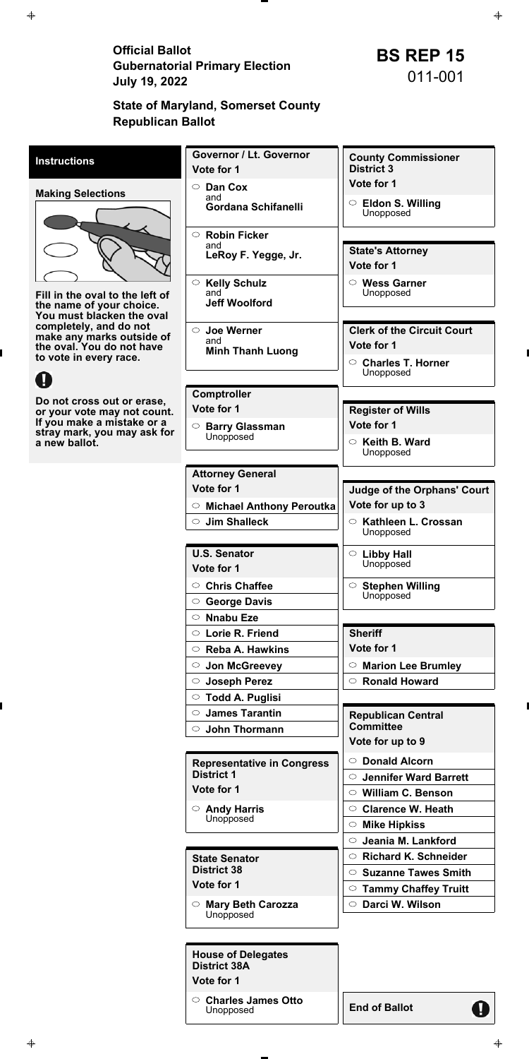Official Ballot<br>
Gubernatorial Primary Election<br>
July 19. 2022<br> **BS REP 15**<br>
011-001 **July 19, 2022** 

| <b>House of Delegates</b><br><b>District 38A</b><br>Vote for 1 |                      |
|----------------------------------------------------------------|----------------------|
| $\circ$ Charles James Otto                                     | <b>End of Ballot</b> |
| Unopposed                                                      | Н                    |

| <b>Instructions</b>                                         | Governor / Lt. Governor           | <b>County Commissioner</b>                          |
|-------------------------------------------------------------|-----------------------------------|-----------------------------------------------------|
|                                                             | Vote for 1                        | <b>District 3</b>                                   |
| <b>Making Selections</b>                                    | $\circ$ Dan Cox                   | Vote for 1                                          |
|                                                             | and<br><b>Gordana Schifanelli</b> | $\circ$ Eldon S. Willing                            |
|                                                             |                                   | Unopposed                                           |
|                                                             | $\circ$ Robin Ficker              |                                                     |
|                                                             | and<br>LeRoy F. Yegge, Jr.        | <b>State's Attorney</b>                             |
|                                                             |                                   | Vote for 1                                          |
|                                                             | ○ Kelly Schulz                    | $\circ$ Wess Garner                                 |
| Fill in the oval to the left of<br>the name of your choice. | and<br><b>Jeff Woolford</b>       | Unopposed                                           |
| You must blacken the oval                                   |                                   |                                                     |
| completely, and do not<br>make any marks outside of         | $\circ$ Joe Werner                | <b>Clerk of the Circuit Court</b>                   |
| the oval. You do not have                                   | and<br><b>Minh Thanh Luong</b>    | Vote for 1                                          |
| to vote in every race.                                      |                                   | ○ Charles T. Horner                                 |
|                                                             |                                   | Unopposed                                           |
| Do not cross out or erase,                                  | Comptroller                       |                                                     |
| or your vote may not count.                                 | Vote for 1                        | <b>Register of Wills</b>                            |
| If you make a mistake or a<br>stray mark, you may ask for   | ○ Barry Glassman                  | Vote for 1                                          |
| a new ballot.                                               | Unopposed                         | $\circ$ Keith B. Ward                               |
|                                                             |                                   | Unopposed                                           |
|                                                             | <b>Attorney General</b>           |                                                     |
|                                                             | Vote for 1                        | <b>Judge of the Orphans' Court</b>                  |
|                                                             | ○ Michael Anthony Peroutka        | Vote for up to 3                                    |
|                                                             | <b>Jim Shalleck</b>               | ◯<br>Kathleen L. Crossan<br>Unopposed               |
|                                                             |                                   |                                                     |
|                                                             | <b>U.S. Senator</b>               | $\circ$ Libby Hall<br>Unopposed                     |
|                                                             | Vote for 1                        |                                                     |
|                                                             | $\circ$ Chris Chaffee             | ○ Stephen Willing<br>Unopposed                      |
|                                                             | ○ George Davis                    |                                                     |
|                                                             | $\circ$ Nnabu Eze                 |                                                     |
|                                                             | $\circ$ Lorie R. Friend           | <b>Sheriff</b><br>Vote for 1                        |
|                                                             | $\circ$ Reba A. Hawkins           |                                                     |
|                                                             | ○ Jon McGreevey<br>○ Joseph Perez | $\circ$ Marion Lee Brumley<br>$\circ$ Ronald Howard |
|                                                             | ○ Todd A. Puglisi                 |                                                     |
|                                                             | $\circ$ James Tarantin            |                                                     |
|                                                             | $\circ$ John Thormann             | <b>Republican Central</b><br><b>Committee</b>       |
|                                                             |                                   | Vote for up to 9                                    |
|                                                             | <b>Representative in Congress</b> | ○ Donald Alcorn                                     |
|                                                             | <b>District 1</b>                 | <b>Jennifer Ward Barrett</b><br>$\circlearrowright$ |
|                                                             | Vote for 1                        | $\circ$ William C. Benson                           |
|                                                             | $\circ$ Andy Harris               | <b>Clarence W. Heath</b>                            |
|                                                             | Unopposed                         | $\circ$ Mike Hipkiss                                |
|                                                             |                                   | $\circ$ Jeania M. Lankford                          |
|                                                             | <b>State Senator</b>              | $\circ$ Richard K. Schneider                        |
|                                                             | <b>District 38</b>                | $\circ$ Suzanne Tawes Smith                         |
|                                                             | Vote for 1                        | <b>Tammy Chaffey Truitt</b><br>$\circ$              |
|                                                             | ○ Mary Beth Carozza<br>Unopposed  | ○ Darci W. Wilson                                   |
|                                                             |                                   |                                                     |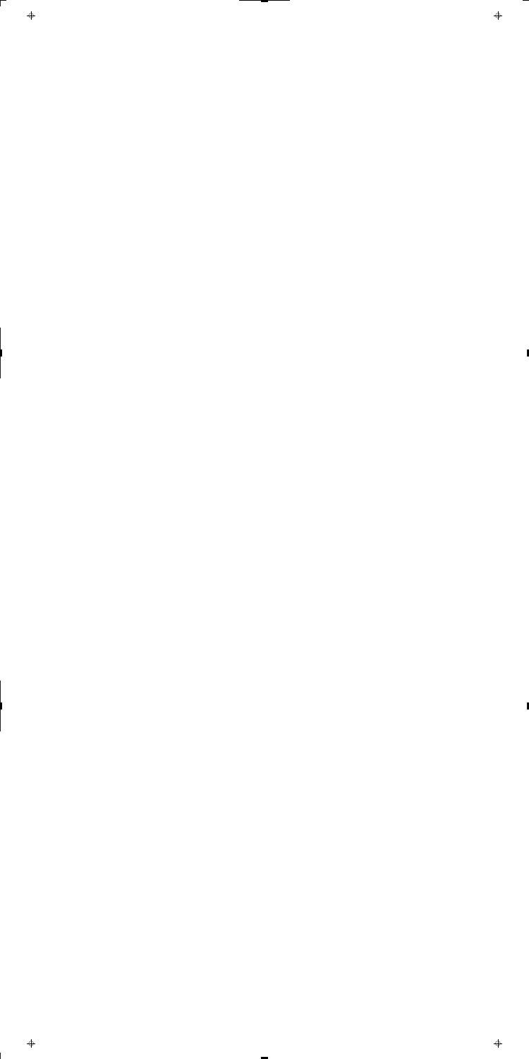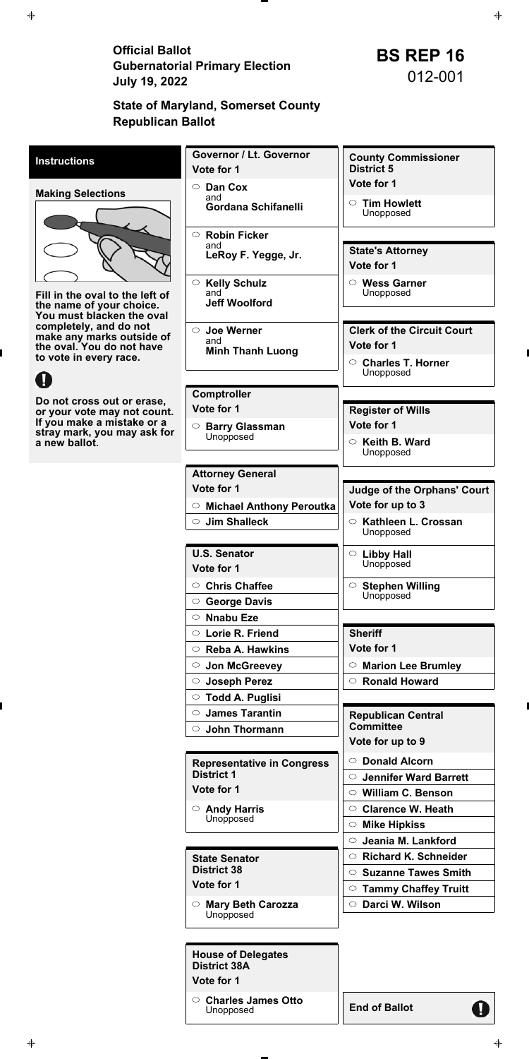Official Ballot<br>
Gubernatorial Primary Election<br>
July 19. 2022<br> **BS REP 16**<br>
012-001 **July 19, 2022** 

| <b>House of Delegates</b><br><b>District 38A</b><br>Vote for 1 |                      |
|----------------------------------------------------------------|----------------------|
| $\circ$ Charles James Otto                                     | <b>End of Ballot</b> |
| Unopposed                                                      | Н                    |

| <b>Governor / Lt. Governor</b><br><b>County Commissioner</b><br><b>Instructions</b><br><b>District 5</b><br>Vote for 1<br>Vote for 1<br>$\circ$ Dan Cox<br><b>Making Selections</b><br>and<br><b>Tim Howlett</b><br>$\circ$<br><b>Gordana Schifanelli</b><br>Unopposed<br><b>Robin Ficker</b><br>$\circ$<br>and<br><b>State's Attorney</b><br>LeRoy F. Yegge, Jr.<br>Vote for 1<br><b>Kelly Schulz</b><br>$\circ$ Wess Garner<br>$\circ$<br>Unopposed<br>and<br>Fill in the oval to the left of<br><b>Jeff Woolford</b><br>the name of your choice.<br>You must blacken the oval<br>completely, and do not<br><b>Clerk of the Circuit Court</b><br><b>Joe Werner</b><br>$\circ$<br>make any marks outside of<br>and<br>Vote for 1<br>the oval. You do not have<br><b>Minh Thanh Luong</b><br>to vote in every race.<br>○ Charles T. Horner<br>Unopposed<br>Comptroller<br>Do not cross out or erase,<br>Vote for 1<br><b>Register of Wills</b><br>or your vote may not count.<br>If you make a mistake or a<br>Vote for 1<br><b>Barry Glassman</b><br>$\circ$<br>stray mark, you may ask for<br>Unopposed<br>$\circ$ Keith B. Ward<br>Unopposed<br><b>Attorney General</b><br>Vote for 1<br><b>Judge of the Orphans' Court</b><br>Vote for up to 3<br>$\circ$ Michael Anthony Peroutka<br><b>Jim Shalleck</b><br>$\circ$ Kathleen L. Crossan<br>$\circ$<br>Unopposed<br><b>U.S. Senator</b><br>$\circ$ Libby Hall<br>Unopposed<br>Vote for 1<br>$\circ$ Chris Chaffee<br>$\circ$ Stephen Willing<br>Unopposed<br>$\circ$ George Davis<br>$\circ$ Nnabu Eze<br><b>Sheriff</b><br>$\circ$ Lorie R. Friend<br>Vote for 1<br>$\circ$ Reba A. Hawkins<br>○ Jon McGreevey<br><b>Marion Lee Brumley</b><br>$\circ$<br>$\circ$ Ronald Howard<br>$\circ$ Joseph Perez<br>○ Todd A. Puglisi<br>$\circ$ James Tarantin<br><b>Republican Central</b><br><b>Committee</b><br>$\circ$ John Thormann<br>Vote for up to 9<br><b>Donald Alcorn</b><br>$\circ$<br><b>Representative in Congress</b><br><b>District 1</b><br><b>Jennifer Ward Barrett</b><br>$\circ$<br>Vote for 1<br>$\circ$ William C. Benson<br>$\circ$ Andy Harris<br>$\circ$ Clarence W. Heath<br>Unopposed<br>$\circ$ Mike Hipkiss<br>Jeania M. Lankford<br>$\circ$<br><b>Richard K. Schneider</b><br>$\circ$<br><b>State Senator</b><br><b>District 38</b><br>$\circ$ Suzanne Tawes Smith<br>Vote for 1<br>$\circ$ Tammy Chaffey Truitt<br>○ Mary Beth Carozza<br>Unopposed<br>○ Darci W. Wilson |               |  |
|------------------------------------------------------------------------------------------------------------------------------------------------------------------------------------------------------------------------------------------------------------------------------------------------------------------------------------------------------------------------------------------------------------------------------------------------------------------------------------------------------------------------------------------------------------------------------------------------------------------------------------------------------------------------------------------------------------------------------------------------------------------------------------------------------------------------------------------------------------------------------------------------------------------------------------------------------------------------------------------------------------------------------------------------------------------------------------------------------------------------------------------------------------------------------------------------------------------------------------------------------------------------------------------------------------------------------------------------------------------------------------------------------------------------------------------------------------------------------------------------------------------------------------------------------------------------------------------------------------------------------------------------------------------------------------------------------------------------------------------------------------------------------------------------------------------------------------------------------------------------------------------------------------------------------------------------------------------------------------------------------------------------------------------------------------------------------------------------------------------------------------------------------------------------------------------------------------------------------------------------------------------------------------------------------------------------------------------------------------------------------------------------------------------------------------------------------|---------------|--|
|                                                                                                                                                                                                                                                                                                                                                                                                                                                                                                                                                                                                                                                                                                                                                                                                                                                                                                                                                                                                                                                                                                                                                                                                                                                                                                                                                                                                                                                                                                                                                                                                                                                                                                                                                                                                                                                                                                                                                                                                                                                                                                                                                                                                                                                                                                                                                                                                                                                      |               |  |
|                                                                                                                                                                                                                                                                                                                                                                                                                                                                                                                                                                                                                                                                                                                                                                                                                                                                                                                                                                                                                                                                                                                                                                                                                                                                                                                                                                                                                                                                                                                                                                                                                                                                                                                                                                                                                                                                                                                                                                                                                                                                                                                                                                                                                                                                                                                                                                                                                                                      |               |  |
|                                                                                                                                                                                                                                                                                                                                                                                                                                                                                                                                                                                                                                                                                                                                                                                                                                                                                                                                                                                                                                                                                                                                                                                                                                                                                                                                                                                                                                                                                                                                                                                                                                                                                                                                                                                                                                                                                                                                                                                                                                                                                                                                                                                                                                                                                                                                                                                                                                                      |               |  |
|                                                                                                                                                                                                                                                                                                                                                                                                                                                                                                                                                                                                                                                                                                                                                                                                                                                                                                                                                                                                                                                                                                                                                                                                                                                                                                                                                                                                                                                                                                                                                                                                                                                                                                                                                                                                                                                                                                                                                                                                                                                                                                                                                                                                                                                                                                                                                                                                                                                      |               |  |
|                                                                                                                                                                                                                                                                                                                                                                                                                                                                                                                                                                                                                                                                                                                                                                                                                                                                                                                                                                                                                                                                                                                                                                                                                                                                                                                                                                                                                                                                                                                                                                                                                                                                                                                                                                                                                                                                                                                                                                                                                                                                                                                                                                                                                                                                                                                                                                                                                                                      |               |  |
|                                                                                                                                                                                                                                                                                                                                                                                                                                                                                                                                                                                                                                                                                                                                                                                                                                                                                                                                                                                                                                                                                                                                                                                                                                                                                                                                                                                                                                                                                                                                                                                                                                                                                                                                                                                                                                                                                                                                                                                                                                                                                                                                                                                                                                                                                                                                                                                                                                                      |               |  |
|                                                                                                                                                                                                                                                                                                                                                                                                                                                                                                                                                                                                                                                                                                                                                                                                                                                                                                                                                                                                                                                                                                                                                                                                                                                                                                                                                                                                                                                                                                                                                                                                                                                                                                                                                                                                                                                                                                                                                                                                                                                                                                                                                                                                                                                                                                                                                                                                                                                      |               |  |
|                                                                                                                                                                                                                                                                                                                                                                                                                                                                                                                                                                                                                                                                                                                                                                                                                                                                                                                                                                                                                                                                                                                                                                                                                                                                                                                                                                                                                                                                                                                                                                                                                                                                                                                                                                                                                                                                                                                                                                                                                                                                                                                                                                                                                                                                                                                                                                                                                                                      |               |  |
|                                                                                                                                                                                                                                                                                                                                                                                                                                                                                                                                                                                                                                                                                                                                                                                                                                                                                                                                                                                                                                                                                                                                                                                                                                                                                                                                                                                                                                                                                                                                                                                                                                                                                                                                                                                                                                                                                                                                                                                                                                                                                                                                                                                                                                                                                                                                                                                                                                                      |               |  |
|                                                                                                                                                                                                                                                                                                                                                                                                                                                                                                                                                                                                                                                                                                                                                                                                                                                                                                                                                                                                                                                                                                                                                                                                                                                                                                                                                                                                                                                                                                                                                                                                                                                                                                                                                                                                                                                                                                                                                                                                                                                                                                                                                                                                                                                                                                                                                                                                                                                      |               |  |
|                                                                                                                                                                                                                                                                                                                                                                                                                                                                                                                                                                                                                                                                                                                                                                                                                                                                                                                                                                                                                                                                                                                                                                                                                                                                                                                                                                                                                                                                                                                                                                                                                                                                                                                                                                                                                                                                                                                                                                                                                                                                                                                                                                                                                                                                                                                                                                                                                                                      |               |  |
|                                                                                                                                                                                                                                                                                                                                                                                                                                                                                                                                                                                                                                                                                                                                                                                                                                                                                                                                                                                                                                                                                                                                                                                                                                                                                                                                                                                                                                                                                                                                                                                                                                                                                                                                                                                                                                                                                                                                                                                                                                                                                                                                                                                                                                                                                                                                                                                                                                                      |               |  |
|                                                                                                                                                                                                                                                                                                                                                                                                                                                                                                                                                                                                                                                                                                                                                                                                                                                                                                                                                                                                                                                                                                                                                                                                                                                                                                                                                                                                                                                                                                                                                                                                                                                                                                                                                                                                                                                                                                                                                                                                                                                                                                                                                                                                                                                                                                                                                                                                                                                      |               |  |
|                                                                                                                                                                                                                                                                                                                                                                                                                                                                                                                                                                                                                                                                                                                                                                                                                                                                                                                                                                                                                                                                                                                                                                                                                                                                                                                                                                                                                                                                                                                                                                                                                                                                                                                                                                                                                                                                                                                                                                                                                                                                                                                                                                                                                                                                                                                                                                                                                                                      |               |  |
|                                                                                                                                                                                                                                                                                                                                                                                                                                                                                                                                                                                                                                                                                                                                                                                                                                                                                                                                                                                                                                                                                                                                                                                                                                                                                                                                                                                                                                                                                                                                                                                                                                                                                                                                                                                                                                                                                                                                                                                                                                                                                                                                                                                                                                                                                                                                                                                                                                                      |               |  |
|                                                                                                                                                                                                                                                                                                                                                                                                                                                                                                                                                                                                                                                                                                                                                                                                                                                                                                                                                                                                                                                                                                                                                                                                                                                                                                                                                                                                                                                                                                                                                                                                                                                                                                                                                                                                                                                                                                                                                                                                                                                                                                                                                                                                                                                                                                                                                                                                                                                      |               |  |
|                                                                                                                                                                                                                                                                                                                                                                                                                                                                                                                                                                                                                                                                                                                                                                                                                                                                                                                                                                                                                                                                                                                                                                                                                                                                                                                                                                                                                                                                                                                                                                                                                                                                                                                                                                                                                                                                                                                                                                                                                                                                                                                                                                                                                                                                                                                                                                                                                                                      |               |  |
|                                                                                                                                                                                                                                                                                                                                                                                                                                                                                                                                                                                                                                                                                                                                                                                                                                                                                                                                                                                                                                                                                                                                                                                                                                                                                                                                                                                                                                                                                                                                                                                                                                                                                                                                                                                                                                                                                                                                                                                                                                                                                                                                                                                                                                                                                                                                                                                                                                                      |               |  |
|                                                                                                                                                                                                                                                                                                                                                                                                                                                                                                                                                                                                                                                                                                                                                                                                                                                                                                                                                                                                                                                                                                                                                                                                                                                                                                                                                                                                                                                                                                                                                                                                                                                                                                                                                                                                                                                                                                                                                                                                                                                                                                                                                                                                                                                                                                                                                                                                                                                      | a new ballot. |  |
|                                                                                                                                                                                                                                                                                                                                                                                                                                                                                                                                                                                                                                                                                                                                                                                                                                                                                                                                                                                                                                                                                                                                                                                                                                                                                                                                                                                                                                                                                                                                                                                                                                                                                                                                                                                                                                                                                                                                                                                                                                                                                                                                                                                                                                                                                                                                                                                                                                                      |               |  |
|                                                                                                                                                                                                                                                                                                                                                                                                                                                                                                                                                                                                                                                                                                                                                                                                                                                                                                                                                                                                                                                                                                                                                                                                                                                                                                                                                                                                                                                                                                                                                                                                                                                                                                                                                                                                                                                                                                                                                                                                                                                                                                                                                                                                                                                                                                                                                                                                                                                      |               |  |
|                                                                                                                                                                                                                                                                                                                                                                                                                                                                                                                                                                                                                                                                                                                                                                                                                                                                                                                                                                                                                                                                                                                                                                                                                                                                                                                                                                                                                                                                                                                                                                                                                                                                                                                                                                                                                                                                                                                                                                                                                                                                                                                                                                                                                                                                                                                                                                                                                                                      |               |  |
|                                                                                                                                                                                                                                                                                                                                                                                                                                                                                                                                                                                                                                                                                                                                                                                                                                                                                                                                                                                                                                                                                                                                                                                                                                                                                                                                                                                                                                                                                                                                                                                                                                                                                                                                                                                                                                                                                                                                                                                                                                                                                                                                                                                                                                                                                                                                                                                                                                                      |               |  |
|                                                                                                                                                                                                                                                                                                                                                                                                                                                                                                                                                                                                                                                                                                                                                                                                                                                                                                                                                                                                                                                                                                                                                                                                                                                                                                                                                                                                                                                                                                                                                                                                                                                                                                                                                                                                                                                                                                                                                                                                                                                                                                                                                                                                                                                                                                                                                                                                                                                      |               |  |
|                                                                                                                                                                                                                                                                                                                                                                                                                                                                                                                                                                                                                                                                                                                                                                                                                                                                                                                                                                                                                                                                                                                                                                                                                                                                                                                                                                                                                                                                                                                                                                                                                                                                                                                                                                                                                                                                                                                                                                                                                                                                                                                                                                                                                                                                                                                                                                                                                                                      |               |  |
|                                                                                                                                                                                                                                                                                                                                                                                                                                                                                                                                                                                                                                                                                                                                                                                                                                                                                                                                                                                                                                                                                                                                                                                                                                                                                                                                                                                                                                                                                                                                                                                                                                                                                                                                                                                                                                                                                                                                                                                                                                                                                                                                                                                                                                                                                                                                                                                                                                                      |               |  |
|                                                                                                                                                                                                                                                                                                                                                                                                                                                                                                                                                                                                                                                                                                                                                                                                                                                                                                                                                                                                                                                                                                                                                                                                                                                                                                                                                                                                                                                                                                                                                                                                                                                                                                                                                                                                                                                                                                                                                                                                                                                                                                                                                                                                                                                                                                                                                                                                                                                      |               |  |
|                                                                                                                                                                                                                                                                                                                                                                                                                                                                                                                                                                                                                                                                                                                                                                                                                                                                                                                                                                                                                                                                                                                                                                                                                                                                                                                                                                                                                                                                                                                                                                                                                                                                                                                                                                                                                                                                                                                                                                                                                                                                                                                                                                                                                                                                                                                                                                                                                                                      |               |  |
|                                                                                                                                                                                                                                                                                                                                                                                                                                                                                                                                                                                                                                                                                                                                                                                                                                                                                                                                                                                                                                                                                                                                                                                                                                                                                                                                                                                                                                                                                                                                                                                                                                                                                                                                                                                                                                                                                                                                                                                                                                                                                                                                                                                                                                                                                                                                                                                                                                                      |               |  |
|                                                                                                                                                                                                                                                                                                                                                                                                                                                                                                                                                                                                                                                                                                                                                                                                                                                                                                                                                                                                                                                                                                                                                                                                                                                                                                                                                                                                                                                                                                                                                                                                                                                                                                                                                                                                                                                                                                                                                                                                                                                                                                                                                                                                                                                                                                                                                                                                                                                      |               |  |
|                                                                                                                                                                                                                                                                                                                                                                                                                                                                                                                                                                                                                                                                                                                                                                                                                                                                                                                                                                                                                                                                                                                                                                                                                                                                                                                                                                                                                                                                                                                                                                                                                                                                                                                                                                                                                                                                                                                                                                                                                                                                                                                                                                                                                                                                                                                                                                                                                                                      |               |  |
|                                                                                                                                                                                                                                                                                                                                                                                                                                                                                                                                                                                                                                                                                                                                                                                                                                                                                                                                                                                                                                                                                                                                                                                                                                                                                                                                                                                                                                                                                                                                                                                                                                                                                                                                                                                                                                                                                                                                                                                                                                                                                                                                                                                                                                                                                                                                                                                                                                                      |               |  |
|                                                                                                                                                                                                                                                                                                                                                                                                                                                                                                                                                                                                                                                                                                                                                                                                                                                                                                                                                                                                                                                                                                                                                                                                                                                                                                                                                                                                                                                                                                                                                                                                                                                                                                                                                                                                                                                                                                                                                                                                                                                                                                                                                                                                                                                                                                                                                                                                                                                      |               |  |
|                                                                                                                                                                                                                                                                                                                                                                                                                                                                                                                                                                                                                                                                                                                                                                                                                                                                                                                                                                                                                                                                                                                                                                                                                                                                                                                                                                                                                                                                                                                                                                                                                                                                                                                                                                                                                                                                                                                                                                                                                                                                                                                                                                                                                                                                                                                                                                                                                                                      |               |  |
|                                                                                                                                                                                                                                                                                                                                                                                                                                                                                                                                                                                                                                                                                                                                                                                                                                                                                                                                                                                                                                                                                                                                                                                                                                                                                                                                                                                                                                                                                                                                                                                                                                                                                                                                                                                                                                                                                                                                                                                                                                                                                                                                                                                                                                                                                                                                                                                                                                                      |               |  |
|                                                                                                                                                                                                                                                                                                                                                                                                                                                                                                                                                                                                                                                                                                                                                                                                                                                                                                                                                                                                                                                                                                                                                                                                                                                                                                                                                                                                                                                                                                                                                                                                                                                                                                                                                                                                                                                                                                                                                                                                                                                                                                                                                                                                                                                                                                                                                                                                                                                      |               |  |
|                                                                                                                                                                                                                                                                                                                                                                                                                                                                                                                                                                                                                                                                                                                                                                                                                                                                                                                                                                                                                                                                                                                                                                                                                                                                                                                                                                                                                                                                                                                                                                                                                                                                                                                                                                                                                                                                                                                                                                                                                                                                                                                                                                                                                                                                                                                                                                                                                                                      |               |  |
|                                                                                                                                                                                                                                                                                                                                                                                                                                                                                                                                                                                                                                                                                                                                                                                                                                                                                                                                                                                                                                                                                                                                                                                                                                                                                                                                                                                                                                                                                                                                                                                                                                                                                                                                                                                                                                                                                                                                                                                                                                                                                                                                                                                                                                                                                                                                                                                                                                                      |               |  |
|                                                                                                                                                                                                                                                                                                                                                                                                                                                                                                                                                                                                                                                                                                                                                                                                                                                                                                                                                                                                                                                                                                                                                                                                                                                                                                                                                                                                                                                                                                                                                                                                                                                                                                                                                                                                                                                                                                                                                                                                                                                                                                                                                                                                                                                                                                                                                                                                                                                      |               |  |
|                                                                                                                                                                                                                                                                                                                                                                                                                                                                                                                                                                                                                                                                                                                                                                                                                                                                                                                                                                                                                                                                                                                                                                                                                                                                                                                                                                                                                                                                                                                                                                                                                                                                                                                                                                                                                                                                                                                                                                                                                                                                                                                                                                                                                                                                                                                                                                                                                                                      |               |  |
|                                                                                                                                                                                                                                                                                                                                                                                                                                                                                                                                                                                                                                                                                                                                                                                                                                                                                                                                                                                                                                                                                                                                                                                                                                                                                                                                                                                                                                                                                                                                                                                                                                                                                                                                                                                                                                                                                                                                                                                                                                                                                                                                                                                                                                                                                                                                                                                                                                                      |               |  |
|                                                                                                                                                                                                                                                                                                                                                                                                                                                                                                                                                                                                                                                                                                                                                                                                                                                                                                                                                                                                                                                                                                                                                                                                                                                                                                                                                                                                                                                                                                                                                                                                                                                                                                                                                                                                                                                                                                                                                                                                                                                                                                                                                                                                                                                                                                                                                                                                                                                      |               |  |
|                                                                                                                                                                                                                                                                                                                                                                                                                                                                                                                                                                                                                                                                                                                                                                                                                                                                                                                                                                                                                                                                                                                                                                                                                                                                                                                                                                                                                                                                                                                                                                                                                                                                                                                                                                                                                                                                                                                                                                                                                                                                                                                                                                                                                                                                                                                                                                                                                                                      |               |  |
|                                                                                                                                                                                                                                                                                                                                                                                                                                                                                                                                                                                                                                                                                                                                                                                                                                                                                                                                                                                                                                                                                                                                                                                                                                                                                                                                                                                                                                                                                                                                                                                                                                                                                                                                                                                                                                                                                                                                                                                                                                                                                                                                                                                                                                                                                                                                                                                                                                                      |               |  |
|                                                                                                                                                                                                                                                                                                                                                                                                                                                                                                                                                                                                                                                                                                                                                                                                                                                                                                                                                                                                                                                                                                                                                                                                                                                                                                                                                                                                                                                                                                                                                                                                                                                                                                                                                                                                                                                                                                                                                                                                                                                                                                                                                                                                                                                                                                                                                                                                                                                      |               |  |
|                                                                                                                                                                                                                                                                                                                                                                                                                                                                                                                                                                                                                                                                                                                                                                                                                                                                                                                                                                                                                                                                                                                                                                                                                                                                                                                                                                                                                                                                                                                                                                                                                                                                                                                                                                                                                                                                                                                                                                                                                                                                                                                                                                                                                                                                                                                                                                                                                                                      |               |  |
|                                                                                                                                                                                                                                                                                                                                                                                                                                                                                                                                                                                                                                                                                                                                                                                                                                                                                                                                                                                                                                                                                                                                                                                                                                                                                                                                                                                                                                                                                                                                                                                                                                                                                                                                                                                                                                                                                                                                                                                                                                                                                                                                                                                                                                                                                                                                                                                                                                                      |               |  |
|                                                                                                                                                                                                                                                                                                                                                                                                                                                                                                                                                                                                                                                                                                                                                                                                                                                                                                                                                                                                                                                                                                                                                                                                                                                                                                                                                                                                                                                                                                                                                                                                                                                                                                                                                                                                                                                                                                                                                                                                                                                                                                                                                                                                                                                                                                                                                                                                                                                      |               |  |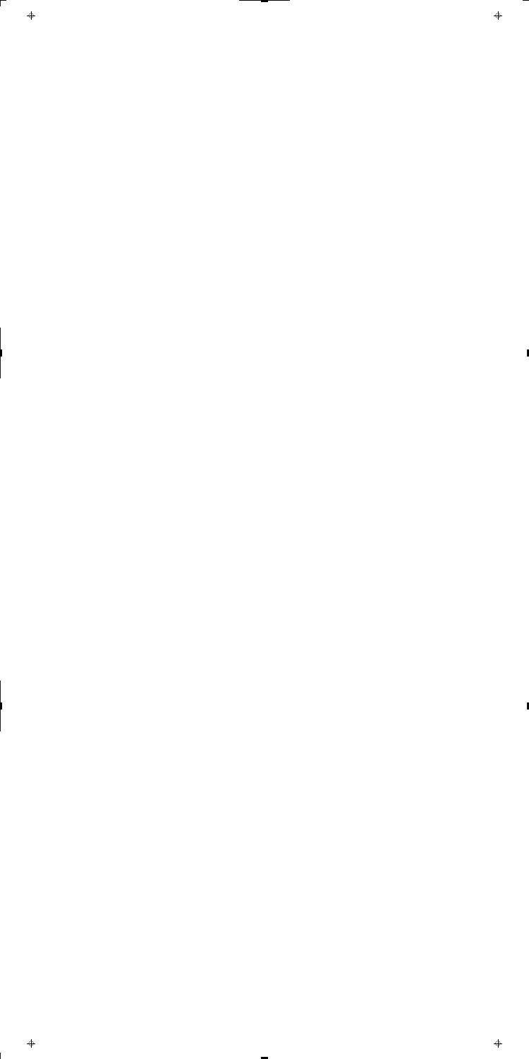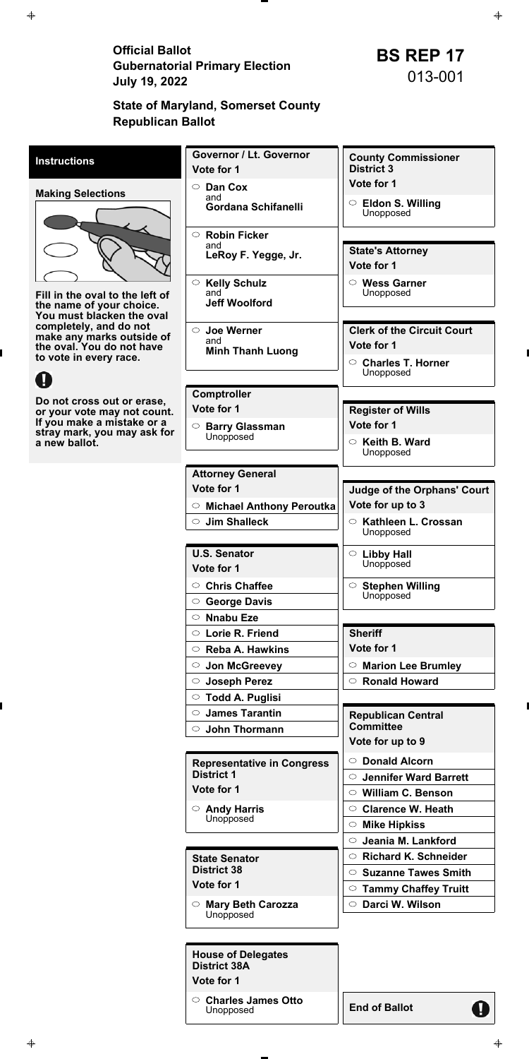Official Ballot<br>
Gubernatorial Primary Election<br>
July 19. 2022<br> **BS REP 17**<br>
013-001 **July 19, 2022** 

| <b>House of Delegates</b><br><b>District 38A</b><br>Vote for 1 |                      |
|----------------------------------------------------------------|----------------------|
| $\circ$ Charles James Otto                                     | <b>End of Ballot</b> |
| Unopposed                                                      | Н                    |

| <b>Instructions</b>                                         | Governor / Lt. Governor                   | <b>County Commissioner</b>                  |
|-------------------------------------------------------------|-------------------------------------------|---------------------------------------------|
|                                                             | Vote for 1                                | <b>District 3</b>                           |
| <b>Making Selections</b>                                    | $\circ$ Dan Cox                           | Vote for 1                                  |
|                                                             | and<br><b>Gordana Schifanelli</b>         | $\circ$ Eldon S. Willing                    |
|                                                             |                                           | Unopposed                                   |
|                                                             | $\circ$ Robin Ficker                      |                                             |
|                                                             | and<br>LeRoy F. Yegge, Jr.                | <b>State's Attorney</b>                     |
|                                                             |                                           | Vote for 1                                  |
|                                                             | $\circ$ Kelly Schulz                      | $\circ$ Wess Garner                         |
| Fill in the oval to the left of<br>the name of your choice. | and<br><b>Jeff Woolford</b>               | Unopposed                                   |
| You must blacken the oval                                   |                                           |                                             |
| completely, and do not<br>make any marks outside of         | <b>Joe Werner</b><br>$\circ$              | <b>Clerk of the Circuit Court</b>           |
| the oval. You do not have                                   | and<br><b>Minh Thanh Luong</b>            | Vote for 1                                  |
| to vote in every race.                                      |                                           | ○ Charles T. Horner                         |
|                                                             |                                           | Unopposed                                   |
| Do not cross out or erase,                                  | Comptroller                               |                                             |
| or your vote may not count.                                 | Vote for 1                                | <b>Register of Wills</b>                    |
| If you make a mistake or a<br>stray mark, you may ask for   | ○ Barry Glassman<br>Unopposed             | Vote for 1                                  |
| a new ballot.                                               |                                           | $\circ$ Keith B. Ward<br>Unopposed          |
|                                                             |                                           |                                             |
|                                                             | <b>Attorney General</b>                   |                                             |
|                                                             | Vote for 1                                | <b>Judge of the Orphans' Court</b>          |
|                                                             | $\circ$ Michael Anthony Peroutka          | Vote for up to 3                            |
|                                                             | <b>Jim Shalleck</b>                       | $\circ$<br>Kathleen L. Crossan<br>Unopposed |
|                                                             |                                           |                                             |
|                                                             | <b>U.S. Senator</b><br>Vote for 1         | $\circ$ Libby Hall<br>Unopposed             |
|                                                             | $\circ$ Chris Chaffee                     |                                             |
|                                                             |                                           | Stephen Willing<br>Unopposed                |
|                                                             | $\circ$ George Davis<br>$\circ$ Nnabu Eze |                                             |
|                                                             | $\circ$ Lorie R. Friend                   | <b>Sheriff</b>                              |
|                                                             | $\circ$ Reba A. Hawkins                   | Vote for 1                                  |
|                                                             | ○ Jon McGreevey                           | <b>Marion Lee Brumley</b><br>$\circ$        |
|                                                             | ○ Joseph Perez                            | $\circ$ Ronald Howard                       |
|                                                             | ○ Todd A. Puglisi                         |                                             |
|                                                             | $\circ$ James Tarantin                    | <b>Republican Central</b>                   |
|                                                             | $\circ$ John Thormann                     | <b>Committee</b>                            |
|                                                             |                                           | Vote for up to 9                            |
|                                                             | <b>Representative in Congress</b>         | ○ Donald Alcorn                             |
|                                                             | <b>District 1</b>                         | <b>Jennifer Ward Barrett</b><br>$\circ$     |
|                                                             | Vote for 1                                | $\circ$ William C. Benson                   |
|                                                             | $\circ$ Andy Harris                       | $\circ$ Clarence W. Heath                   |
|                                                             | Unopposed                                 | $\circ$ Mike Hipkiss                        |
|                                                             |                                           | $\circ$ Jeania M. Lankford                  |
|                                                             | <b>State Senator</b>                      | ○ Richard K. Schneider                      |
|                                                             | <b>District 38</b>                        | $\circ$ Suzanne Tawes Smith                 |
|                                                             | Vote for 1                                | <b>Tammy Chaffey Truitt</b><br>$\circ$      |
|                                                             | ○ <b>Mary Beth Carozza</b><br>Unopposed   | ○ Darci W. Wilson                           |
|                                                             |                                           |                                             |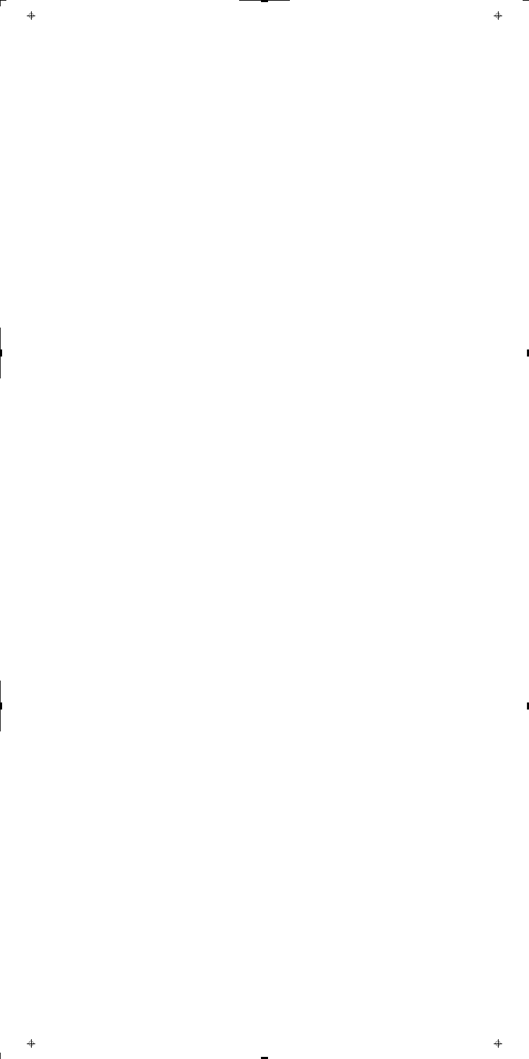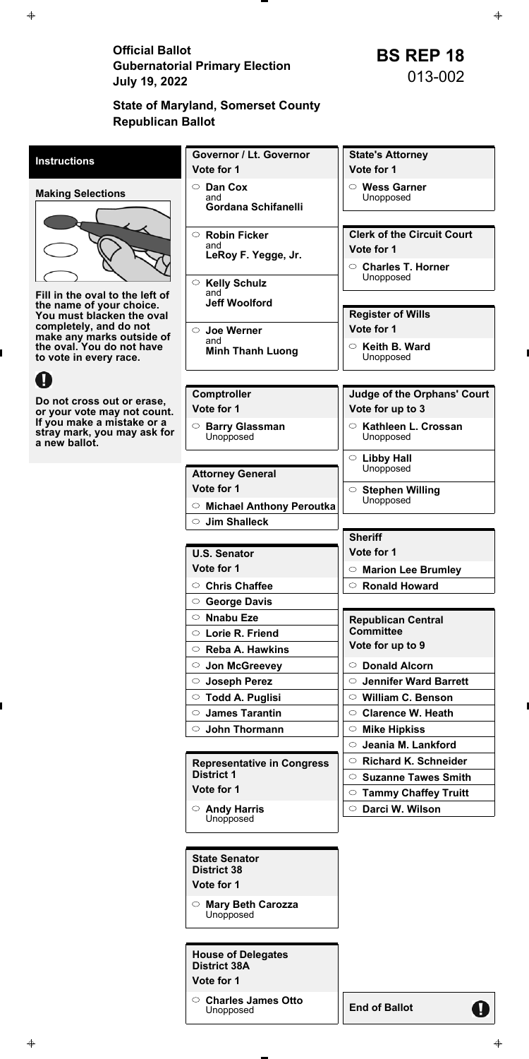Official Ballot<br>
Gubernatorial Primary Election<br>
July 19, 2022<br>
BS REP 18<br>
013-002 **July 19, 2022** 

## **State of Maryland, Somerset County Republican Ballot**

**Mary Beth Carozza Unopposed** 

| <b>House of Delegates</b><br><b>District 38A</b><br>Vote for 1 |                      |
|----------------------------------------------------------------|----------------------|
| $\circ$ Charles James Otto<br>Unopposed                        | <b>End of Ballot</b> |

| <b>Instructions</b>                                         | Governor / Lt. Governor           | <b>State's Attorney</b>              |
|-------------------------------------------------------------|-----------------------------------|--------------------------------------|
|                                                             | Vote for 1                        | Vote for 1                           |
| <b>Making Selections</b>                                    | <b>Dan Cox</b><br>$\circ$         | $\circ$ Wess Garner                  |
|                                                             | and<br><b>Gordana Schifanelli</b> | Unopposed                            |
|                                                             |                                   |                                      |
|                                                             | $\circ$ Robin Ficker              | <b>Clerk of the Circuit Court</b>    |
|                                                             | and<br>LeRoy F. Yegge, Jr.        | Vote for 1                           |
|                                                             |                                   | $\circ$ Charles T. Horner            |
|                                                             | $\circ$ Kelly Schulz              | Unopposed                            |
| Fill in the oval to the left of<br>the name of your choice. | and<br><b>Jeff Woolford</b>       |                                      |
| You must blacken the oval                                   |                                   | <b>Register of Wills</b>             |
| completely, and do not<br>make any marks outside of         | ○ Joe Werner                      | Vote for 1                           |
| the oval. You do not have                                   | and<br><b>Minh Thanh Luong</b>    | <b>Keith B. Ward</b><br>$\circ$      |
| to vote in every race.                                      |                                   | Unopposed                            |
|                                                             |                                   |                                      |
| Do not cross out or erase,                                  | <b>Comptroller</b>                | <b>Judge of the Orphans' Court</b>   |
| or your vote may not count.                                 | Vote for 1                        | Vote for up to 3                     |
| If you make a mistake or a<br>stray mark, you may ask for   | <b>Barry Glassman</b><br>$\circ$  | $\circ$ Kathleen L. Crossan          |
| a new ballot.                                               | Unopposed                         | Unopposed                            |
|                                                             |                                   | $\circ$ Libby Hall<br>Unopposed      |
|                                                             | <b>Attorney General</b>           |                                      |
|                                                             | Vote for 1                        | $\circ$ Stephen Willing<br>Unopposed |
|                                                             | <b>Michael Anthony Peroutka</b>   |                                      |
|                                                             | $\circ$ Jim Shalleck              |                                      |
|                                                             |                                   | <b>Sheriff</b>                       |
|                                                             | <b>U.S. Senator</b>               | Vote for 1                           |
|                                                             | Vote for 1                        | $\circ$ Marion Lee Brumley           |
|                                                             | <b>Chris Chaffee</b><br>$\circ$   | $\circ$ Ronald Howard                |
|                                                             | $\circ$ George Davis              |                                      |
|                                                             | <b>Nnabu Eze</b><br>O             | <b>Republican Central</b>            |
|                                                             | $\circ$ Lorie R. Friend           | <b>Committee</b>                     |
|                                                             | $\circ$ Reba A. Hawkins           | Vote for up to 9                     |
|                                                             | $\circ$ Jon McGreevey             | ○ Donald Alcorn                      |
|                                                             | ○ Joseph Perez                    | $\circ$ Jennifer Ward Barrett        |
|                                                             | $\circ$ Todd A. Puglisi           | $\circ$ William C. Benson            |
|                                                             | $\circ$ James Tarantin            | $\circ$ Clarence W. Heath            |
|                                                             | <b>John Thormann</b><br>$\circ$   | $\circ$ Mike Hipkiss                 |
|                                                             |                                   | $\circ$ Jeania M. Lankford           |
|                                                             | <b>Representative in Congress</b> | $\circ$ Richard K. Schneider         |
|                                                             | <b>District 1</b>                 | $\circ$ Suzanne Tawes Smith          |

**Vote for 1** 

**Andy Harris** Unopposed

**State Senator District 38** 

**Vote for 1** 

**Tammy Chaffey Truitt** 

**Darci W. Wilson**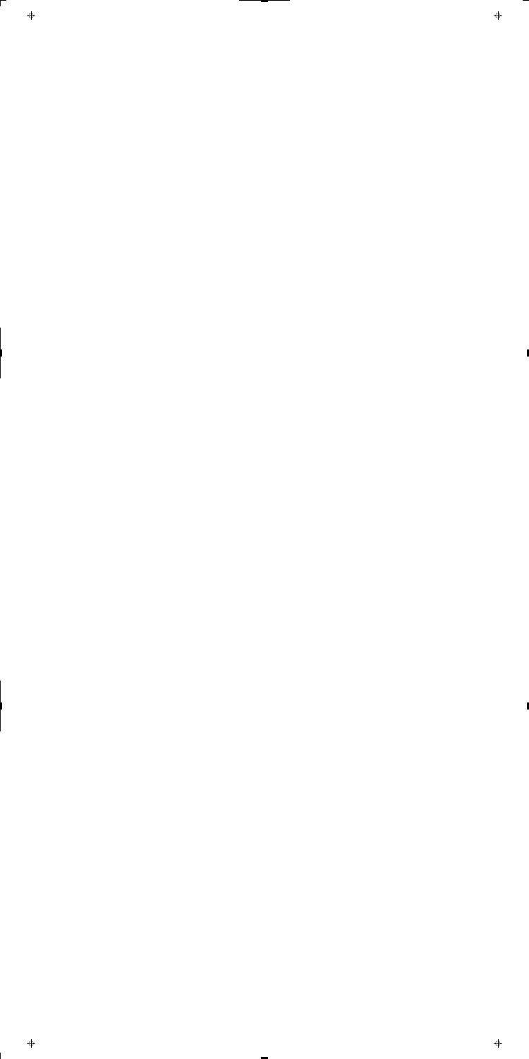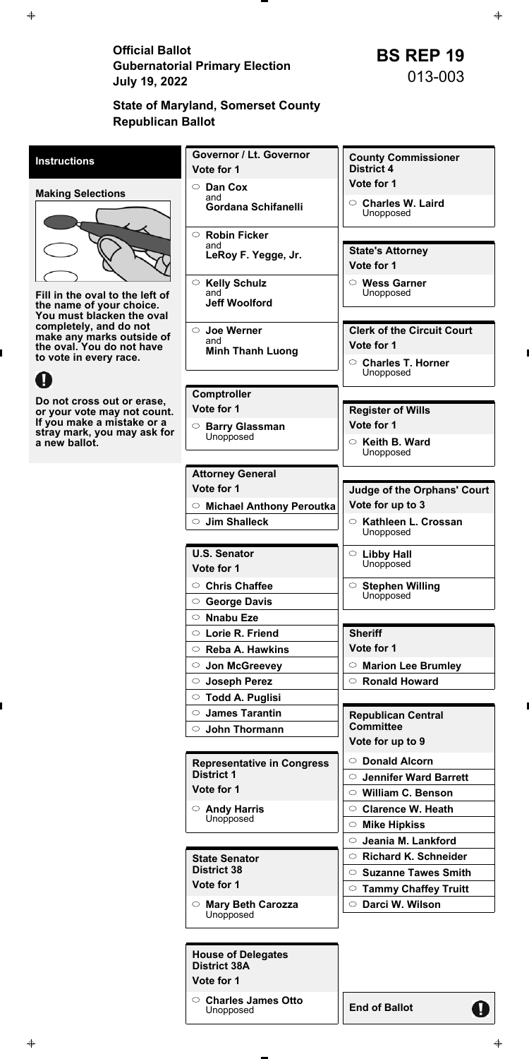Official Ballot<br>
Gubernatorial Primary Election<br>
July 19. 2022<br> **BS REP 19**<br>
013-003 **July 19, 2022** 

**State of Maryland, Somerset County Republican Ballot** 

| <b>House of Delegates</b><br><b>District 38A</b><br>Vote for 1 |                      |
|----------------------------------------------------------------|----------------------|
| $\circ$ Charles James Otto                                     | <b>End of Ballot</b> |
| Unopposed                                                      | Н                    |

| <b>Instructions</b>                                       | Governor / Lt. Governor                | <b>County Commissioner</b>              |
|-----------------------------------------------------------|----------------------------------------|-----------------------------------------|
|                                                           | Vote for 1                             | <b>District 4</b>                       |
|                                                           | <b>Dan Cox</b><br>$\circ$              | Vote for 1                              |
| <b>Making Selections</b>                                  | and<br><b>Gordana Schifanelli</b>      | <b>Charles W. Laird</b><br>$\circ$      |
|                                                           |                                        | Unopposed                               |
|                                                           | <b>Robin Ficker</b><br>$\circ$         |                                         |
|                                                           | and<br>LeRoy F. Yegge, Jr.             | <b>State's Attorney</b>                 |
|                                                           |                                        | Vote for 1                              |
|                                                           | $\circ$<br><b>Kelly Schulz</b>         | $\circ$ Wess Garner                     |
| Fill in the oval to the left of                           | and<br><b>Jeff Woolford</b>            | Unopposed                               |
| the name of your choice.<br>You must blacken the oval     |                                        |                                         |
| completely, and do not<br>make any marks outside of       | $\circ$ Joe Werner                     | <b>Clerk of the Circuit Court</b>       |
| the oval. You do not have                                 | and<br><b>Minh Thanh Luong</b>         | Vote for 1                              |
| to vote in every race.                                    |                                        | $\circ$ Charles T. Horner               |
|                                                           |                                        | Unopposed                               |
|                                                           | <b>Comptroller</b>                     |                                         |
| Do not cross out or erase,<br>or your vote may not count. | Vote for 1                             | <b>Register of Wills</b>                |
| If you make a mistake or a<br>stray mark, you may ask for | <b>Barry Glassman</b><br>$\circ$       | Vote for 1                              |
| a new ballot.                                             | Unopposed                              | $\circ$ Keith B. Ward                   |
|                                                           |                                        | Unopposed                               |
|                                                           | <b>Attorney General</b>                |                                         |
|                                                           | Vote for 1                             | <b>Judge of the Orphans' Court</b>      |
|                                                           | $\circ$ Michael Anthony Peroutka       | Vote for up to 3                        |
|                                                           | <b>Jim Shalleck</b><br>$\circ$         | ○ Kathleen L. Crossan                   |
|                                                           |                                        | Unopposed                               |
|                                                           | <b>U.S. Senator</b>                    | $\circ$ Libby Hall                      |
|                                                           | Vote for 1                             | Unopposed                               |
|                                                           | <b>Chris Chaffee</b><br>$\circ$        | $\circ$ Stephen Willing                 |
|                                                           | <b>George Davis</b><br>$\circ$         | Unopposed                               |
|                                                           | <b>Nnabu Eze</b><br>$\circ$            |                                         |
|                                                           | $\circ$ Lorie R. Friend                | <b>Sheriff</b>                          |
|                                                           | $\circ$ Reba A. Hawkins                | Vote for 1                              |
|                                                           | $\circ$ Jon McGreevey                  | <b>Marion Lee Brumley</b><br>$\circ$    |
|                                                           | ○ Joseph Perez                         | $\circ$ Ronald Howard                   |
|                                                           | <b>Todd A. Puglisi</b>                 |                                         |
|                                                           | <b>James Tarantin</b><br>$\circ$       | <b>Republican Central</b>               |
|                                                           | <b>John Thormann</b><br>$\circ$        | <b>Committee</b>                        |
|                                                           |                                        | Vote for up to 9                        |
|                                                           | <b>Representative in Congress</b>      | <b>Donald Alcorn</b><br>$\circ$         |
|                                                           | <b>District 1</b>                      | <b>Jennifer Ward Barrett</b><br>$\circ$ |
|                                                           | Vote for 1                             | $\circ$ William C. Benson               |
|                                                           | $\circ$ Andy Harris<br>Unopposed       | <b>Clarence W. Heath</b><br>$\circ$     |
|                                                           |                                        | <b>Mike Hipkiss</b><br>$\circ$          |
|                                                           |                                        | Jeania M. Lankford<br>$\circ$           |
|                                                           | <b>State Senator</b>                   | <b>Richard K. Schneider</b><br>$\circ$  |
|                                                           | <b>District 38</b>                     | $\circ$ Suzanne Tawes Smith             |
|                                                           | Vote for 1                             | $\circ$ Tammy Chaffey Truitt            |
|                                                           | $\circ$ Mary Beth Carozza<br>Unopposed | ○ Darci W. Wilson                       |
|                                                           |                                        |                                         |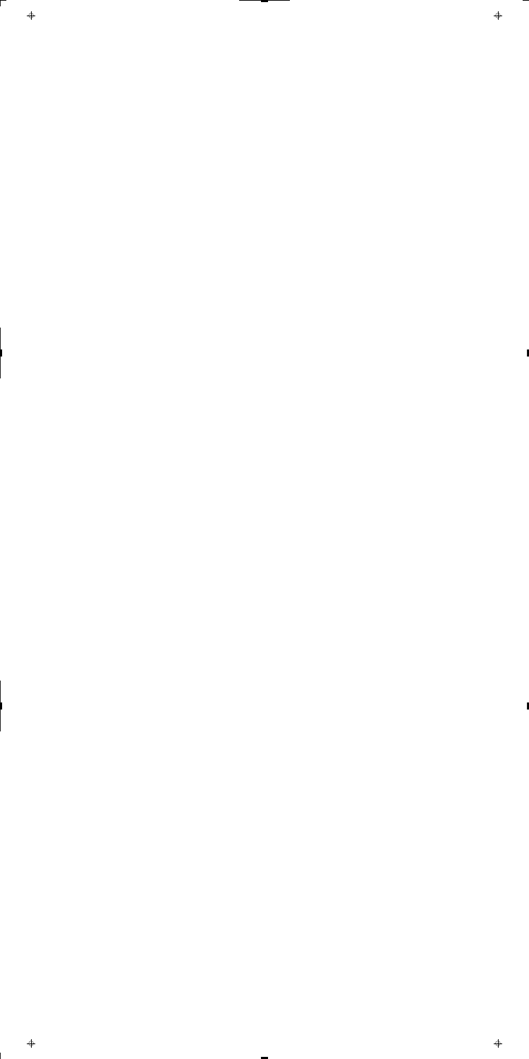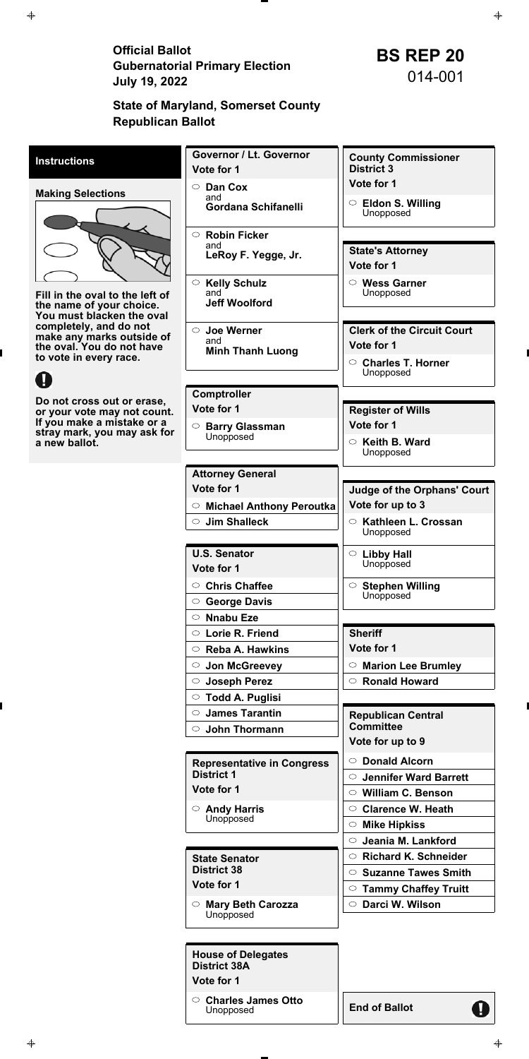Official Ballot<br>
Gubernatorial Primary Election<br>
July 19. 2022<br> **BS REP 20**<br>
014-001 **July 19, 2022** 

# **State of Maryland, Somerset County Republican Ballot**

| <b>House of Delegates</b><br><b>District 38A</b><br>Vote for 1 |                      |
|----------------------------------------------------------------|----------------------|
| $\circ$ Charles James Otto                                     | <b>End of Ballot</b> |
| Unopposed                                                      | Н                    |

| <b>Instructions</b>                                         | <b>Governor / Lt. Governor</b>          | <b>County Commissioner</b>                              |
|-------------------------------------------------------------|-----------------------------------------|---------------------------------------------------------|
|                                                             | Vote for 1                              | <b>District 3</b>                                       |
| <b>Making Selections</b>                                    | $\circ$ Dan Cox                         | Vote for 1                                              |
|                                                             | and<br><b>Gordana Schifanelli</b>       | $\circ$ Eldon S. Willing                                |
|                                                             |                                         | Unopposed                                               |
|                                                             | $\circ$ Robin Ficker                    |                                                         |
|                                                             | and<br>LeRoy F. Yegge, Jr.              | <b>State's Attorney</b>                                 |
|                                                             |                                         | Vote for 1                                              |
|                                                             | $\circ$ Kelly Schulz                    | $\circ$ Wess Garner                                     |
| Fill in the oval to the left of<br>the name of your choice. | and<br><b>Jeff Woolford</b>             | Unopposed                                               |
| You must blacken the oval                                   |                                         |                                                         |
| completely, and do not<br>make any marks outside of         | $\circ$ Joe Werner                      | <b>Clerk of the Circuit Court</b>                       |
| the oval. You do not have                                   | and<br><b>Minh Thanh Luong</b>          | Vote for 1                                              |
| to vote in every race.                                      |                                         | ○ Charles T. Horner                                     |
|                                                             |                                         | Unopposed                                               |
| Do not cross out or erase,                                  | Comptroller                             |                                                         |
| or your vote may not count.                                 | Vote for 1                              | <b>Register of Wills</b>                                |
| If you make a mistake or a<br>stray mark, you may ask for   | ○ Barry Glassman                        | Vote for 1                                              |
| a new ballot.                                               | Unopposed                               | $\circ$ Keith B. Ward                                   |
|                                                             |                                         | Unopposed                                               |
|                                                             | <b>Attorney General</b>                 |                                                         |
|                                                             | Vote for 1                              | <b>Judge of the Orphans' Court</b>                      |
|                                                             | ○ Michael Anthony Peroutka              | Vote for up to 3                                        |
|                                                             | <b>Jim Shalleck</b>                     | $\circlearrowright$<br>Kathleen L. Crossan<br>Unopposed |
|                                                             |                                         |                                                         |
|                                                             | <b>U.S. Senator</b>                     | $\circ$ Libby Hall<br>Unopposed                         |
|                                                             | Vote for 1                              |                                                         |
|                                                             | $\circ$ Chris Chaffee                   | $\circ$ Stephen Willing<br>Unopposed                    |
|                                                             | ○ George Davis                          |                                                         |
|                                                             | $\circ$ Nnabu Eze                       |                                                         |
|                                                             | $\circ$ Lorie R. Friend                 | <b>Sheriff</b><br>Vote for 1                            |
|                                                             | $\circ$ Reba A. Hawkins                 |                                                         |
|                                                             | ○ Jon McGreevey<br>○ Joseph Perez       | $\circ$ Marion Lee Brumley<br>$\circ$ Ronald Howard     |
|                                                             | ○ Todd A. Puglisi                       |                                                         |
|                                                             | $\circ$ James Tarantin                  | <b>Republican Central</b>                               |
|                                                             | $\circ$ John Thormann                   | <b>Committee</b>                                        |
|                                                             |                                         | Vote for up to 9                                        |
|                                                             | <b>Representative in Congress</b>       | ○ Donald Alcorn                                         |
|                                                             | <b>District 1</b>                       | <b>Jennifer Ward Barrett</b><br>$\circ$                 |
|                                                             | Vote for 1                              | $\circ$ William C. Benson                               |
|                                                             | $\circ$ Andy Harris                     | <b>Clarence W. Heath</b>                                |
|                                                             | Unopposed                               | $\circ$ Mike Hipkiss                                    |
|                                                             |                                         | $\circ$ Jeania M. Lankford                              |
|                                                             | <b>State Senator</b>                    | $\circ$ Richard K. Schneider                            |
|                                                             | <b>District 38</b>                      | $\circ$ Suzanne Tawes Smith                             |
|                                                             | Vote for 1                              | <b>Tammy Chaffey Truitt</b><br>$\circ$                  |
|                                                             |                                         |                                                         |
|                                                             | ○ <b>Mary Beth Carozza</b><br>Unopposed | Darci W. Wilson<br>$\circ$                              |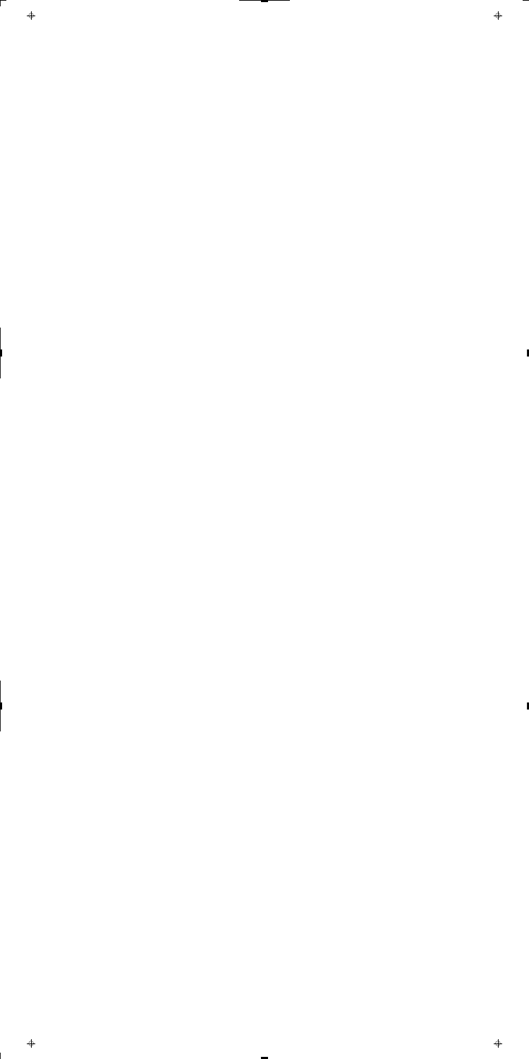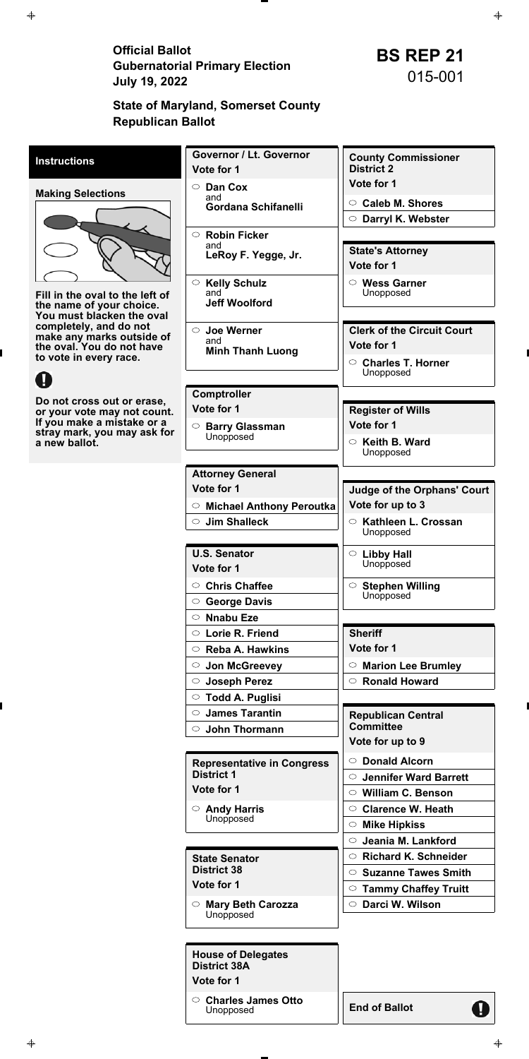Official Ballot<br>
Gubernatorial Primary Election<br>
July 19. 2022<br> **BS REP 21**<br>
015-001 **July 19, 2022** 

# **State of Maryland, Somerset County Republican Ballot**

| <b>House of Delegates</b><br><b>District 38A</b><br>Vote for 1 |                      |
|----------------------------------------------------------------|----------------------|
| $\circ$ Charles James Otto                                     | <b>End of Ballot</b> |
| Unopposed                                                      | Н                    |

| <b>Instructions</b>                                         | Governor / Lt. Governor                | <b>County Commissioner</b>              |
|-------------------------------------------------------------|----------------------------------------|-----------------------------------------|
|                                                             | Vote for 1                             | <b>District 2</b>                       |
| <b>Making Selections</b>                                    | $\circ$ Dan Cox                        | Vote for 1                              |
|                                                             | and<br><b>Gordana Schifanelli</b>      | $\circ$ Caleb M. Shores                 |
|                                                             |                                        | ○ Darryl K. Webster                     |
|                                                             | $\circ$ Robin Ficker                   |                                         |
|                                                             | and<br>LeRoy F. Yegge, Jr.             | <b>State's Attorney</b>                 |
|                                                             |                                        | Vote for 1                              |
|                                                             | $\circ$ Kelly Schulz                   | $\circ$ Wess Garner                     |
| Fill in the oval to the left of<br>the name of your choice. | and<br><b>Jeff Woolford</b>            | Unopposed                               |
| You must blacken the oval                                   |                                        |                                         |
| completely, and do not<br>make any marks outside of         | $\circ$ Joe Werner                     | <b>Clerk of the Circuit Court</b>       |
| the oval. You do not have                                   | and<br><b>Minh Thanh Luong</b>         | Vote for 1                              |
| to vote in every race.                                      |                                        | $\circ$ Charles T. Horner               |
|                                                             |                                        | Unopposed                               |
|                                                             | <b>Comptroller</b>                     |                                         |
| Do not cross out or erase,<br>or your vote may not count.   | Vote for 1                             | <b>Register of Wills</b>                |
| If you make a mistake or a                                  | ○ Barry Glassman                       | Vote for 1                              |
| stray mark, you may ask for<br>a new ballot.                | Unopposed                              | $\circ$ Keith B. Ward                   |
|                                                             |                                        | Unopposed                               |
|                                                             | <b>Attorney General</b>                |                                         |
|                                                             | Vote for 1                             | <b>Judge of the Orphans' Court</b>      |
|                                                             | $\circ$ Michael Anthony Peroutka       | Vote for up to 3                        |
|                                                             | $\circ$ Jim Shalleck                   | $\circ$ Kathleen L. Crossan             |
|                                                             |                                        | Unopposed                               |
|                                                             | <b>U.S. Senator</b>                    | $\circ$ Libby Hall                      |
|                                                             | Vote for 1                             | Unopposed                               |
|                                                             | <b>Chris Chaffee</b><br>$\circ$        | $\circ$ Stephen Willing                 |
|                                                             | $\circ$ George Davis                   | Unopposed                               |
|                                                             | $\circ$ Nnabu Eze                      |                                         |
|                                                             | $\circ$ Lorie R. Friend                | <b>Sheriff</b>                          |
|                                                             | $\circ$ Reba A. Hawkins                | Vote for 1                              |
|                                                             | ○ Jon McGreevey                        | $\circ$ Marion Lee Brumley              |
|                                                             | ○ Joseph Perez                         | $\circ$ Ronald Howard                   |
|                                                             | $\circ$ Todd A. Puglisi                |                                         |
|                                                             | $\circ$ James Tarantin                 | <b>Republican Central</b>               |
|                                                             | $\circ$ John Thormann                  | <b>Committee</b>                        |
|                                                             |                                        | Vote for up to 9                        |
|                                                             | <b>Representative in Congress</b>      | $\circ$ Donald Alcorn                   |
|                                                             | <b>District 1</b>                      | <b>Jennifer Ward Barrett</b><br>$\circ$ |
|                                                             | Vote for 1                             | $\circ$ William C. Benson               |
|                                                             | $\circ$ Andy Harris                    | <b>Clarence W. Heath</b><br>○.          |
|                                                             | Unopposed                              | $\circ$ Mike Hipkiss                    |
|                                                             |                                        | Jeania M. Lankford<br>$\circ$           |
|                                                             | <b>State Senator</b>                   | $\circ$ Richard K. Schneider            |
|                                                             | <b>District 38</b>                     | $\circ$ Suzanne Tawes Smith             |
|                                                             |                                        |                                         |
|                                                             | Vote for 1                             | <b>Tammy Chaffey Truitt</b><br>$\circ$  |
|                                                             | $\circ$ Mary Beth Carozza<br>Unopposed | O Darci W. Wilson                       |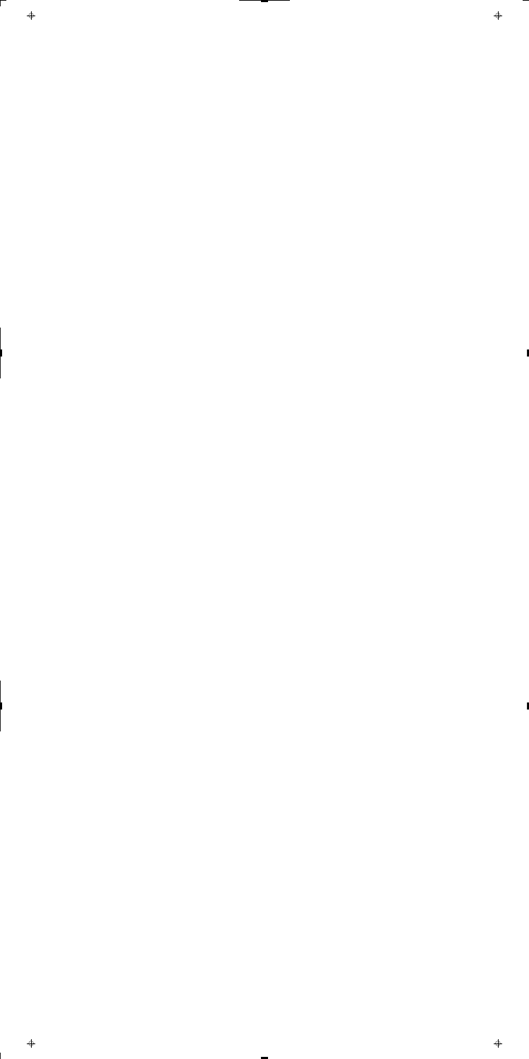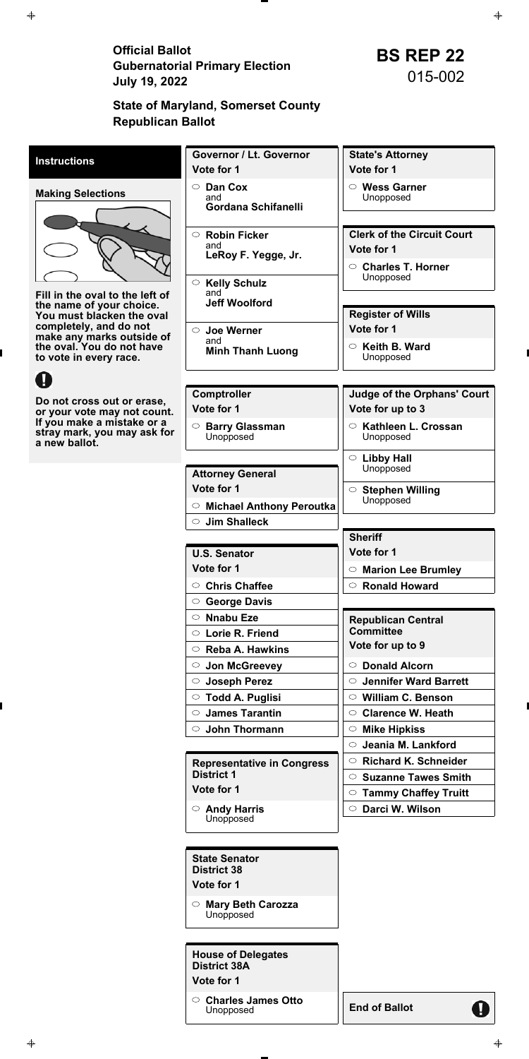Official Ballot<br>
Gubernatorial Primary Election<br>
July 19, 2022<br>
BS REP 22<br>
015-002 **July 19, 2022** 

# **State of Maryland, Somerset County Republican Ballot**

| <b>House of Delegates</b><br><b>District 38A</b><br>Vote for 1 |                      |
|----------------------------------------------------------------|----------------------|
| $\circ$ Charles James Otto<br>Unopposed                        | <b>End of Ballot</b> |

| <b>Instructions</b>                                       | <b>Governor / Lt. Governor</b>    | <b>State's Attorney</b>            |
|-----------------------------------------------------------|-----------------------------------|------------------------------------|
|                                                           | Vote for 1                        | Vote for 1                         |
| <b>Making Selections</b>                                  | <b>Dan Cox</b><br>$\circ$         | $\circ$ Wess Garner                |
|                                                           | and<br><b>Gordana Schifanelli</b> | Unopposed                          |
|                                                           |                                   |                                    |
|                                                           | $\circ$ Robin Ficker              | <b>Clerk of the Circuit Court</b>  |
|                                                           | and<br>LeRoy F. Yegge, Jr.        | Vote for 1                         |
|                                                           |                                   | $\circ$ Charles T. Horner          |
|                                                           | $\circ$ Kelly Schulz              | Unopposed                          |
| Fill in the oval to the left of                           | and<br><b>Jeff Woolford</b>       |                                    |
| the name of your choice.<br>You must blacken the oval     |                                   | <b>Register of Wills</b>           |
| completely, and do not                                    | ○ Joe Werner                      | Vote for 1                         |
| make any marks outside of<br>the oval. You do not have    | and<br><b>Minh Thanh Luong</b>    | Keith B. Ward<br>O                 |
| to vote in every race.                                    |                                   | Unopposed                          |
|                                                           |                                   |                                    |
|                                                           | <b>Comptroller</b>                | <b>Judge of the Orphans' Court</b> |
| Do not cross out or erase,<br>or your vote may not count. | Vote for 1                        | Vote for up to 3                   |
| If you make a mistake or a                                | $\circ$ Barry Glassman            | ○ Kathleen L. Crossan              |
| stray mark, you may ask for<br>a new ballot.              | Unopposed                         | Unopposed                          |
|                                                           |                                   | $\circ$ Libby Hall                 |
|                                                           | <b>Attorney General</b>           | Unopposed                          |
|                                                           | Vote for 1                        | $\circ$ Stephen Willing            |
|                                                           | <b>Michael Anthony Peroutka</b>   | Unopposed                          |
|                                                           | $\circ$ Jim Shalleck              |                                    |
|                                                           |                                   | <b>Sheriff</b>                     |
|                                                           | <b>U.S. Senator</b>               | Vote for 1                         |
|                                                           | Vote for 1                        | <b>Marion Lee Brumley</b>          |
|                                                           | $\circ$ Chris Chaffee             | $\circ$ Ronald Howard              |
|                                                           | $\circ$ George Davis              |                                    |
|                                                           | $\circ$ Nnabu Eze                 | <b>Republican Central</b>          |
|                                                           | $\circ$ Lorie R. Friend           | <b>Committee</b>                   |
|                                                           | $\circ$ Reba A. Hawkins           | Vote for up to 9                   |
|                                                           | $\circ$ Jon McGreevey             | ○ Donald Alcorn                    |
|                                                           | $\circ$ Joseph Perez              | $\circ$ Jennifer Ward Barrett      |
|                                                           | $\circ$ Todd A. Puglisi           | $\circ$ William C. Benson          |
|                                                           | $\circ$ James Tarantin            | $\circ$ Clarence W. Heath          |
|                                                           | <b>John Thormann</b><br>$\circ$   | $\circ$ Mike Hipkiss               |
|                                                           |                                   | $\circ$ Jeania M. Lankford         |
|                                                           | <b>Representative in Congress</b> | $\circ$ Richard K. Schneider       |
|                                                           | <b>District 1</b>                 | $\circ$ Suzanne Tawes Smith        |

**Vote for 1** 

**Andy Harris** Unopposed

**State Senator District 38** 

**Vote for 1** 

**Mary Beth Carozza** Unopposed

**Tammy Chaffey Truitt** 

**Darci W. Wilson**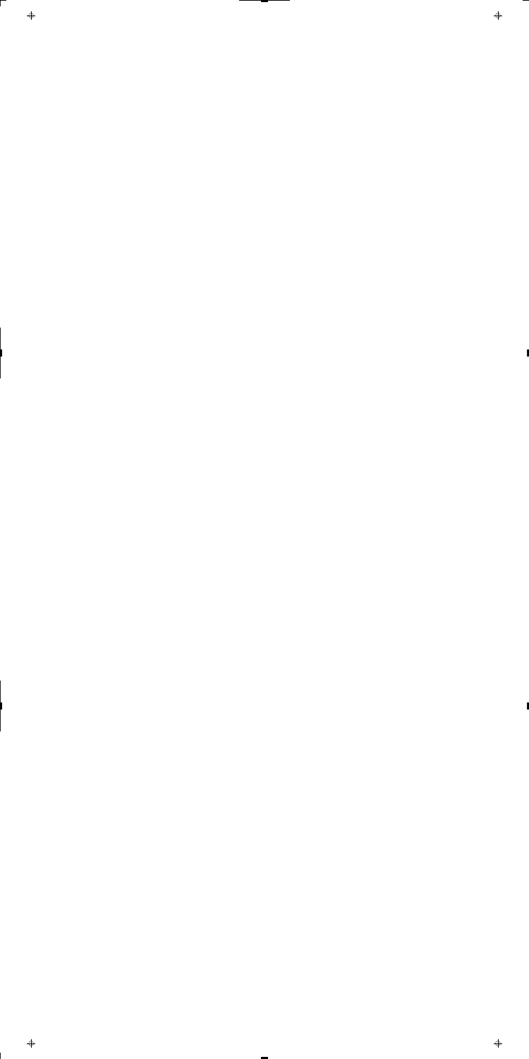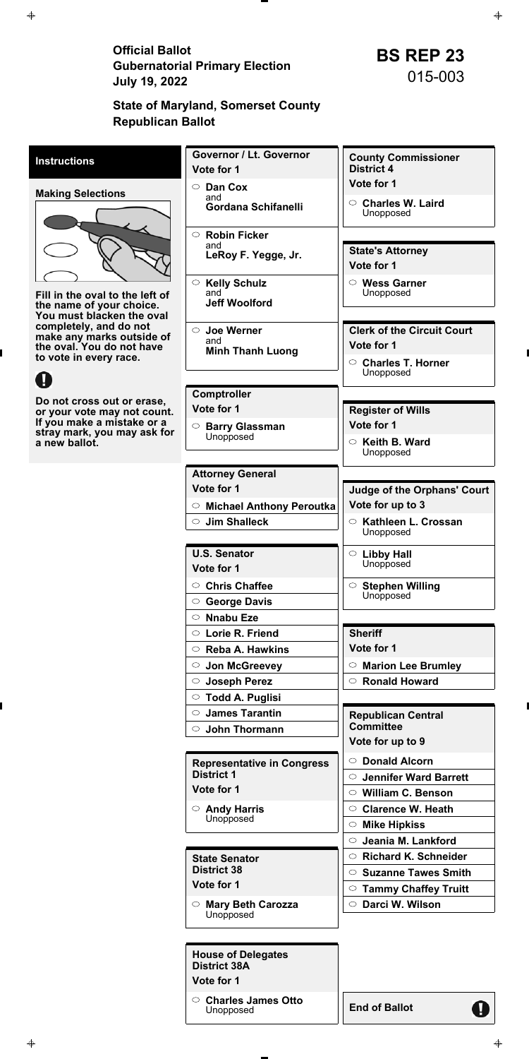Official Ballot<br>
Gubernatorial Primary Election<br>
July 19. 2022<br> **BS REP 23**<br>
015-003 **July 19, 2022** 

**State of Maryland, Somerset County Republican Ballot** 

| <b>House of Delegates</b><br><b>District 38A</b><br>Vote for 1 |                      |
|----------------------------------------------------------------|----------------------|
| $\circ$ Charles James Otto                                     | <b>End of Ballot</b> |
| Unopposed                                                      | Н                    |

| <b>Instructions</b>                                         | Governor / Lt. Governor<br>Vote for 1                            | <b>County Commissioner</b><br><b>District 4</b>  |
|-------------------------------------------------------------|------------------------------------------------------------------|--------------------------------------------------|
| <b>Making Selections</b>                                    | Dan Cox<br>$\circ$                                               | Vote for 1                                       |
|                                                             | and<br><b>Gordana Schifanelli</b>                                | <b>Charles W. Laird</b><br>$\circ$<br>Unopposed  |
|                                                             | $\circ$ Robin Ficker                                             |                                                  |
|                                                             | and<br>LeRoy F. Yegge, Jr.                                       | <b>State's Attorney</b><br>Vote for 1            |
| Fill in the oval to the left of<br>the name of your choice. | $\bigcirc$<br><b>Kelly Schulz</b><br>and<br><b>Jeff Woolford</b> | $\circ$ Wess Garner<br>Unopposed                 |
| You must blacken the oval<br>completely, and do not         |                                                                  |                                                  |
| make any marks outside of                                   | ○ Joe Werner<br>and                                              | <b>Clerk of the Circuit Court</b>                |
| the oval. You do not have<br>to vote in every race.         | <b>Minh Thanh Luong</b>                                          | Vote for 1                                       |
|                                                             |                                                                  | <b>Charles T. Horner</b><br>$\circ$<br>Unopposed |
|                                                             | <b>Comptroller</b>                                               |                                                  |
| Do not cross out or erase,<br>or your vote may not count.   | Vote for 1                                                       | <b>Register of Wills</b>                         |
| If you make a mistake or a<br>stray mark, you may ask for   | <b>Barry Glassman</b><br>$\circ$                                 | Vote for 1                                       |
| a new ballot.                                               | Unopposed                                                        | $\circ$ Keith B. Ward<br>Unopposed               |
|                                                             | <b>Attorney General</b>                                          |                                                  |
|                                                             | Vote for 1                                                       | <b>Judge of the Orphans' Court</b>               |
|                                                             | $\circ$ Michael Anthony Peroutka                                 | Vote for up to 3                                 |
|                                                             | $\circ$ Jim Shalleck                                             | $\circ$ Kathleen L. Crossan<br>Unopposed         |
|                                                             | <b>U.S. Senator</b>                                              | $\circ$ Libby Hall                               |
|                                                             | Vote for 1                                                       | Unopposed                                        |
|                                                             | $\circ$ Chris Chaffee                                            | <b>Stephen Willing</b>                           |
|                                                             | $\circ$ George Davis                                             | Unopposed                                        |
|                                                             | $\circ$ Nnabu Eze                                                |                                                  |
|                                                             | $\circ$ Lorie R. Friend                                          | <b>Sheriff</b>                                   |
|                                                             | $\circ$ Reba A. Hawkins                                          | Vote for 1                                       |
|                                                             | ○ Jon McGreevey                                                  | <b>Marion Lee Brumley</b><br>$\circ$             |
|                                                             | ○ Joseph Perez                                                   | $\circ$ Ronald Howard                            |
|                                                             | $\circ$ Todd A. Puglisi                                          |                                                  |
|                                                             | $\circ$ James Tarantin                                           | <b>Republican Central</b>                        |
|                                                             | $\circ$ John Thormann                                            | <b>Committee</b><br>Vote for up to 9             |
|                                                             |                                                                  | O Donald Alcorn                                  |
|                                                             | <b>Representative in Congress</b><br><b>District 1</b>           | <b>Jennifer Ward Barrett</b><br>$\circ$          |
|                                                             | Vote for 1                                                       | $\circ$ William C. Benson                        |
|                                                             | $\circ$ Andy Harris                                              | <b>Clarence W. Heath</b><br>$\circ$              |
|                                                             | Unopposed                                                        | $\circ$ Mike Hipkiss                             |
|                                                             |                                                                  | $\circ$ Jeania M. Lankford                       |
|                                                             | <b>State Senator</b>                                             | $\circ$ Richard K. Schneider                     |
|                                                             | <b>District 38</b>                                               | <b>Suzanne Tawes Smith</b><br>$\circ$            |
|                                                             | Vote for 1                                                       | $\circ$ Tammy Chaffey Truitt                     |
|                                                             | ○ Mary Beth Carozza                                              | ○ Darci W. Wilson                                |
|                                                             | Unopposed                                                        |                                                  |

 $\spadesuit$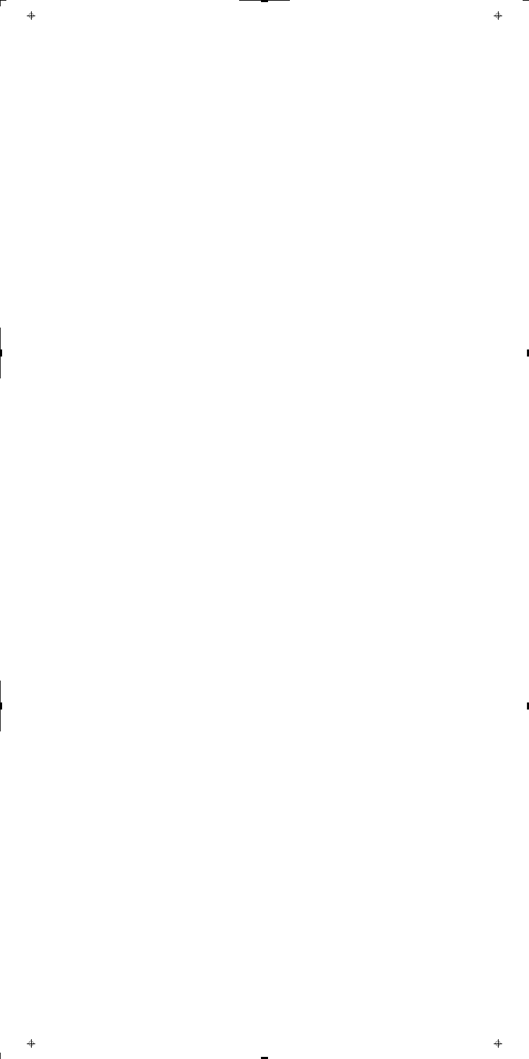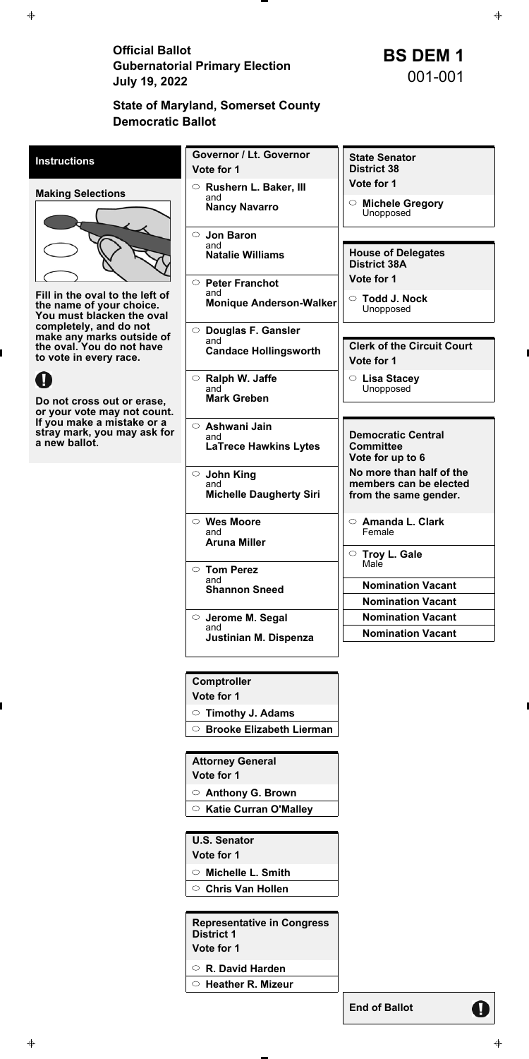Official Ballot<br>
Gubernatorial Primary Election<br>
July 19 2022<br> **BS DEM 1**<br>
001-001 **July 19, 2022** 

# **State of Maryland, Somerset County Democratic Ballot**

**End of Ballot** 

Ø

| <b>Instructions</b>                                                                      | <b>Governor / Lt. Governor</b><br>Vote for 1                | <b>State Senator</b><br><b>District 38</b>                        |
|------------------------------------------------------------------------------------------|-------------------------------------------------------------|-------------------------------------------------------------------|
| <b>Making Selections</b>                                                                 | $\circ$ Rushern L. Baker, III                               | Vote for 1                                                        |
|                                                                                          | and<br><b>Nancy Navarro</b>                                 | $\circ$ Michele Gregory<br>Unopposed                              |
|                                                                                          | $\circ$ Jon Baron                                           |                                                                   |
|                                                                                          | and<br><b>Natalie Williams</b>                              | <b>House of Delegates</b><br><b>District 38A</b>                  |
|                                                                                          | <b>Peter Franchot</b><br>$\circ$                            | Vote for 1                                                        |
| Fill in the oval to the left of<br>the name of your choice.<br>You must blacken the oval | and<br><b>Monique Anderson-Walker</b>                       | <b>Todd J. Nock</b><br>$\circ$<br>Unopposed                       |
| completely, and do not<br>make any marks outside of                                      | Douglas F. Gansler<br>$\circ$                               |                                                                   |
| the oval. You do not have<br>to vote in every race.                                      | and<br><b>Candace Hollingsworth</b>                         | <b>Clerk of the Circuit Court</b><br>Vote for 1                   |
|                                                                                          | $\circ$ Ralph W. Jaffe                                      | $\circ$ Lisa Stacey                                               |
| Do not cross out or erase,<br>or your vote may not count.                                | and<br><b>Mark Greben</b>                                   | Unopposed                                                         |
| If you make a mistake or a<br>stray mark, you may ask for<br>a new ballot.               | $\circ$ Ashwani Jain<br>and<br><b>LaTrece Hawkins Lytes</b> | <b>Democratic Central</b><br><b>Committee</b><br>Vote for up to 6 |
|                                                                                          | $\circ$ John King<br>and                                    | No more than half of the<br>members can be elected                |
|                                                                                          | <b>Michelle Daugherty Siri</b>                              | from the same gender.                                             |
|                                                                                          | $\circ$ Wes Moore<br>and<br><b>Aruna Miller</b>             | <b>Amanda L. Clark</b><br>$\circ$<br>Female                       |
|                                                                                          |                                                             | ○ Troy L. Gale                                                    |
|                                                                                          | $\circ$ Tom Perez<br>and                                    | Male                                                              |
|                                                                                          | <b>Shannon Sneed</b>                                        | <b>Nomination Vacant</b>                                          |
|                                                                                          |                                                             | <b>Nomination Vacant</b>                                          |
|                                                                                          | $\circ$ Jerome M. Segal<br>and                              | <b>Nomination Vacant</b>                                          |
|                                                                                          | Justinian M. Dispenza                                       | <b>Nomination Vacant</b>                                          |
|                                                                                          |                                                             |                                                                   |

**Comptroller** 

**Vote for 1** 

**Timothy J. Adams** 

**Brooke Elizabeth Lierman** 

**Attorney General Vote for 1** 

**Anthony G. Brown** 

**Katie Curran O'Malley** 

**U.S. Senator** 

**Vote for 1** 

**Michelle L. Smith** 

**Chris Van Hollen** 

**Representative in Congress District 1** 

**Vote for 1** 

**R. David Harden**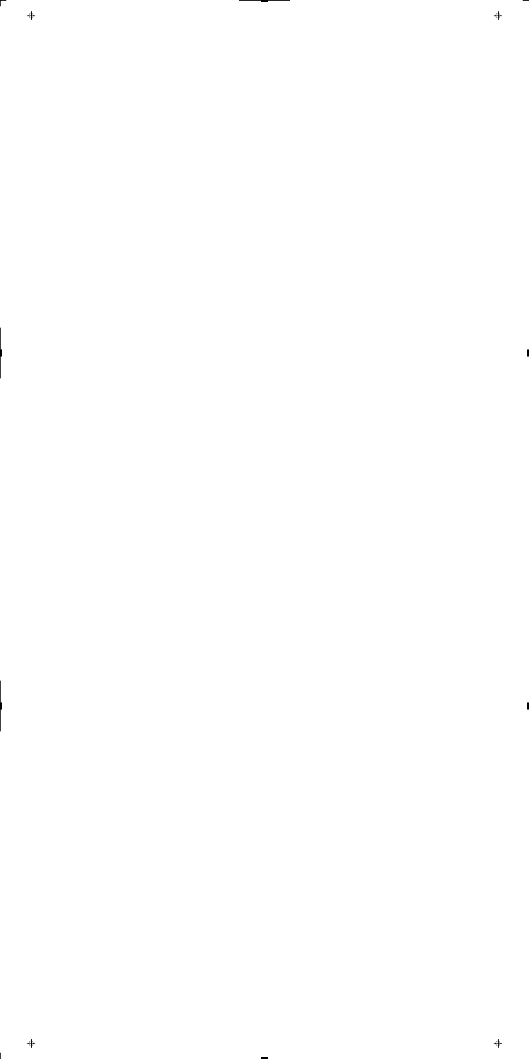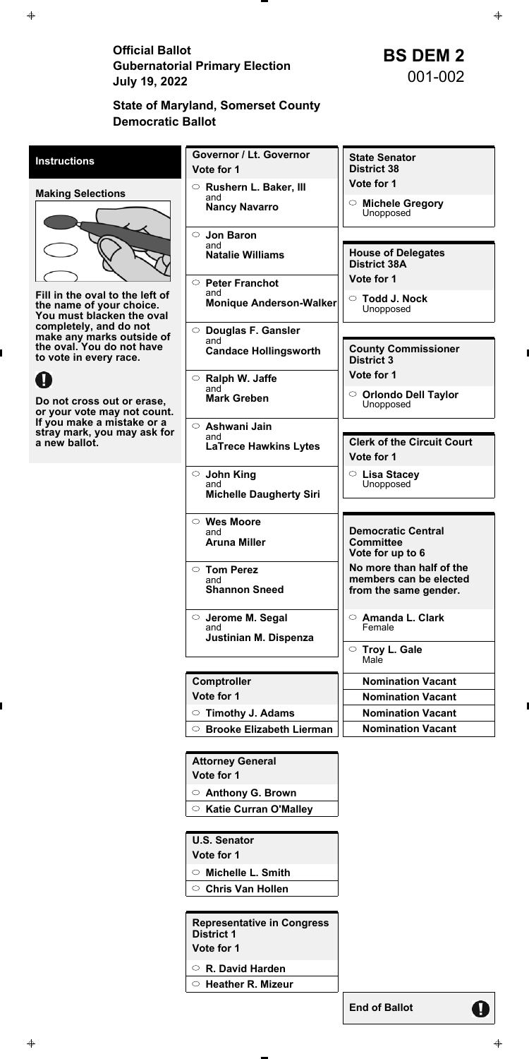Official Ballot<br>
Gubernatorial Primary Election<br>
July 19, 2022<br> **BS DEM 2**<br>
001-002 **July 19, 2022** 

### **State of Maryland, Somerset County Democratic Ballot**

**End of Ballot** 

q

| <b>Instructions</b>                                                                      | <b>Governor / Lt. Governor</b><br>Vote for 1                                            | <b>State Senator</b><br><b>District 38</b>                                  |
|------------------------------------------------------------------------------------------|-----------------------------------------------------------------------------------------|-----------------------------------------------------------------------------|
|                                                                                          | $\circ$ Rushern L. Baker, III                                                           | Vote for 1                                                                  |
| <b>Making Selections</b>                                                                 | and<br><b>Nancy Navarro</b>                                                             | $\circ$ Michele Gregory<br>Unopposed                                        |
|                                                                                          | <b>Jon Baron</b><br>$\circ$<br>and<br><b>Natalie Williams</b><br>$\circ$ Peter Franchot | <b>House of Delegates</b><br><b>District 38A</b><br>Vote for 1              |
| Fill in the oval to the left of<br>the name of your choice.<br>You must blacken the oval | and<br><b>Monique Anderson-Walker</b>                                                   | <b>Todd J. Nock</b><br>$\circ$<br>Unopposed                                 |
| completely, and do not                                                                   | $\circ$ Douglas F. Gansler                                                              |                                                                             |
| make any marks outside of<br>the oval. You do not have<br>to vote in every race.         | and<br><b>Candace Hollingsworth</b>                                                     | <b>County Commissioner</b><br><b>District 3</b>                             |
|                                                                                          | $\circ$ Ralph W. Jaffe                                                                  | Vote for 1                                                                  |
| Do not cross out or erase,<br>or your vote may not count.                                | and<br><b>Mark Greben</b>                                                               | $\circ$ Orlondo Dell Taylor<br>Unopposed                                    |
| If you make a mistake or a<br>stray mark, you may ask for<br>a new ballot.               | $\circ$ Ashwani Jain<br>and<br><b>LaTrece Hawkins Lytes</b>                             | <b>Clerk of the Circuit Court</b><br>Vote for 1                             |
|                                                                                          | $\circ$ John King<br>and<br><b>Michelle Daugherty Siri</b>                              | $\circ$ Lisa Stacey<br>Unopposed                                            |
|                                                                                          | $\circ$ Wes Moore                                                                       |                                                                             |
|                                                                                          | and<br><b>Aruna Miller</b>                                                              | Democratic Central<br><b>Committee</b><br>Vote for up to 6                  |
|                                                                                          | $\circ$ Tom Perez<br>and<br><b>Shannon Sneed</b>                                        | No more than half of the<br>members can be elected<br>from the same gender. |
|                                                                                          | $\circ$ Jerome M. Segal<br>and<br>Justinian M. Dispenza                                 | $\circ$ Amanda L. Clark<br>Female                                           |
|                                                                                          |                                                                                         | $\circ$ Troy L. Gale<br>Male                                                |
|                                                                                          | Comptroller                                                                             | <b>Nomination Vacant</b>                                                    |
|                                                                                          | Vote for 1                                                                              | <b>Nomination Vacant</b>                                                    |
|                                                                                          | <b>Timothy J. Adams</b><br>$\circ$                                                      | <b>Nomination Vacant</b>                                                    |
|                                                                                          | ○ Brooke Elizabeth Lierman                                                              | <b>Nomination Vacant</b>                                                    |
|                                                                                          |                                                                                         |                                                                             |

**Attorney General Vote for 1** 

**Anthony G. Brown** 

**Katie Curran O'Malley** 

**U.S. Senator** 

**Vote for 1** 

**Michelle L. Smith** 

**Chris Van Hollen** 

**Representative in Congress District 1** 

**Vote for 1** 

**R. David Harden**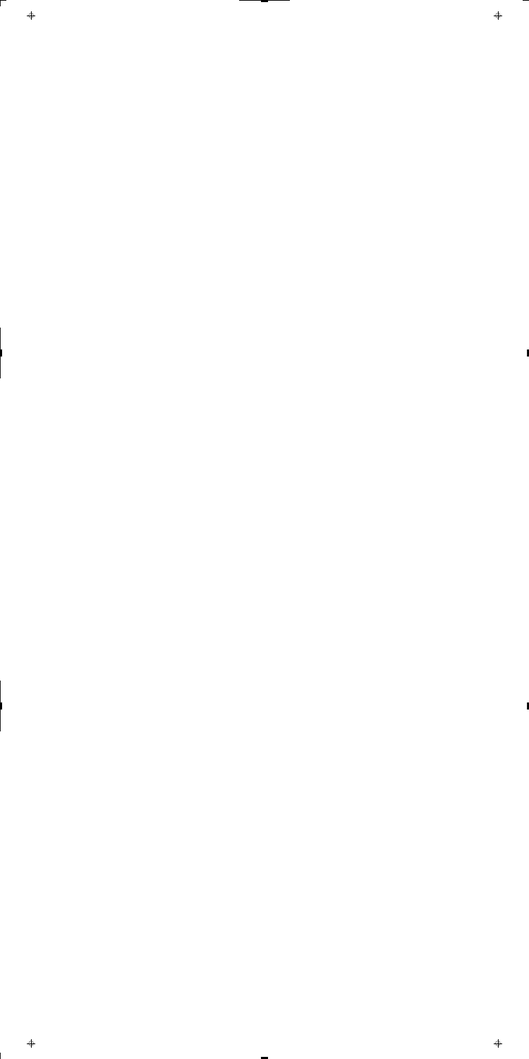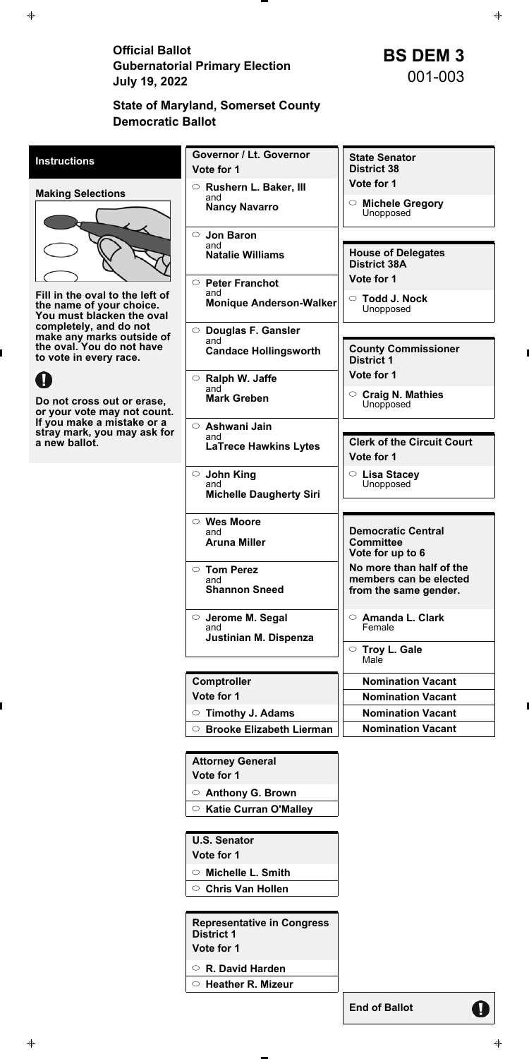Official Ballot<br>
Gubernatorial Primary Election<br>
July 19, 2022<br> **BS DEM 3**<br>
001-003 **July 19, 2022** 

# **State of Maryland, Somerset County Democratic Ballot**

**End of Ballot** 

q

| <b>Instructions</b>                                                                                                                            | Governor / Lt. Governor<br>Vote for 1                                                                                                                    | <b>State Senator</b><br><b>District 38</b>                                                                    |
|------------------------------------------------------------------------------------------------------------------------------------------------|----------------------------------------------------------------------------------------------------------------------------------------------------------|---------------------------------------------------------------------------------------------------------------|
|                                                                                                                                                | $\circ$ Rushern L. Baker, III                                                                                                                            | Vote for 1                                                                                                    |
| <b>Making Selections</b><br>Fill in the oval to the left of<br>the name of your choice.<br>You must blacken the oval<br>completely, and do not | and<br><b>Nancy Navarro</b>                                                                                                                              | <b>Michele Gregory</b><br>$\circ$<br>Unopposed                                                                |
|                                                                                                                                                | $\circ$ Jon Baron<br>and<br><b>Natalie Williams</b><br><b>Peter Franchot</b><br>$\circ$<br>and<br><b>Monique Anderson-Walker</b><br>○ Douglas F. Gansler | <b>House of Delegates</b><br><b>District 38A</b><br>Vote for 1<br><b>Todd J. Nock</b><br>$\circ$<br>Unopposed |
| make any marks outside of<br>the oval. You do not have<br>to vote in every race.                                                               | and<br><b>Candace Hollingsworth</b>                                                                                                                      | <b>County Commissioner</b><br><b>District 1</b>                                                               |
| U                                                                                                                                              | $\circ$ Ralph W. Jaffe                                                                                                                                   | Vote for 1                                                                                                    |
| Do not cross out or erase,<br>or your vote may not count.                                                                                      | and<br><b>Mark Greben</b>                                                                                                                                | <b>Craig N. Mathies</b><br>$\circ$<br>Unopposed                                                               |
| If you make a mistake or a<br>stray mark, you may ask for<br>a new ballot.                                                                     | ○ Ashwani Jain<br>and<br><b>LaTrece Hawkins Lytes</b>                                                                                                    | <b>Clerk of the Circuit Court</b><br>Vote for 1                                                               |
|                                                                                                                                                | $\circ$ John King<br>and<br><b>Michelle Daugherty Siri</b>                                                                                               | $\circ$ Lisa Stacey<br>Unopposed                                                                              |
|                                                                                                                                                | $\circ$ Wes Moore<br>and<br><b>Aruna Miller</b>                                                                                                          | <b>Democratic Central</b><br><b>Committee</b><br>Vote for up to 6                                             |
|                                                                                                                                                | $\circ$ Tom Perez<br>and<br><b>Shannon Sneed</b>                                                                                                         | No more than half of the<br>members can be elected<br>from the same gender.                                   |
|                                                                                                                                                | $\circ$ Jerome M. Segal<br>and<br>Justinian M. Dispenza                                                                                                  | Amanda L. Clark<br>$\circ$<br>Female                                                                          |
|                                                                                                                                                |                                                                                                                                                          | $\circ$ Troy L. Gale<br>Male                                                                                  |
|                                                                                                                                                | <b>Comptroller</b>                                                                                                                                       | <b>Nomination Vacant</b>                                                                                      |
|                                                                                                                                                | Vote for 1                                                                                                                                               | <b>Nomination Vacant</b>                                                                                      |
|                                                                                                                                                | $\circ$ Timothy J. Adams                                                                                                                                 | <b>Nomination Vacant</b>                                                                                      |
|                                                                                                                                                | <b>Brooke Elizabeth Lierman</b><br>$\circ$                                                                                                               | <b>Nomination Vacant</b>                                                                                      |

**Attorney General Vote for 1** 

**Anthony G. Brown** 

**Katie Curran O'Malley** 

**U.S. Senator** 

**Vote for 1** 

**Michelle L. Smith** 

**Chris Van Hollen** 

**Representative in Congress District 1** 

**Vote for 1** 

**R. David Harden**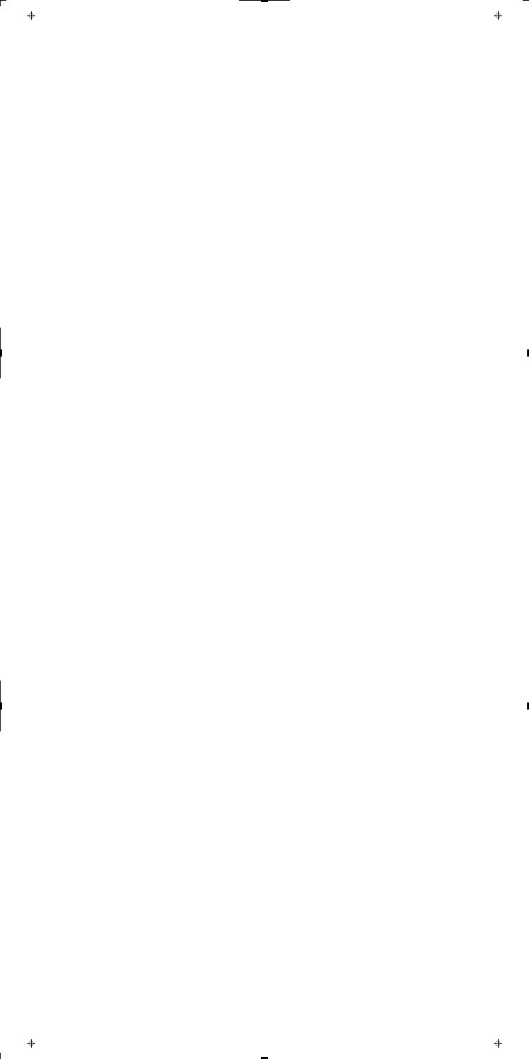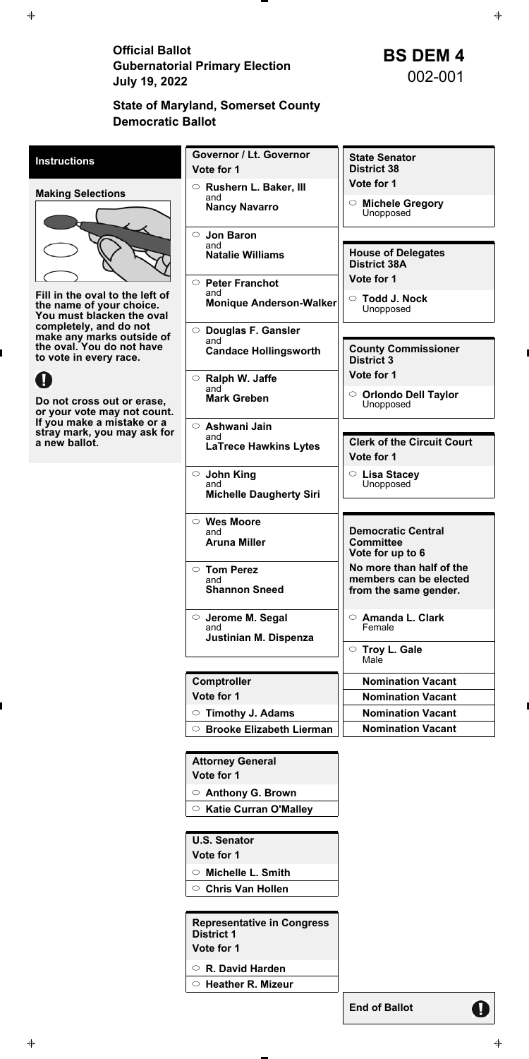Official Ballot<br>
Gubernatorial Primary Election<br>
July 19, 2022<br> **BS DEM 4**<br>
002-001 **July 19, 2022** 

### **State of Maryland, Somerset County Democratic Ballot**

**End of Ballot** 

q

| <b>Instructions</b>                                                                      | <b>Governor / Lt. Governor</b><br>Vote for 1 | <b>State Senator</b><br><b>District 38</b>                        |
|------------------------------------------------------------------------------------------|----------------------------------------------|-------------------------------------------------------------------|
| <b>Making Selections</b>                                                                 | ○ Rushern L. Baker, III                      | Vote for 1                                                        |
|                                                                                          | and<br><b>Nancy Navarro</b>                  | <b>Michele Gregory</b><br>$\circ$<br>Unopposed                    |
|                                                                                          | $\circ$ Jon Baron                            |                                                                   |
|                                                                                          | and<br><b>Natalie Williams</b>               | <b>House of Delegates</b><br><b>District 38A</b>                  |
|                                                                                          | $\circ$ Peter Franchot                       | Vote for 1                                                        |
| Fill in the oval to the left of<br>the name of your choice.<br>You must blacken the oval | and<br><b>Monique Anderson-Walker</b>        | <b>Todd J. Nock</b><br>$\circ$<br>Unopposed                       |
| completely, and do not<br>make any marks outside of                                      | $\circ$ Douglas F. Gansler                   |                                                                   |
| the oval. You do not have<br>to vote in every race.                                      | and<br><b>Candace Hollingsworth</b>          | <b>County Commissioner</b><br><b>District 3</b>                   |
|                                                                                          | $\circ$ Ralph W. Jaffe                       | Vote for 1                                                        |
| Do not cross out or erase,<br>or your vote may not count.                                | and<br><b>Mark Greben</b>                    | $\circ$ Orlondo Dell Taylor<br>Unopposed                          |
| If you make a mistake or a<br>stray mark, you may ask for                                | $\circ$ Ashwani Jain                         |                                                                   |
| a new ballot.                                                                            | and<br><b>LaTrece Hawkins Lytes</b>          | <b>Clerk of the Circuit Court</b><br>Vote for 1                   |
|                                                                                          | $\circ$ John King<br>and                     | C Lisa Stacey<br>Unopposed                                        |
|                                                                                          | <b>Michelle Daugherty Siri</b>               |                                                                   |
|                                                                                          | $\circ$ Wes Moore                            |                                                                   |
|                                                                                          | and<br><b>Aruna Miller</b>                   | <b>Democratic Central</b><br><b>Committee</b><br>Vote for up to 6 |
|                                                                                          | $\circ$ Tom Perez                            | No more than half of the                                          |
|                                                                                          | and<br><b>Shannon Sneed</b>                  | members can be elected<br>from the same gender.                   |
|                                                                                          | $\circ$ Jerome M. Segal<br>and               | $\circ$ Amanda L. Clark<br>Female                                 |
|                                                                                          | Justinian M. Dispenza                        | $\circ$ Troy L. Gale<br>Male                                      |
|                                                                                          | <b>Comptroller</b>                           | <b>Nomination Vacant</b>                                          |
|                                                                                          | Vote for 1                                   | <b>Nomination Vacant</b>                                          |
|                                                                                          | $\circ$ Timothy J. Adams                     | <b>Nomination Vacant</b>                                          |
|                                                                                          | $\circ$ Brooke Elizabeth Lierman             | <b>Nomination Vacant</b>                                          |
|                                                                                          |                                              |                                                                   |

**Attorney General Vote for 1** 

**Anthony G. Brown** 

**Katie Curran O'Malley** 

**U.S. Senator** 

**Vote for 1** 

**Michelle L. Smith** 

**Chris Van Hollen** 

**Representative in Congress District 1** 

**Vote for 1** 

**R. David Harden**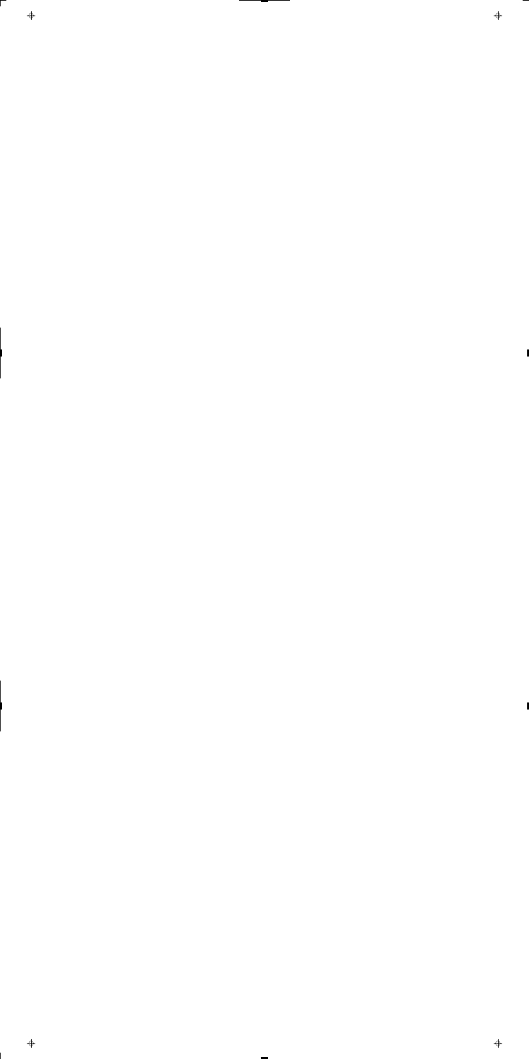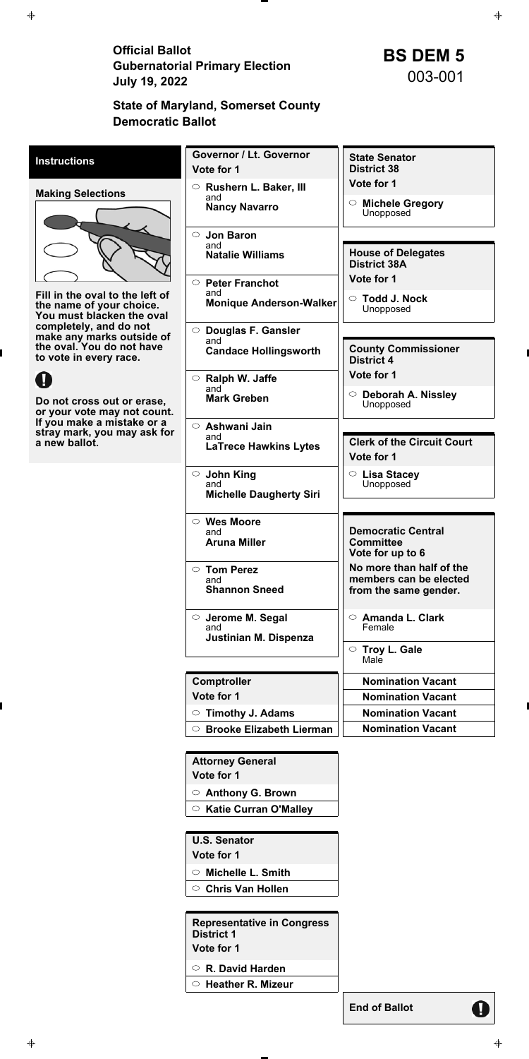Official Ballot<br>
Gubernatorial Primary Election<br>
July 19, 2022<br> **BS DEM 5**<br>
O03-001 **July 19, 2022** 



### **State of Maryland, Somerset County Democratic Ballot**

**End of Ballot** 

q

| <b>Instructions</b>                                                                                        | <b>Governor / Lt. Governor</b><br>Vote for 1                                | <b>State Senator</b><br><b>District 38</b>                                  |
|------------------------------------------------------------------------------------------------------------|-----------------------------------------------------------------------------|-----------------------------------------------------------------------------|
| <b>Making Selections</b>                                                                                   | ○ Rushern L. Baker, III<br>and<br><b>Nancy Navarro</b>                      | Vote for 1<br><b>Michele Gregory</b><br>$\circ$<br>Unopposed                |
|                                                                                                            | $\circ$ Jon Baron<br>and<br><b>Natalie Williams</b>                         | <b>House of Delegates</b><br><b>District 38A</b><br>Vote for 1              |
| Fill in the oval to the left of<br>the name of your choice.<br>You must blacken the oval                   | $\circ$ Peter Franchot<br>and<br><b>Monique Anderson-Walker</b>             | <b>Todd J. Nock</b><br>$\circ$<br>Unopposed                                 |
| completely, and do not<br>make any marks outside of<br>the oval. You do not have<br>to vote in every race. | <b>Douglas F. Gansler</b><br>$\circ$<br>and<br><b>Candace Hollingsworth</b> | <b>County Commissioner</b><br><b>District 4</b>                             |
| Do not cross out or erase,<br>or your vote may not count.                                                  | $\circ$ Ralph W. Jaffe<br>and<br><b>Mark Greben</b>                         | Vote for 1<br>Deborah A. Nissley<br>$\circ$<br>Unopposed                    |
| If you make a mistake or a<br>stray mark, you may ask for<br>a new ballot.                                 | $\circ$ Ashwani Jain<br>and<br><b>LaTrece Hawkins Lytes</b>                 | <b>Clerk of the Circuit Court</b><br>Vote for 1                             |
|                                                                                                            | $\circ$ John King<br>and<br><b>Michelle Daugherty Siri</b>                  | $\circ$ Lisa Stacey<br>Unopposed                                            |
|                                                                                                            | $\circ$ Wes Moore<br>and<br><b>Aruna Miller</b>                             | <b>Democratic Central</b><br><b>Committee</b><br>Vote for up to 6           |
|                                                                                                            | $\circ$ Tom Perez<br>and<br><b>Shannon Sneed</b>                            | No more than half of the<br>members can be elected<br>from the same gender. |
|                                                                                                            | $\circ$ Jerome M. Segal<br>and<br>Justinian M. Dispenza                     | $\circ$ Amanda L. Clark<br>Female<br>$\circ$ Troy L. Gale                   |
|                                                                                                            |                                                                             | Male                                                                        |
|                                                                                                            | Comptroller                                                                 | <b>Nomination Vacant</b>                                                    |
|                                                                                                            | Vote for 1                                                                  | <b>Nomination Vacant</b>                                                    |
|                                                                                                            | $\circ$ Timothy J. Adams<br>$\circ$ Brooke Elizabeth Lierman                | <b>Nomination Vacant</b><br><b>Nomination Vacant</b>                        |
|                                                                                                            | <b>Attorney General</b>                                                     |                                                                             |

**Vote for 1** 

**Anthony G. Brown** 

**Katie Curran O'Malley** 

**U.S. Senator** 

**Vote for 1** 

**Michelle L. Smith** 

**Chris Van Hollen** 

**Representative in Congress District 1** 

**Vote for 1** 

**R. David Harden**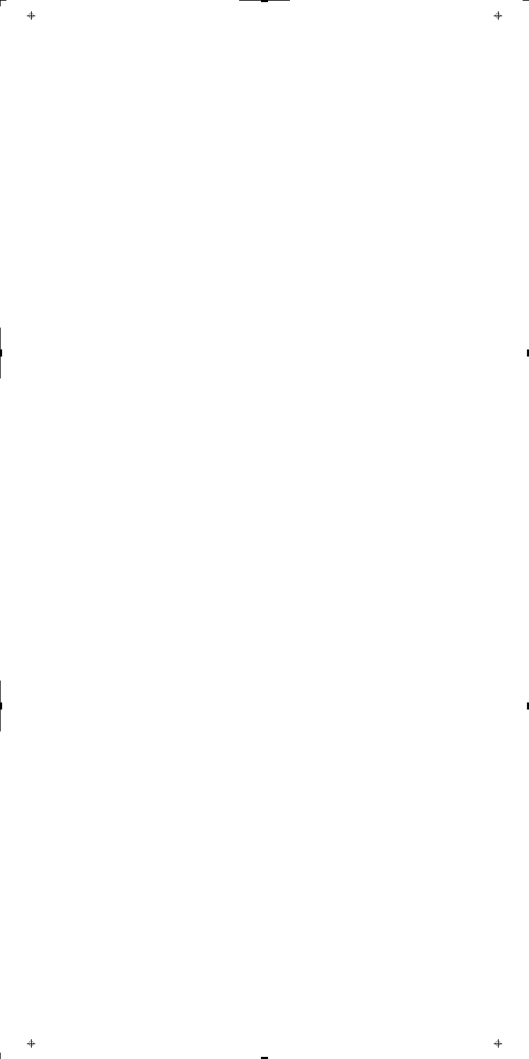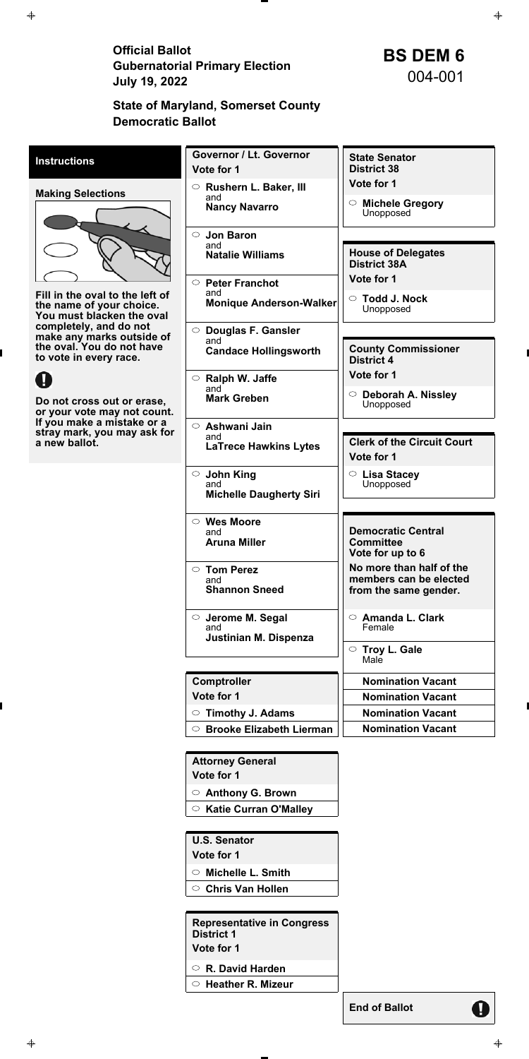Official Ballot<br>
Gubernatorial Primary Election<br>
July 19, 2022<br> **BS DEM 6**<br>
O04-001 **July 19, 2022** 

# **State of Maryland, Somerset County Democratic Ballot**

**End of Ballot** 

q

| <b>Instructions</b>                                                                      | Governor / Lt. Governor<br>Vote for 1                      | <b>State Senator</b><br><b>District 38</b>         |
|------------------------------------------------------------------------------------------|------------------------------------------------------------|----------------------------------------------------|
| <b>Making Selections</b>                                                                 | ○ Rushern L. Baker, III                                    | Vote for 1                                         |
|                                                                                          | and<br><b>Nancy Navarro</b>                                | $\circ$ Michele Gregory<br>Unopposed               |
|                                                                                          | $\circ$ Jon Baron                                          |                                                    |
|                                                                                          | and<br><b>Natalie Williams</b>                             | <b>House of Delegates</b><br><b>District 38A</b>   |
|                                                                                          | $\circ$ Peter Franchot                                     | Vote for 1                                         |
| Fill in the oval to the left of<br>the name of your choice.<br>You must blacken the oval | and<br><b>Monique Anderson-Walker</b>                      | ○ Todd J. Nock<br>Unopposed                        |
| completely, and do not                                                                   | $\circ$ Douglas F. Gansler                                 |                                                    |
| make any marks outside of<br>the oval. You do not have<br>to vote in every race.         | and<br><b>Candace Hollingsworth</b>                        | <b>County Commissioner</b><br><b>District 4</b>    |
|                                                                                          | $\circ$ Ralph W. Jaffe                                     | Vote for 1                                         |
| Do not cross out or erase,<br>or your vote may not count.                                | and<br><b>Mark Greben</b>                                  | $\circ$ Deborah A. Nissley<br>Unopposed            |
| If you make a mistake or a                                                               | $\circ$ Ashwani Jain                                       |                                                    |
| stray mark, you may ask for<br>a new ballot.                                             | and<br><b>LaTrece Hawkins Lytes</b>                        | <b>Clerk of the Circuit Court</b><br>Vote for 1    |
|                                                                                          | $\circ$ John King<br>and<br><b>Michelle Daugherty Siri</b> | $\circ$ Lisa Stacey<br>Unopposed                   |
|                                                                                          |                                                            |                                                    |
|                                                                                          | $\circ$ Wes Moore<br>and                                   | <b>Democratic Central</b>                          |
|                                                                                          | <b>Aruna Miller</b>                                        | <b>Committee</b><br>Vote for up to 6               |
|                                                                                          | $\circ$ Tom Perez<br>and                                   | No more than half of the<br>members can be elected |
|                                                                                          | <b>Shannon Sneed</b>                                       | from the same gender.                              |
|                                                                                          | $\circ$ Jerome M. Segal<br>and                             | $\circ$ Amanda L. Clark<br>Female                  |
|                                                                                          | Justinian M. Dispenza                                      | $\circ$ Troy L. Gale<br>Male                       |
|                                                                                          | <b>Comptroller</b>                                         | <b>Nomination Vacant</b>                           |
|                                                                                          | Vote for 1                                                 | <b>Nomination Vacant</b>                           |
|                                                                                          | $\circ$ Timothy J. Adams                                   | <b>Nomination Vacant</b>                           |
|                                                                                          | ○ Brooke Elizabeth Lierman                                 | <b>Nomination Vacant</b>                           |
|                                                                                          |                                                            |                                                    |

**Attorney General Vote for 1** 

**Anthony G. Brown** 

**Katie Curran O'Malley** 

**U.S. Senator** 

**Vote for 1** 

**Michelle L. Smith** 

**Chris Van Hollen** 

**Representative in Congress District 1** 

**Vote for 1** 

**R. David Harden**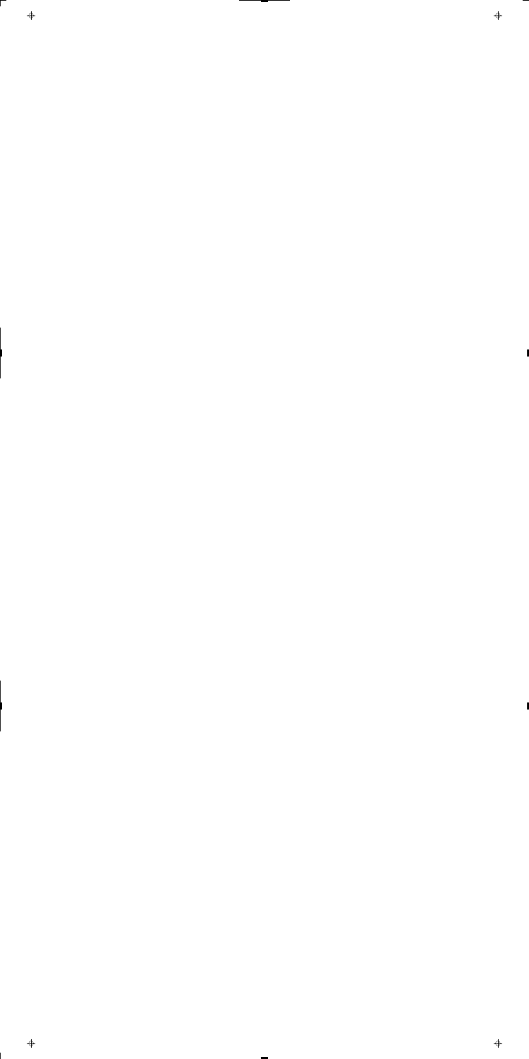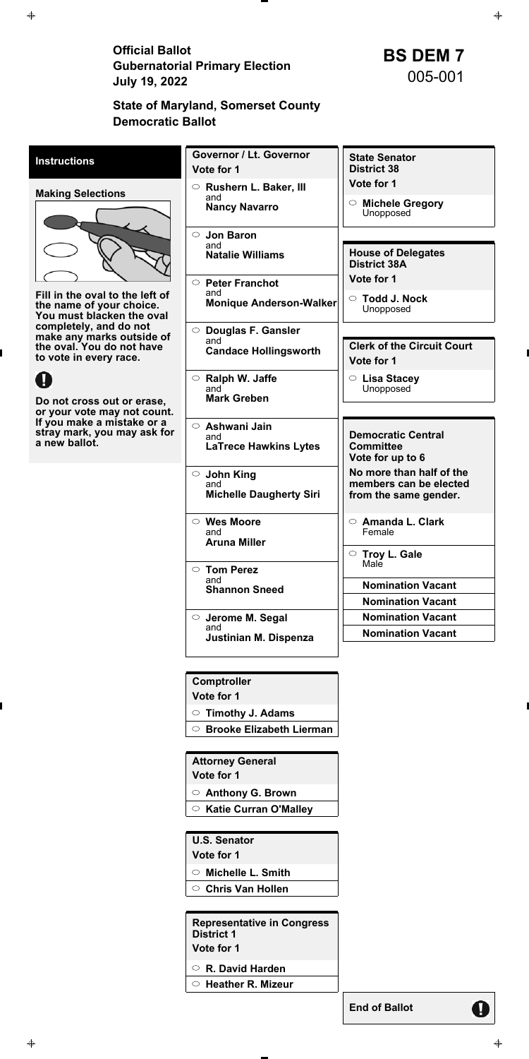Official Ballot<br>
Gubernatorial Primary Election<br>
July 19, 2022<br> **BS DEM 7**<br>
O05-001 **July 19, 2022** 



# **State of Maryland, Somerset County Democratic Ballot**

**End of Ballot** 

Ø

| <b>Instructions</b>                                                                                        | Governor / Lt. Governor<br>Vote for 1                                       | <b>State Senator</b><br><b>District 38</b>                                  |
|------------------------------------------------------------------------------------------------------------|-----------------------------------------------------------------------------|-----------------------------------------------------------------------------|
| <b>Making Selections</b>                                                                                   | $\circ$ Rushern L. Baker, III<br>and<br><b>Nancy Navarro</b>                | Vote for 1<br>$\circ$ Michele Gregory<br>Unopposed                          |
|                                                                                                            | $\circ$ Jon Baron<br>and<br><b>Natalie Williams</b>                         | <b>House of Delegates</b><br><b>District 38A</b>                            |
| Fill in the oval to the left of<br>the name of your choice.<br>You must blacken the oval                   | $\circ$ Peter Franchot<br>and<br>Monique Anderson-Walker                    | Vote for 1<br>$\circ$ Todd J. Nock<br>Unopposed                             |
| completely, and do not<br>make any marks outside of<br>the oval. You do not have<br>to vote in every race. | <b>Douglas F. Gansler</b><br>$\circ$<br>and<br><b>Candace Hollingsworth</b> | <b>Clerk of the Circuit Court</b><br>Vote for 1                             |
| Do not cross out or erase,<br>or your vote may not count.                                                  | $\circ$ Ralph W. Jaffe<br>and<br><b>Mark Greben</b>                         | $\circ$ Lisa Stacey<br>Unopposed                                            |
| If you make a mistake or a<br>stray mark, you may ask for<br>a new ballot.                                 | $\circ$ Ashwani Jain<br>and<br><b>LaTrece Hawkins Lytes</b>                 | <b>Democratic Central</b><br><b>Committee</b><br>Vote for up to 6           |
|                                                                                                            | $\circ$ John King<br>and<br><b>Michelle Daugherty Siri</b>                  | No more than half of the<br>members can be elected<br>from the same gender. |
|                                                                                                            | <b>Wes Moore</b><br>$\circ$<br>and<br><b>Aruna Miller</b>                   | <b>Amanda L. Clark</b><br>$\circ$<br>Female<br>◯ Troy L. Gale               |
|                                                                                                            | $\circ$ Tom Perez<br>and<br><b>Shannon Sneed</b>                            | Male<br><b>Nomination Vacant</b><br><b>Nomination Vacant</b>                |
|                                                                                                            | Jerome M. Segal<br>$\circ$<br>and                                           | <b>Nomination Vacant</b><br><b>Nomination Vacant</b>                        |
|                                                                                                            | Justinian M. Dispenza                                                       |                                                                             |

**Comptroller** 

**Vote for 1** 

**Timothy J. Adams** 

**Brooke Elizabeth Lierman** 

**Attorney General Vote for 1** 

 $\Rightarrow$ 

**Anthony G. Brown** 

**Katie Curran O'Malley** 

**U.S. Senator** 

**Vote for 1** 

**Michelle L. Smith** 

**Chris Van Hollen** 

**Representative in Congress District 1** 

**Vote for 1** 

**R. David Harden**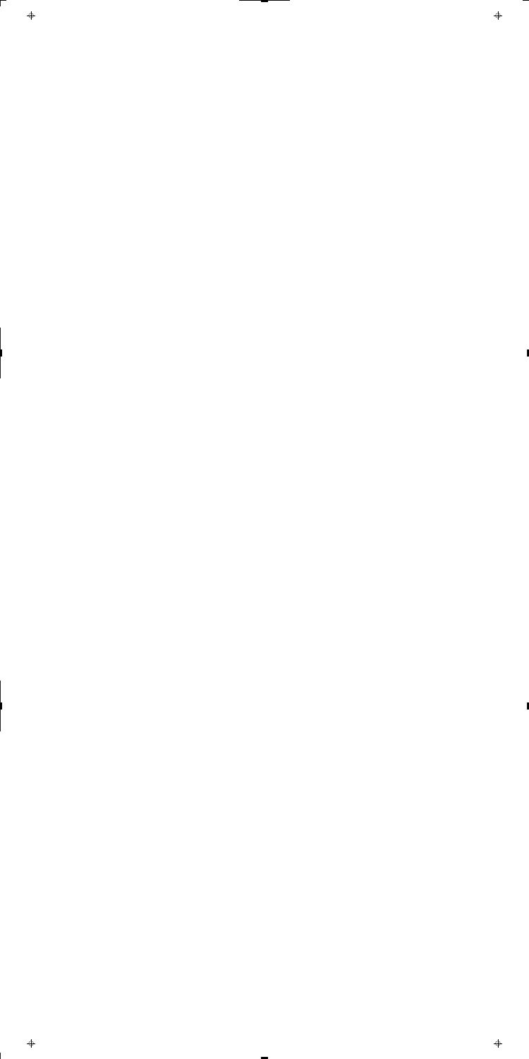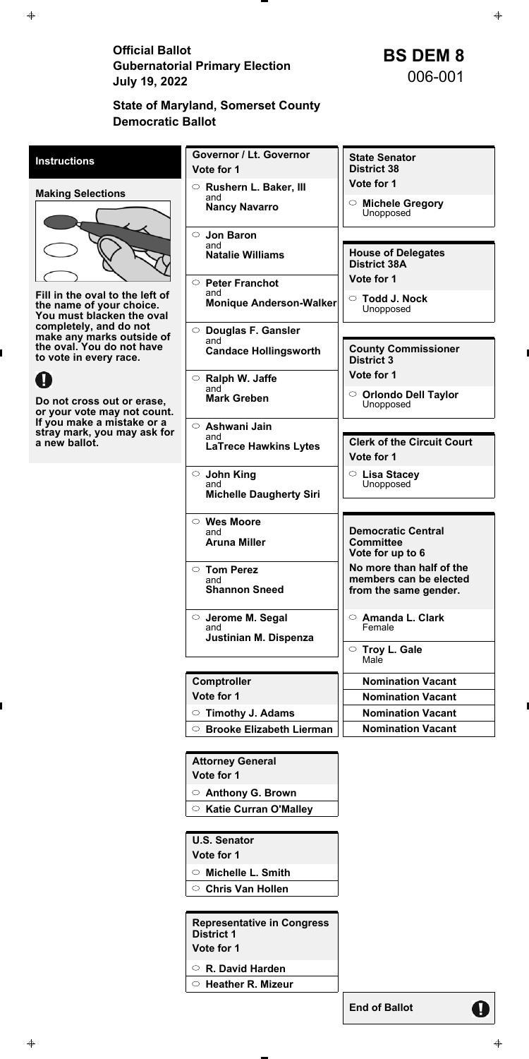Official Ballot<br>
Gubernatorial Primary Election<br>
July 19, 2022<br> **BS DEM 8**<br>
O06-001 **July 19, 2022** 

### **State of Maryland, Somerset County Democratic Ballot**

**End of Ballot** 

q

| <b>Instructions</b>                                                                      | <b>Governor / Lt. Governor</b><br>Vote for 1 | <b>State Senator</b><br><b>District 38</b>                        |
|------------------------------------------------------------------------------------------|----------------------------------------------|-------------------------------------------------------------------|
| <b>Making Selections</b>                                                                 | ○ Rushern L. Baker, III                      | Vote for 1                                                        |
|                                                                                          | and<br><b>Nancy Navarro</b>                  | <b>Michele Gregory</b><br>$\circ$<br>Unopposed                    |
|                                                                                          | $\circ$ Jon Baron                            |                                                                   |
|                                                                                          | and<br><b>Natalie Williams</b>               | <b>House of Delegates</b><br><b>District 38A</b>                  |
|                                                                                          | $\circ$ Peter Franchot                       | Vote for 1                                                        |
| Fill in the oval to the left of<br>the name of your choice.<br>You must blacken the oval | and<br><b>Monique Anderson-Walker</b>        | <b>Todd J. Nock</b><br>$\circ$<br>Unopposed                       |
| completely, and do not<br>make any marks outside of                                      | $\circ$ Douglas F. Gansler                   |                                                                   |
| the oval. You do not have<br>to vote in every race.                                      | and<br><b>Candace Hollingsworth</b>          | <b>County Commissioner</b><br><b>District 3</b>                   |
|                                                                                          | $\circ$ Ralph W. Jaffe                       | Vote for 1                                                        |
| Do not cross out or erase,<br>or your vote may not count.                                | and<br><b>Mark Greben</b>                    | $\circ$ Orlondo Dell Taylor<br>Unopposed                          |
| If you make a mistake or a<br>stray mark, you may ask for                                | $\circ$ Ashwani Jain                         |                                                                   |
| a new ballot.                                                                            | and<br><b>LaTrece Hawkins Lytes</b>          | <b>Clerk of the Circuit Court</b><br>Vote for 1                   |
|                                                                                          | $\circ$ John King<br>and                     | C Lisa Stacey<br>Unopposed                                        |
|                                                                                          | <b>Michelle Daugherty Siri</b>               |                                                                   |
|                                                                                          | $\circ$ Wes Moore                            |                                                                   |
|                                                                                          | and<br><b>Aruna Miller</b>                   | <b>Democratic Central</b><br><b>Committee</b><br>Vote for up to 6 |
|                                                                                          | $\circ$ Tom Perez                            | No more than half of the                                          |
|                                                                                          | and<br><b>Shannon Sneed</b>                  | members can be elected<br>from the same gender.                   |
|                                                                                          | $\circ$ Jerome M. Segal<br>and               | $\circ$ Amanda L. Clark<br>Female                                 |
|                                                                                          | Justinian M. Dispenza                        | $\circ$ Troy L. Gale<br>Male                                      |
|                                                                                          | <b>Comptroller</b>                           | <b>Nomination Vacant</b>                                          |
|                                                                                          | Vote for 1                                   | <b>Nomination Vacant</b>                                          |
|                                                                                          | $\circ$ Timothy J. Adams                     | <b>Nomination Vacant</b>                                          |
|                                                                                          | $\circ$ Brooke Elizabeth Lierman             | <b>Nomination Vacant</b>                                          |
|                                                                                          |                                              |                                                                   |

**Attorney General Vote for 1** 

**Anthony G. Brown** 

**Katie Curran O'Malley** 

**U.S. Senator** 

**Vote for 1** 

**Michelle L. Smith** 

**Chris Van Hollen** 

**Representative in Congress District 1** 

**Vote for 1** 

**R. David Harden**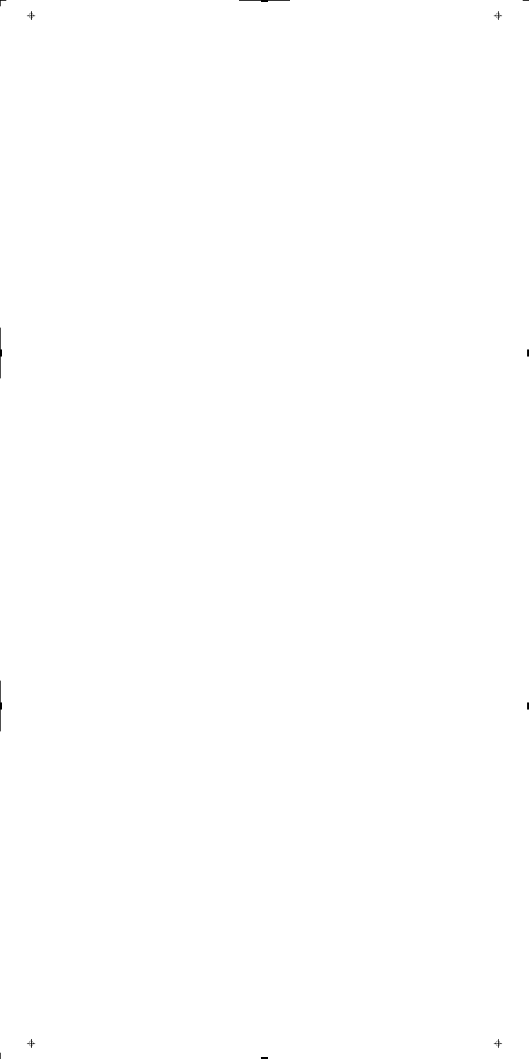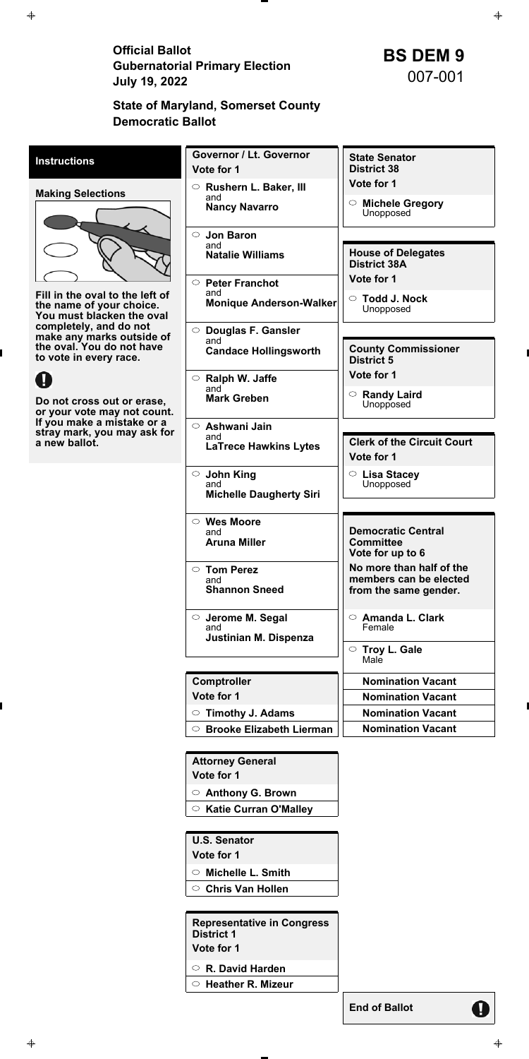Official Ballot<br>
Gubernatorial Primary Election<br>
July 19, 2022<br> **BS DEM 9**<br>
O07-001 **July 19, 2022** 

### **State of Maryland, Somerset County Democratic Ballot**

**End of Ballot** 

q

| <b>Instructions</b>                                                                      | Governor / Lt. Governor<br>Vote for 1                                                | <b>State Senator</b><br><b>District 38</b>                                  |
|------------------------------------------------------------------------------------------|--------------------------------------------------------------------------------------|-----------------------------------------------------------------------------|
|                                                                                          | $\circ$ Rushern L. Baker, III                                                        | Vote for 1                                                                  |
| <b>Making Selections</b>                                                                 | and<br><b>Nancy Navarro</b>                                                          | <b>Michele Gregory</b><br>$\circ$<br>Unopposed                              |
|                                                                                          | $\circ$ Jon Baron<br>and<br><b>Natalie Williams</b><br>$\circ$ Peter Franchot<br>and | <b>House of Delegates</b><br><b>District 38A</b><br>Vote for 1              |
| Fill in the oval to the left of<br>the name of your choice.<br>You must blacken the oval | <b>Monique Anderson-Walker</b>                                                       | <b>Todd J. Nock</b><br>$\circ$<br>Unopposed                                 |
| completely, and do not                                                                   | ○ Douglas F. Gansler                                                                 |                                                                             |
| make any marks outside of<br>the oval. You do not have<br>to vote in every race.         | and<br><b>Candace Hollingsworth</b>                                                  | <b>County Commissioner</b><br><b>District 5</b>                             |
|                                                                                          | $\circ$ Ralph W. Jaffe                                                               | Vote for 1                                                                  |
| Do not cross out or erase,<br>or your vote may not count.                                | and<br><b>Mark Greben</b>                                                            | $\circ$ Randy Laird<br>Unopposed                                            |
| If you make a mistake or a<br>stray mark, you may ask for<br>a new ballot.               | $\circ$ Ashwani Jain<br>and<br><b>LaTrece Hawkins Lytes</b>                          | <b>Clerk of the Circuit Court</b><br>Vote for 1                             |
|                                                                                          | $\circ$ John King<br>and<br><b>Michelle Daugherty Siri</b>                           | $\circ$ Lisa Stacey<br>Unopposed                                            |
|                                                                                          | $\circ$ Wes Moore<br>and<br><b>Aruna Miller</b>                                      | <b>Democratic Central</b><br><b>Committee</b><br>Vote for up to 6           |
|                                                                                          | $\circ$ Tom Perez<br>and<br><b>Shannon Sneed</b>                                     | No more than half of the<br>members can be elected<br>from the same gender. |
|                                                                                          | $\circ$ Jerome M. Segal<br>and<br>Justinian M. Dispenza                              | $\circ$ Amanda L. Clark<br>Female                                           |
|                                                                                          |                                                                                      | $\circ$ Troy L. Gale<br>Male                                                |
|                                                                                          | Comptroller                                                                          | <b>Nomination Vacant</b>                                                    |
|                                                                                          | Vote for 1                                                                           | <b>Nomination Vacant</b>                                                    |
|                                                                                          | $\circ$ Timothy J. Adams                                                             | <b>Nomination Vacant</b>                                                    |
|                                                                                          | $\circ$ Brooke Elizabeth Lierman                                                     | <b>Nomination Vacant</b>                                                    |
|                                                                                          |                                                                                      |                                                                             |

**Attorney General Vote for 1** 

**Anthony G. Brown** 

**Katie Curran O'Malley** 

**U.S. Senator** 

**Vote for 1** 

**Michelle L. Smith** 

**Chris Van Hollen** 

**Representative in Congress District 1** 

**Vote for 1** 

**R. David Harden**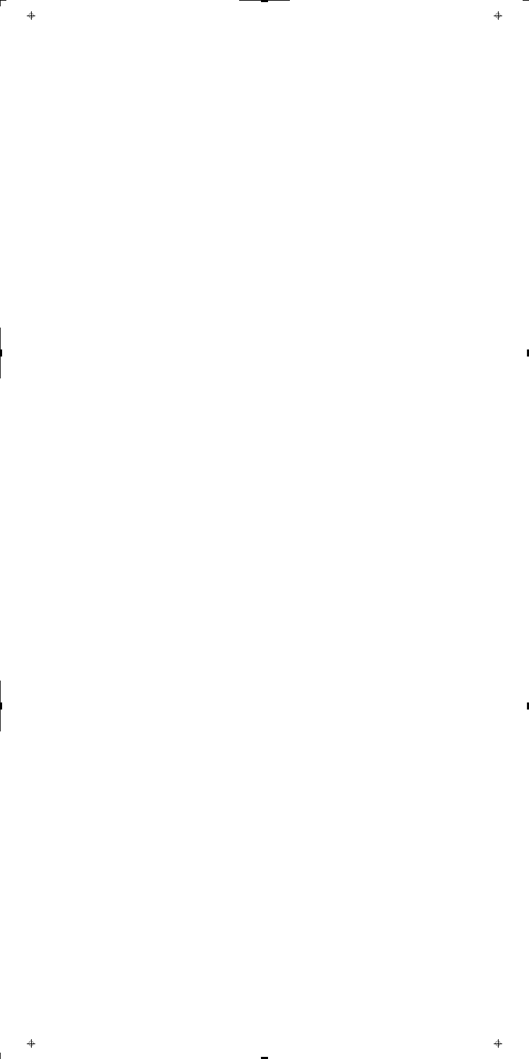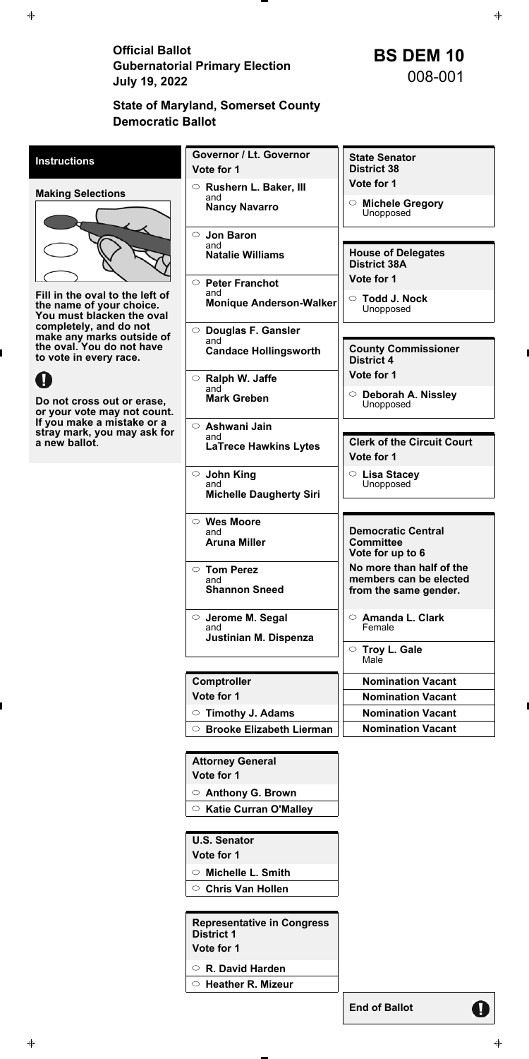Official Ballot<br>
Gubernatorial Primary Election<br>
July 19, 2022<br> **BS DEM 10**<br>
008-001 **July 19, 2022** 

### **State of Maryland, Somerset County Democratic Ballot**

**End of Ballot** 

q

| <b>Instructions</b>                                                                      | <b>Governor / Lt. Governor</b><br>Vote for 1               | <b>State Senator</b><br><b>District 38</b>                                  |
|------------------------------------------------------------------------------------------|------------------------------------------------------------|-----------------------------------------------------------------------------|
|                                                                                          | $\circ$ Rushern L. Baker, III                              | Vote for 1                                                                  |
| <b>Making Selections</b>                                                                 | and<br><b>Nancy Navarro</b>                                | <b>Michele Gregory</b><br>$\circ$<br>Unopposed                              |
|                                                                                          | $\circ$ Jon Baron                                          |                                                                             |
|                                                                                          | and<br><b>Natalie Williams</b>                             | <b>House of Delegates</b><br><b>District 38A</b>                            |
|                                                                                          | $\circ$ Peter Franchot                                     | Vote for 1                                                                  |
| Fill in the oval to the left of<br>the name of your choice.<br>You must blacken the oval | and<br><b>Monique Anderson-Walker</b>                      | <b>Todd J. Nock</b><br>$\circ$<br>Unopposed                                 |
| completely, and do not<br>make any marks outside of                                      | O Douglas F. Gansler                                       |                                                                             |
| the oval. You do not have<br>to vote in every race.                                      | and<br><b>Candace Hollingsworth</b>                        | <b>County Commissioner</b><br><b>District 4</b>                             |
|                                                                                          | $\circ$ Ralph W. Jaffe                                     | Vote for 1                                                                  |
| Do not cross out or erase,<br>or your vote may not count.                                | and<br><b>Mark Greben</b>                                  | $\circ$ Deborah A. Nissley<br>Unopposed                                     |
| If you make a mistake or a<br>stray mark, you may ask for                                | $\circ$ Ashwani Jain                                       |                                                                             |
| a new ballot.                                                                            | and<br><b>LaTrece Hawkins Lytes</b>                        | <b>Clerk of the Circuit Court</b><br>Vote for 1                             |
|                                                                                          | $\circ$ John King<br>and<br><b>Michelle Daugherty Siri</b> | $\circ$ Lisa Stacey<br>Unopposed                                            |
|                                                                                          | $\circ$ Wes Moore<br>and<br><b>Aruna Miller</b>            | <b>Democratic Central</b><br><b>Committee</b><br>Vote for up to 6           |
|                                                                                          | ○ Tom Perez<br>and<br><b>Shannon Sneed</b>                 | No more than half of the<br>members can be elected<br>from the same gender. |
|                                                                                          | $\circ$ Jerome M. Segal<br>and<br>Justinian M. Dispenza    | $\circ$ Amanda L. Clark<br>Female                                           |
|                                                                                          |                                                            | $\circ$ Troy L. Gale<br>Male                                                |
|                                                                                          | Comptroller                                                | <b>Nomination Vacant</b>                                                    |
|                                                                                          | Vote for 1                                                 | <b>Nomination Vacant</b>                                                    |
|                                                                                          | $\circ$ Timothy J. Adams                                   | <b>Nomination Vacant</b>                                                    |
|                                                                                          | $\circ$ Brooke Elizabeth Lierman                           | <b>Nomination Vacant</b>                                                    |
|                                                                                          |                                                            |                                                                             |
|                                                                                          | <b>Attorney General</b>                                    |                                                                             |

**Vote for 1** 

**Anthony G. Brown** 

**Katie Curran O'Malley** 

**U.S. Senator** 

**Vote for 1** 

**Michelle L. Smith** 

**Chris Van Hollen** 

**Representative in Congress District 1** 

**Vote for 1** 

**R. David Harden**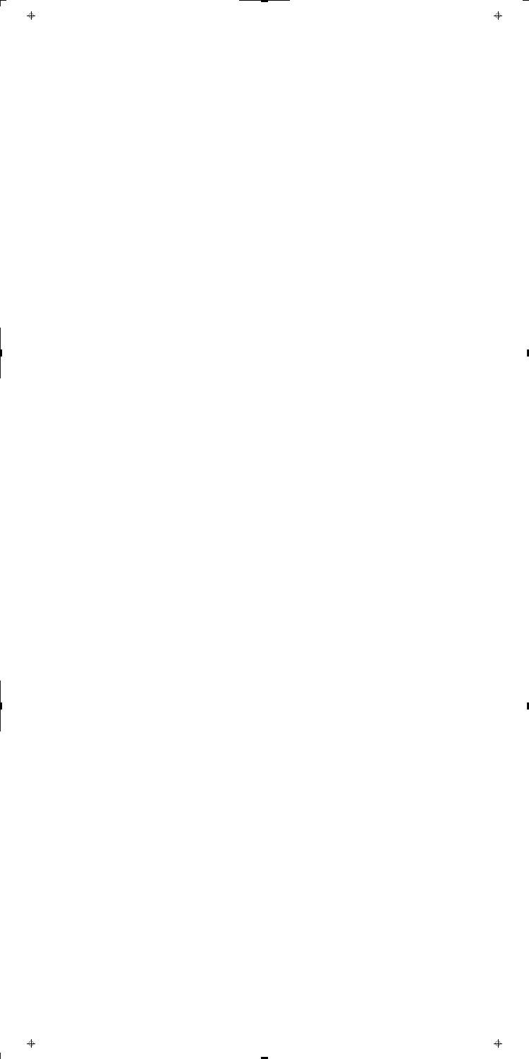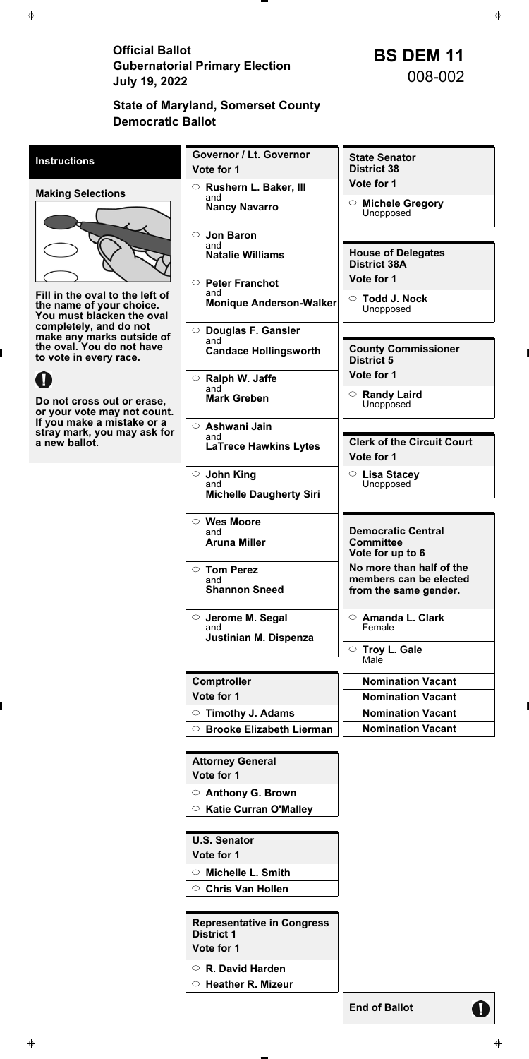Official Ballot<br>
Gubernatorial Primary Election<br>
July 19, 2022<br> **BS DEM 11**<br>
008-002 **July 19, 2022** 

# **State of Maryland, Somerset County Democratic Ballot**

**End of Ballot** 

q

| <b>Instructions</b>                                                                      | <b>Governor / Lt. Governor</b><br>Vote for 1 | <b>State Senator</b><br><b>District 38</b>         |
|------------------------------------------------------------------------------------------|----------------------------------------------|----------------------------------------------------|
| <b>Making Selections</b>                                                                 | $\circ$ Rushern L. Baker, III                | Vote for 1                                         |
|                                                                                          | and<br><b>Nancy Navarro</b>                  | $\circ$ Michele Gregory<br>Unopposed               |
|                                                                                          | $\circ$ Jon Baron                            |                                                    |
|                                                                                          | and<br><b>Natalie Williams</b>               | <b>House of Delegates</b><br><b>District 38A</b>   |
|                                                                                          | $\circ$ Peter Franchot                       | Vote for 1                                         |
| Fill in the oval to the left of<br>the name of your choice.<br>You must blacken the oval | and<br><b>Monique Anderson-Walker</b>        | <b>Todd J. Nock</b><br>$\circ$<br>Unopposed        |
| completely, and do not                                                                   | O Douglas F. Gansler                         |                                                    |
| make any marks outside of<br>the oval. You do not have                                   | and                                          | <b>County Commissioner</b>                         |
| to vote in every race.                                                                   | <b>Candace Hollingsworth</b>                 | <b>District 5</b>                                  |
|                                                                                          | $\circ$ Ralph W. Jaffe                       | Vote for 1                                         |
|                                                                                          | and<br><b>Mark Greben</b>                    | $\circ$ Randy Laird                                |
| Do not cross out or erase,<br>or your vote may not count.                                |                                              | Unopposed                                          |
| If you make a mistake or a<br>stray mark, you may ask for                                | $\circ$ Ashwani Jain                         |                                                    |
| a new ballot.                                                                            | and<br><b>LaTrece Hawkins Lytes</b>          | <b>Clerk of the Circuit Court</b>                  |
|                                                                                          |                                              | Vote for 1                                         |
|                                                                                          | $\circ$ John King                            | $\circ$ Lisa Stacey                                |
|                                                                                          | and<br><b>Michelle Daugherty Siri</b>        | Unopposed                                          |
|                                                                                          |                                              |                                                    |
|                                                                                          | $\circ$ Wes Moore<br>and                     | <b>Democratic Central</b>                          |
|                                                                                          | <b>Aruna Miller</b>                          | <b>Committee</b>                                   |
|                                                                                          |                                              | Vote for up to 6                                   |
|                                                                                          | $\circ$ Tom Perez<br>and                     | No more than half of the<br>members can be elected |
|                                                                                          | <b>Shannon Sneed</b>                         | from the same gender.                              |
|                                                                                          |                                              |                                                    |
|                                                                                          | $\circ$ Jerome M. Segal<br>and               | $\circ$ Amanda L. Clark<br>Female                  |
|                                                                                          | Justinian M. Dispenza                        |                                                    |
|                                                                                          |                                              | $\circ$ Troy L. Gale<br>Male                       |
|                                                                                          | Comptroller                                  | <b>Nomination Vacant</b>                           |
|                                                                                          | Vote for 1                                   | <b>Nomination Vacant</b>                           |
|                                                                                          | $\circ$ Timothy J. Adams                     | <b>Nomination Vacant</b>                           |
|                                                                                          | $\circ$ Brooke Elizabeth Lierman             | <b>Nomination Vacant</b>                           |
|                                                                                          |                                              |                                                    |

**Attorney General Vote for 1** 

**Anthony G. Brown** 

**Katie Curran O'Malley** 

**U.S. Senator** 

**Vote for 1** 

**Michelle L. Smith** 

**Chris Van Hollen** 

**Representative in Congress District 1** 

**Vote for 1** 

**R. David Harden**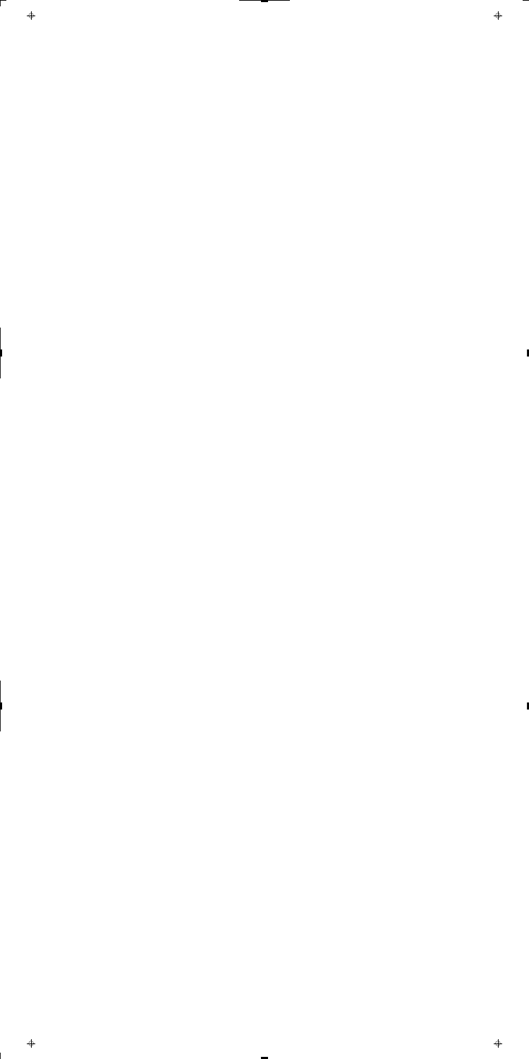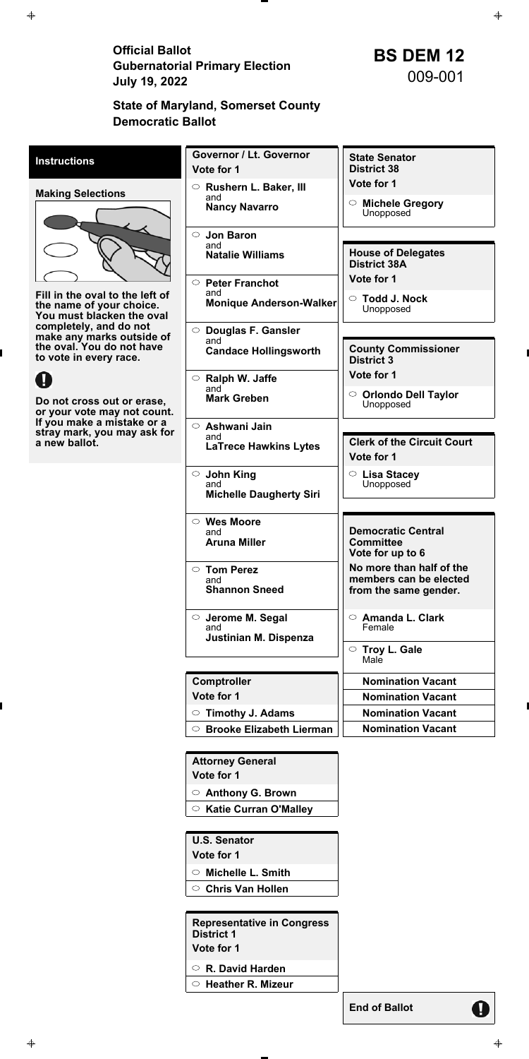Official Ballot<br>
Gubernatorial Primary Election<br>
July 19, 2022<br> **BS DEM 12**<br>
009-001 **July 19, 2022** 

### **State of Maryland, Somerset County Democratic Ballot**

**End of Ballot** 

q

| <b>Instructions</b>                                                                      | <b>Governor / Lt. Governor</b><br>Vote for 1 | <b>State Senator</b><br><b>District 38</b>                 |
|------------------------------------------------------------------------------------------|----------------------------------------------|------------------------------------------------------------|
| <b>Making Selections</b>                                                                 | $\circ$ Rushern L. Baker, III                | Vote for 1                                                 |
|                                                                                          | and<br><b>Nancy Navarro</b>                  | $\circ$ Michele Gregory<br>Unopposed                       |
|                                                                                          | <b>Jon Baron</b><br>$\circ$                  |                                                            |
|                                                                                          | and<br><b>Natalie Williams</b>               | <b>House of Delegates</b><br><b>District 38A</b>           |
|                                                                                          | $\circ$ Peter Franchot                       | Vote for 1                                                 |
| Fill in the oval to the left of<br>the name of your choice.<br>You must blacken the oval | and<br><b>Monique Anderson-Walker</b>        | <b>Todd J. Nock</b><br>$\circ$<br>Unopposed                |
| completely, and do not<br>make any marks outside of                                      | $\circ$ Douglas F. Gansler                   |                                                            |
| the oval. You do not have<br>to vote in every race.                                      | and<br><b>Candace Hollingsworth</b>          | <b>County Commissioner</b><br>District 3                   |
|                                                                                          | $\circ$ Ralph W. Jaffe                       | Vote for 1                                                 |
| Do not cross out or erase,<br>or your vote may not count.                                | and<br><b>Mark Greben</b>                    | $\circ$ Orlondo Dell Taylor<br>Unopposed                   |
| If you make a mistake or a<br>stray mark, you may ask for                                | $\circ$ Ashwani Jain                         |                                                            |
| a new ballot.                                                                            | and<br><b>LaTrece Hawkins Lytes</b>          | <b>Clerk of the Circuit Court</b><br>Vote for 1            |
|                                                                                          | $\circ$ John King<br>and                     | $\circ$ Lisa Stacey<br>Unopposed                           |
|                                                                                          | <b>Michelle Daugherty Siri</b>               |                                                            |
|                                                                                          | $\circ$ Wes Moore                            |                                                            |
|                                                                                          | and<br><b>Aruna Miller</b>                   | Democratic Central<br><b>Committee</b><br>Vote for up to 6 |
|                                                                                          | ○ Tom Perez                                  | No more than half of the                                   |
|                                                                                          | and<br><b>Shannon Sneed</b>                  | members can be elected<br>from the same gender.            |
|                                                                                          | $\circ$ Jerome M. Segal<br>and               | $\circ$ Amanda L. Clark<br>Female                          |
|                                                                                          | Justinian M. Dispenza                        | $\circ$ Troy L. Gale<br>Male                               |
|                                                                                          | <b>Comptroller</b>                           | <b>Nomination Vacant</b>                                   |
|                                                                                          | Vote for 1                                   | <b>Nomination Vacant</b>                                   |
|                                                                                          | $\circ$ Timothy J. Adams                     | <b>Nomination Vacant</b>                                   |
|                                                                                          | $\circ$ Brooke Elizabeth Lierman             | <b>Nomination Vacant</b>                                   |
|                                                                                          |                                              |                                                            |

**Attorney General Vote for 1** 

**Anthony G. Brown** 

**Katie Curran O'Malley** 

**U.S. Senator** 

**Vote for 1** 

**Michelle L. Smith** 

**Chris Van Hollen** 

**Representative in Congress District 1** 

**Vote for 1** 

**R. David Harden**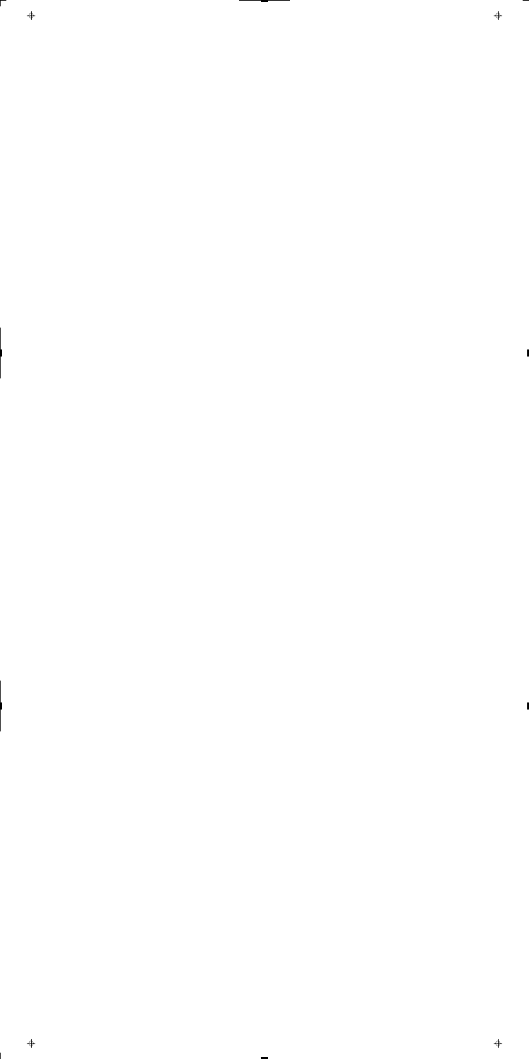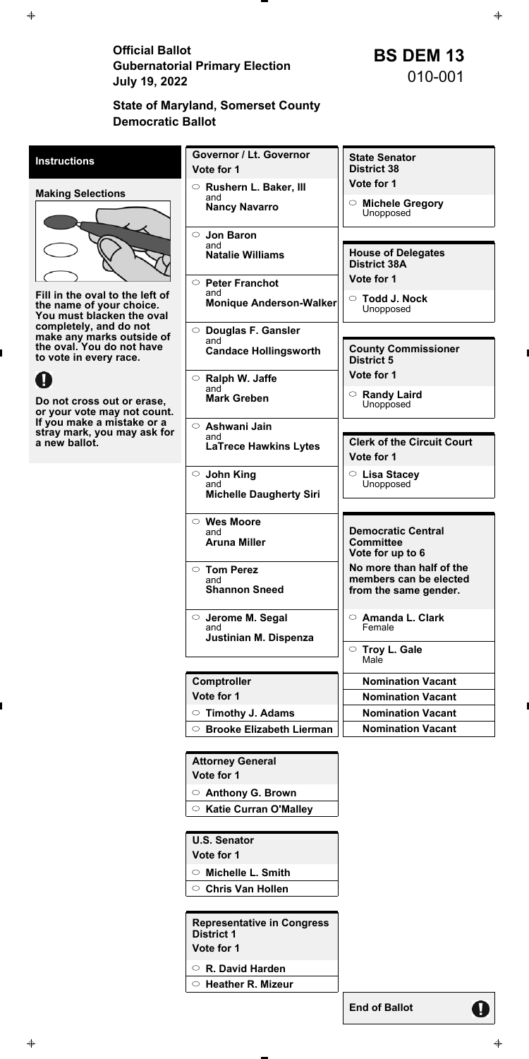Official Ballot<br>
Gubernatorial Primary Election<br>
July 19, 2022<br> **BS DEM 13**<br>
010-001 **July 19, 2022** 

# **State of Maryland, Somerset County Democratic Ballot**

**End of Ballot** 

q

| <b>Instructions</b>                                                                                                                            | Governor / Lt. Governor<br>Vote for 1                                                                                                                    | <b>State Senator</b><br><b>District 38</b>                                                                    |
|------------------------------------------------------------------------------------------------------------------------------------------------|----------------------------------------------------------------------------------------------------------------------------------------------------------|---------------------------------------------------------------------------------------------------------------|
|                                                                                                                                                | $\circ$ Rushern L. Baker, III                                                                                                                            | Vote for 1                                                                                                    |
| <b>Making Selections</b><br>Fill in the oval to the left of<br>the name of your choice.<br>You must blacken the oval<br>completely, and do not | and<br><b>Nancy Navarro</b>                                                                                                                              | <b>Michele Gregory</b><br>$\circ$<br>Unopposed                                                                |
|                                                                                                                                                | $\circ$ Jon Baron<br>and<br><b>Natalie Williams</b><br><b>Peter Franchot</b><br>$\circ$<br>and<br><b>Monique Anderson-Walker</b><br>○ Douglas F. Gansler | <b>House of Delegates</b><br><b>District 38A</b><br>Vote for 1<br><b>Todd J. Nock</b><br>$\circ$<br>Unopposed |
| make any marks outside of<br>the oval. You do not have<br>to vote in every race.                                                               | and<br><b>Candace Hollingsworth</b>                                                                                                                      | <b>County Commissioner</b><br><b>District 5</b>                                                               |
| U                                                                                                                                              | $\circ$ Ralph W. Jaffe                                                                                                                                   | Vote for 1                                                                                                    |
| Do not cross out or erase,<br>or your vote may not count.                                                                                      | and<br><b>Mark Greben</b>                                                                                                                                | $\circ$ Randy Laird<br>Unopposed                                                                              |
| If you make a mistake or a<br>stray mark, you may ask for<br>a new ballot.                                                                     | ○ Ashwani Jain<br>and<br><b>LaTrece Hawkins Lytes</b>                                                                                                    | <b>Clerk of the Circuit Court</b><br>Vote for 1                                                               |
|                                                                                                                                                | $\circ$ John King<br>and<br><b>Michelle Daugherty Siri</b>                                                                                               | $\circ$ Lisa Stacey<br>Unopposed                                                                              |
|                                                                                                                                                | $\circ$ Wes Moore<br>and<br><b>Aruna Miller</b>                                                                                                          | <b>Democratic Central</b><br><b>Committee</b><br>Vote for up to 6                                             |
|                                                                                                                                                | $\circ$ Tom Perez<br>and<br><b>Shannon Sneed</b>                                                                                                         | No more than half of the<br>members can be elected<br>from the same gender.                                   |
|                                                                                                                                                | $\circ$ Jerome M. Segal<br>and<br>Justinian M. Dispenza                                                                                                  | Amanda L. Clark<br>$\circ$<br>Female                                                                          |
|                                                                                                                                                |                                                                                                                                                          | $\circ$ Troy L. Gale<br>Male                                                                                  |
|                                                                                                                                                | <b>Comptroller</b>                                                                                                                                       | <b>Nomination Vacant</b>                                                                                      |
|                                                                                                                                                | Vote for 1                                                                                                                                               | <b>Nomination Vacant</b>                                                                                      |
|                                                                                                                                                | $\circ$ Timothy J. Adams                                                                                                                                 | <b>Nomination Vacant</b>                                                                                      |
|                                                                                                                                                | <b>Brooke Elizabeth Lierman</b><br>$\circ$                                                                                                               | <b>Nomination Vacant</b>                                                                                      |

**Attorney General Vote for 1** 

**Anthony G. Brown** 

**Katie Curran O'Malley** 

**U.S. Senator** 

**Vote for 1** 

**Michelle L. Smith** 

**Chris Van Hollen** 

**Representative in Congress District 1** 

**Vote for 1** 

**R. David Harden**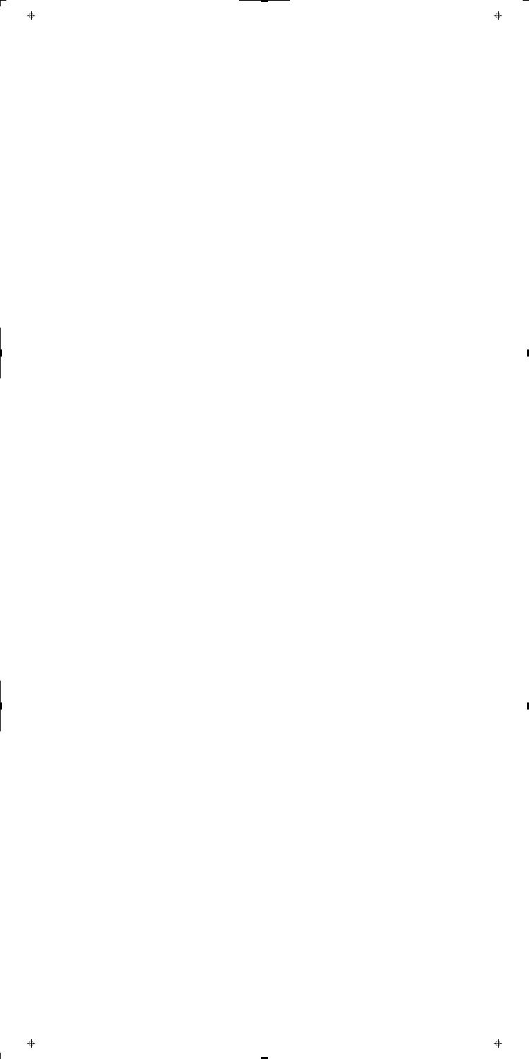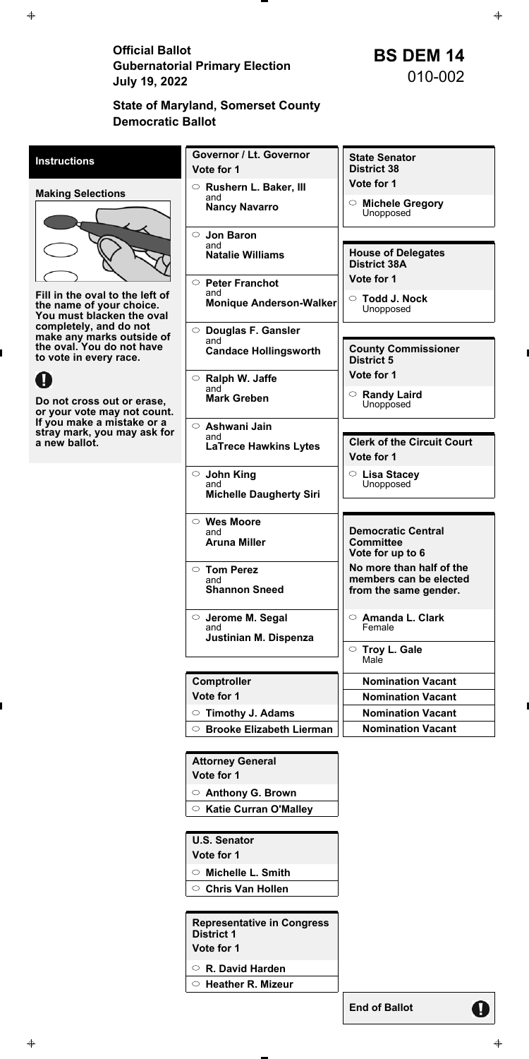Official Ballot<br>
Gubernatorial Primary Election<br>
July 19, 2022<br> **BS DEM 14**<br>
010-002 **July 19, 2022** 

# **State of Maryland, Somerset County Democratic Ballot**

**End of Ballot** 

q

| <b>Instructions</b>                                                                                                                             | Governor / Lt. Governor<br>Vote for 1                                                                                                          | <b>State Senator</b><br><b>District 38</b>                                                                    |
|-------------------------------------------------------------------------------------------------------------------------------------------------|------------------------------------------------------------------------------------------------------------------------------------------------|---------------------------------------------------------------------------------------------------------------|
| <b>Making Selections</b>                                                                                                                        | $\circ$ Rushern L. Baker, III                                                                                                                  | Vote for 1                                                                                                    |
|                                                                                                                                                 | and<br><b>Nancy Navarro</b>                                                                                                                    | <b>Michele Gregory</b><br>$\circ$<br>Unopposed                                                                |
| Fill in the oval to the left of<br>the name of your choice.<br>You must blacken the oval<br>completely, and do not<br>make any marks outside of | $\circ$ Jon Baron<br>and<br><b>Natalie Williams</b><br>$\circ$ Peter Franchot<br>and<br><b>Monique Anderson-Walker</b><br>O Douglas F. Gansler | <b>House of Delegates</b><br><b>District 38A</b><br>Vote for 1<br><b>Todd J. Nock</b><br>$\circ$<br>Unopposed |
| the oval. You do not have<br>to vote in every race.                                                                                             | and<br><b>Candace Hollingsworth</b>                                                                                                            | <b>County Commissioner</b><br><b>District 5</b>                                                               |
| U                                                                                                                                               | $\circ$ Ralph W. Jaffe                                                                                                                         | Vote for 1                                                                                                    |
| Do not cross out or erase,<br>or your vote may not count.                                                                                       | and<br><b>Mark Greben</b>                                                                                                                      | $\circ$ Randy Laird<br>Unopposed                                                                              |
| If you make a mistake or a<br>stray mark, you may ask for<br>a new ballot.                                                                      | $\circ$ Ashwani Jain<br>and<br><b>LaTrece Hawkins Lytes</b>                                                                                    | <b>Clerk of the Circuit Court</b><br>Vote for 1                                                               |
|                                                                                                                                                 | $\circ$ John King<br>and<br><b>Michelle Daugherty Siri</b>                                                                                     | $\circ$ Lisa Stacey<br>Unopposed                                                                              |
|                                                                                                                                                 | $\circ$ Wes Moore<br>and<br><b>Aruna Miller</b>                                                                                                | <b>Democratic Central</b><br><b>Committee</b><br>Vote for up to 6                                             |
|                                                                                                                                                 | $\circ$ Tom Perez<br>and<br><b>Shannon Sneed</b>                                                                                               | No more than half of the<br>members can be elected<br>from the same gender.                                   |
|                                                                                                                                                 | ○ Jerome M. Segal<br>and<br>Justinian M. Dispenza                                                                                              | $\circ$ Amanda L. Clark<br>Female                                                                             |
|                                                                                                                                                 |                                                                                                                                                | $\circ$ Troy L. Gale<br>Male                                                                                  |
|                                                                                                                                                 | Comptroller                                                                                                                                    | <b>Nomination Vacant</b>                                                                                      |
|                                                                                                                                                 | Vote for 1                                                                                                                                     | <b>Nomination Vacant</b>                                                                                      |
|                                                                                                                                                 | <b>Timothy J. Adams</b><br>$\circ$                                                                                                             | <b>Nomination Vacant</b>                                                                                      |
|                                                                                                                                                 | <b>Brooke Elizabeth Lierman</b><br>$\circ$                                                                                                     | <b>Nomination Vacant</b>                                                                                      |

**Attorney General Vote for 1** 

**Anthony G. Brown** 

**Katie Curran O'Malley** 

**U.S. Senator** 

**Vote for 1** 

**Michelle L. Smith** 

**Chris Van Hollen** 

**Representative in Congress District 1** 

**Vote for 1** 

**R. David Harden**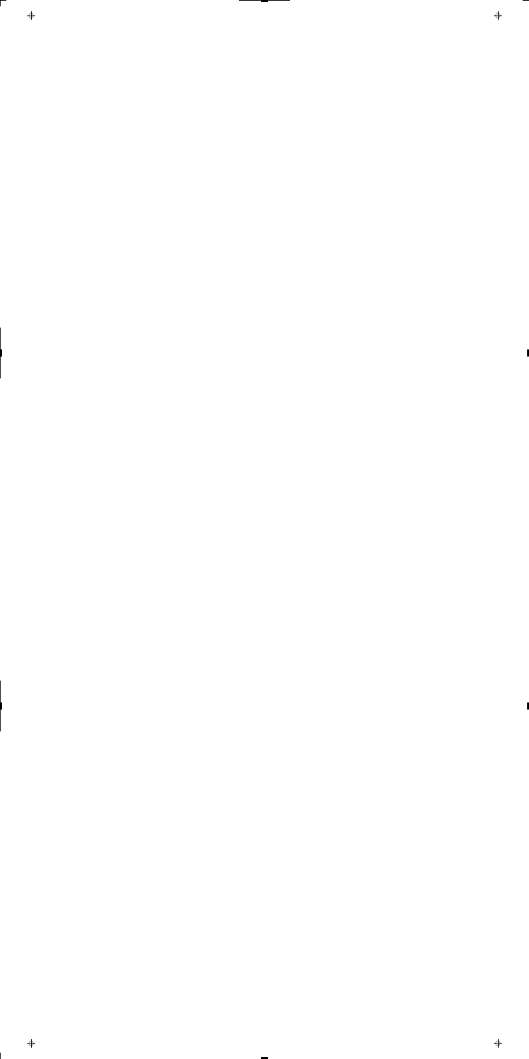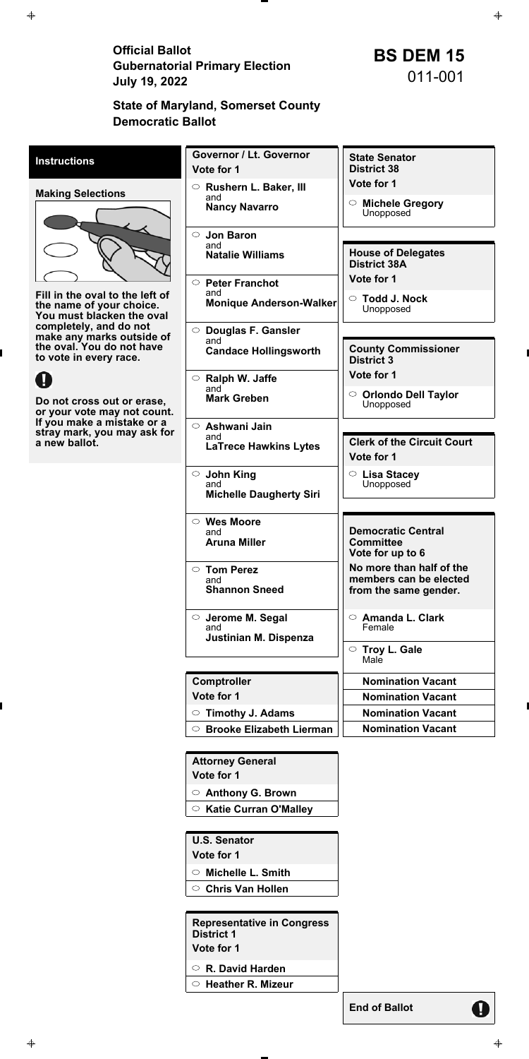Official Ballot<br>
Gubernatorial Primary Election<br>
July 19, 2022<br> **BS DEM 15**<br>
011-001 **July 19, 2022** 

# **State of Maryland, Somerset County Democratic Ballot**

**End of Ballot** 

q

| <b>Instructions</b>                                                                                                                                                          | <b>Governor / Lt. Governor</b><br>Vote for 1                                                                                                                | <b>State Senator</b><br><b>District 38</b>                                                          |
|------------------------------------------------------------------------------------------------------------------------------------------------------------------------------|-------------------------------------------------------------------------------------------------------------------------------------------------------------|-----------------------------------------------------------------------------------------------------|
| <b>Making Selections</b>                                                                                                                                                     | $\circ$ Rushern L. Baker, III<br>and<br><b>Nancy Navarro</b>                                                                                                | Vote for 1<br><b>Michele Gregory</b><br>$\circ$<br>Unopposed                                        |
| Fill in the oval to the left of<br>the name of your choice.<br>You must blacken the oval<br>completely, and do not<br>make any marks outside of<br>the oval. You do not have | $\circ$ Jon Baron<br>and<br><b>Natalie Williams</b><br>$\circ$ Peter Franchot<br>and<br><b>Monique Anderson-Walker</b><br>$\circ$ Douglas F. Gansler<br>and | <b>House of Delegates</b><br><b>District 38A</b><br>Vote for 1<br>$\circ$ Todd J. Nock<br>Unopposed |
| to vote in every race.<br>U                                                                                                                                                  | <b>Candace Hollingsworth</b><br>$\circ$ Ralph W. Jaffe                                                                                                      | <b>County Commissioner</b><br><b>District 3</b><br>Vote for 1                                       |
| Do not cross out or erase,<br>or your vote may not count.                                                                                                                    | and<br><b>Mark Greben</b>                                                                                                                                   | $\circ$ Orlondo Dell Taylor<br>Unopposed                                                            |
| If you make a mistake or a<br>stray mark, you may ask for<br>a new ballot.                                                                                                   | $\circ$ Ashwani Jain<br>and<br><b>LaTrece Hawkins Lytes</b>                                                                                                 | <b>Clerk of the Circuit Court</b><br>Vote for 1                                                     |
|                                                                                                                                                                              | $\circ$ John King<br>and<br><b>Michelle Daugherty Siri</b>                                                                                                  | $\circ$ Lisa Stacey<br>Unopposed                                                                    |
|                                                                                                                                                                              | $\circ$ Wes Moore<br>and<br><b>Aruna Miller</b>                                                                                                             | <b>Democratic Central</b><br><b>Committee</b><br>Vote for up to 6                                   |
|                                                                                                                                                                              | ○ Tom Perez<br>and<br><b>Shannon Sneed</b>                                                                                                                  | No more than half of the<br>members can be elected<br>from the same gender.                         |
|                                                                                                                                                                              | $\circ$ Jerome M. Segal<br>and<br>Justinian M. Dispenza                                                                                                     | $\circ$ Amanda L. Clark<br>Female                                                                   |
|                                                                                                                                                                              |                                                                                                                                                             | $\circ$ Troy L. Gale<br>Male                                                                        |
|                                                                                                                                                                              | Comptroller                                                                                                                                                 | <b>Nomination Vacant</b>                                                                            |
|                                                                                                                                                                              | Vote for 1                                                                                                                                                  | <b>Nomination Vacant</b>                                                                            |
|                                                                                                                                                                              | $\circ$ Timothy J. Adams                                                                                                                                    | <b>Nomination Vacant</b>                                                                            |
|                                                                                                                                                                              | <b>Brooke Elizabeth Lierman</b><br>$\circ$                                                                                                                  | <b>Nomination Vacant</b>                                                                            |

**Attorney General Vote for 1** 

**Anthony G. Brown** 

**Katie Curran O'Malley** 

**U.S. Senator** 

**Vote for 1** 

**Michelle L. Smith** 

**Chris Van Hollen** 

**Representative in Congress District 1** 

**Vote for 1** 

**R. David Harden**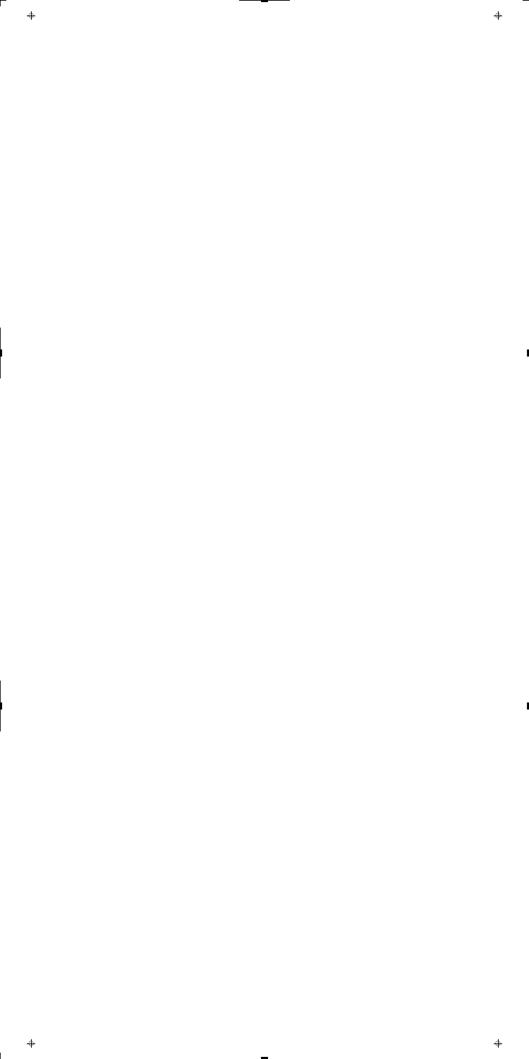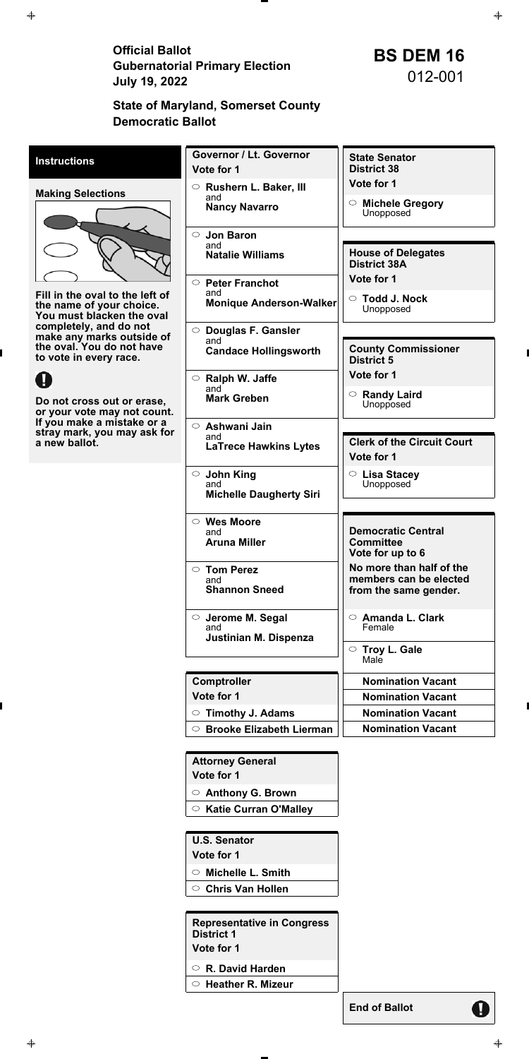Official Ballot<br>
Gubernatorial Primary Election<br>
July 19, 2022<br> **DEM 16**<br>
O12-001 **July 19, 2022** 

# **State of Maryland, Somerset County Democratic Ballot**

**End of Ballot** 

q

| <b>Instructions</b>                                                                                                                            | Governor / Lt. Governor<br>Vote for 1                                                                                                                    | <b>State Senator</b><br><b>District 38</b>                                                                    |
|------------------------------------------------------------------------------------------------------------------------------------------------|----------------------------------------------------------------------------------------------------------------------------------------------------------|---------------------------------------------------------------------------------------------------------------|
|                                                                                                                                                | $\circ$ Rushern L. Baker, III                                                                                                                            | Vote for 1                                                                                                    |
| <b>Making Selections</b><br>Fill in the oval to the left of<br>the name of your choice.<br>You must blacken the oval<br>completely, and do not | and<br><b>Nancy Navarro</b>                                                                                                                              | <b>Michele Gregory</b><br>$\circ$<br>Unopposed                                                                |
|                                                                                                                                                | $\circ$ Jon Baron<br>and<br><b>Natalie Williams</b><br><b>Peter Franchot</b><br>$\circ$<br>and<br><b>Monique Anderson-Walker</b><br>○ Douglas F. Gansler | <b>House of Delegates</b><br><b>District 38A</b><br>Vote for 1<br><b>Todd J. Nock</b><br>$\circ$<br>Unopposed |
| make any marks outside of<br>the oval. You do not have<br>to vote in every race.                                                               | and<br><b>Candace Hollingsworth</b>                                                                                                                      | <b>County Commissioner</b><br><b>District 5</b>                                                               |
| U                                                                                                                                              | $\circ$ Ralph W. Jaffe                                                                                                                                   | Vote for 1                                                                                                    |
| Do not cross out or erase,<br>or your vote may not count.                                                                                      | and<br><b>Mark Greben</b>                                                                                                                                | $\circ$ Randy Laird<br>Unopposed                                                                              |
| If you make a mistake or a<br>stray mark, you may ask for<br>a new ballot.                                                                     | ○ Ashwani Jain<br>and<br><b>LaTrece Hawkins Lytes</b>                                                                                                    | <b>Clerk of the Circuit Court</b><br>Vote for 1                                                               |
|                                                                                                                                                | $\circ$ John King<br>and<br><b>Michelle Daugherty Siri</b>                                                                                               | $\circ$ Lisa Stacey<br>Unopposed                                                                              |
|                                                                                                                                                | $\circ$ Wes Moore<br>and<br><b>Aruna Miller</b>                                                                                                          | <b>Democratic Central</b><br><b>Committee</b><br>Vote for up to 6                                             |
|                                                                                                                                                | $\circ$ Tom Perez<br>and<br><b>Shannon Sneed</b>                                                                                                         | No more than half of the<br>members can be elected<br>from the same gender.                                   |
|                                                                                                                                                | $\circ$ Jerome M. Segal<br>and<br>Justinian M. Dispenza                                                                                                  | Amanda L. Clark<br>$\circ$<br>Female                                                                          |
|                                                                                                                                                |                                                                                                                                                          | $\circ$ Troy L. Gale<br>Male                                                                                  |
|                                                                                                                                                | Comptroller                                                                                                                                              | <b>Nomination Vacant</b>                                                                                      |
|                                                                                                                                                | Vote for 1                                                                                                                                               | <b>Nomination Vacant</b>                                                                                      |
|                                                                                                                                                | $\circ$ Timothy J. Adams                                                                                                                                 | <b>Nomination Vacant</b>                                                                                      |
|                                                                                                                                                | <b>Brooke Elizabeth Lierman</b><br>$\circ$                                                                                                               | <b>Nomination Vacant</b>                                                                                      |

**Attorney General Vote for 1** 

**Anthony G. Brown** 

**Katie Curran O'Malley** 

**U.S. Senator** 

**Vote for 1** 

**Michelle L. Smith** 

**Chris Van Hollen** 

**Representative in Congress District 1** 

**Vote for 1** 

**R. David Harden**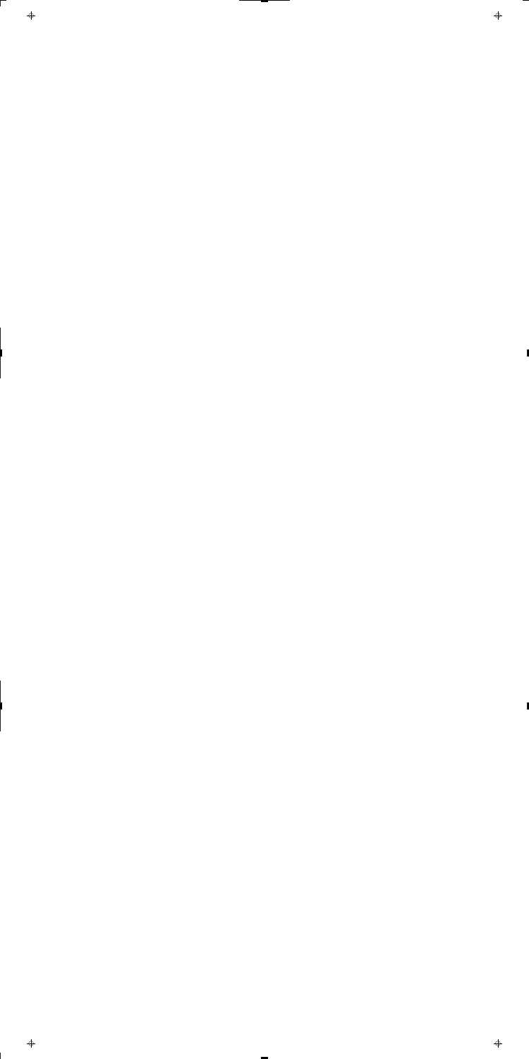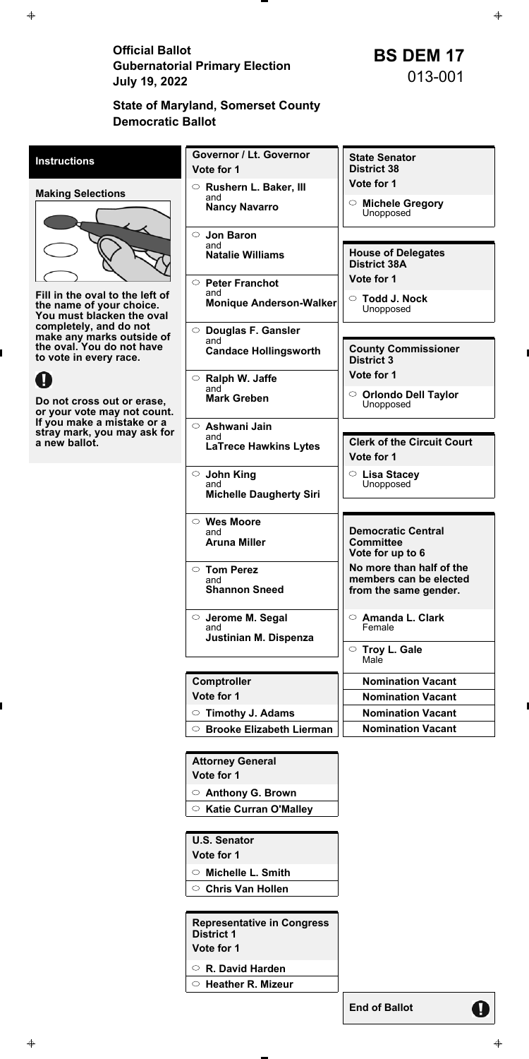Official Ballot<br>
Gubernatorial Primary Election<br>
July 19, 2022<br>
O13-001 **July 19, 2022** 

### **State of Maryland, Somerset County Democratic Ballot**

**End of Ballot** 

q

| <b>Instructions</b>                                                                                                  | <b>Governor / Lt. Governor</b><br>Vote for 1                                                                           | <b>State Senator</b><br><b>District 38</b>                                                    |
|----------------------------------------------------------------------------------------------------------------------|------------------------------------------------------------------------------------------------------------------------|-----------------------------------------------------------------------------------------------|
|                                                                                                                      | ○ Rushern L. Baker, III                                                                                                | Vote for 1                                                                                    |
| <b>Making Selections</b><br>Fill in the oval to the left of<br>the name of your choice.<br>You must blacken the oval | and<br><b>Nancy Navarro</b>                                                                                            | <b>Michele Gregory</b><br>$\circ$<br>Unopposed                                                |
|                                                                                                                      | $\circ$ Jon Baron<br>and<br><b>Natalie Williams</b><br>$\circ$ Peter Franchot<br>and<br><b>Monique Anderson-Walker</b> | <b>House of Delegates</b><br><b>District 38A</b><br>Vote for 1<br>○ Todd J. Nock<br>Unopposed |
| completely, and do not<br>make any marks outside of<br>the oval. You do not have<br>to vote in every race.           | O Douglas F. Gansler<br>and<br><b>Candace Hollingsworth</b>                                                            | <b>County Commissioner</b><br><b>District 3</b>                                               |
|                                                                                                                      | $\circ$ Ralph W. Jaffe                                                                                                 | Vote for 1                                                                                    |
| Do not cross out or erase,<br>or your vote may not count.                                                            | and<br><b>Mark Greben</b>                                                                                              | ○ Orlondo Dell Taylor<br>Unopposed                                                            |
| If you make a mistake or a<br>stray mark, you may ask for<br>a new ballot.                                           | $\circ$ Ashwani Jain<br>and<br><b>LaTrece Hawkins Lytes</b>                                                            | <b>Clerk of the Circuit Court</b><br>Vote for 1                                               |
|                                                                                                                      | $\circ$ John King<br>and<br><b>Michelle Daugherty Siri</b>                                                             | $\circ$ Lisa Stacey<br>Unopposed                                                              |
|                                                                                                                      | $\circ$ Wes Moore<br>and<br><b>Aruna Miller</b>                                                                        | <b>Democratic Central</b><br><b>Committee</b><br>Vote for up to 6                             |
|                                                                                                                      | ○ Tom Perez<br>and<br><b>Shannon Sneed</b>                                                                             | No more than half of the<br>members can be elected<br>from the same gender.                   |
|                                                                                                                      | $\circ$ Jerome M. Segal<br>and<br>Justinian M. Dispenza                                                                | <b>Amanda L. Clark</b><br>$\circ$<br>Female                                                   |
|                                                                                                                      |                                                                                                                        | $\circ$ Troy L. Gale<br>Male                                                                  |
|                                                                                                                      | Comptroller                                                                                                            | <b>Nomination Vacant</b>                                                                      |
|                                                                                                                      | Vote for 1                                                                                                             | <b>Nomination Vacant</b>                                                                      |
|                                                                                                                      | $\circ$ Timothy J. Adams                                                                                               | <b>Nomination Vacant</b>                                                                      |
|                                                                                                                      | <b>Brooke Elizabeth Lierman</b><br>$\circ$                                                                             | <b>Nomination Vacant</b>                                                                      |

**Attorney General Vote for 1** 

**Anthony G. Brown** 

**Katie Curran O'Malley** 

**U.S. Senator** 

**Vote for 1** 

**Michelle L. Smith** 

**Chris Van Hollen** 

**Representative in Congress District 1** 

**Vote for 1** 

**R. David Harden**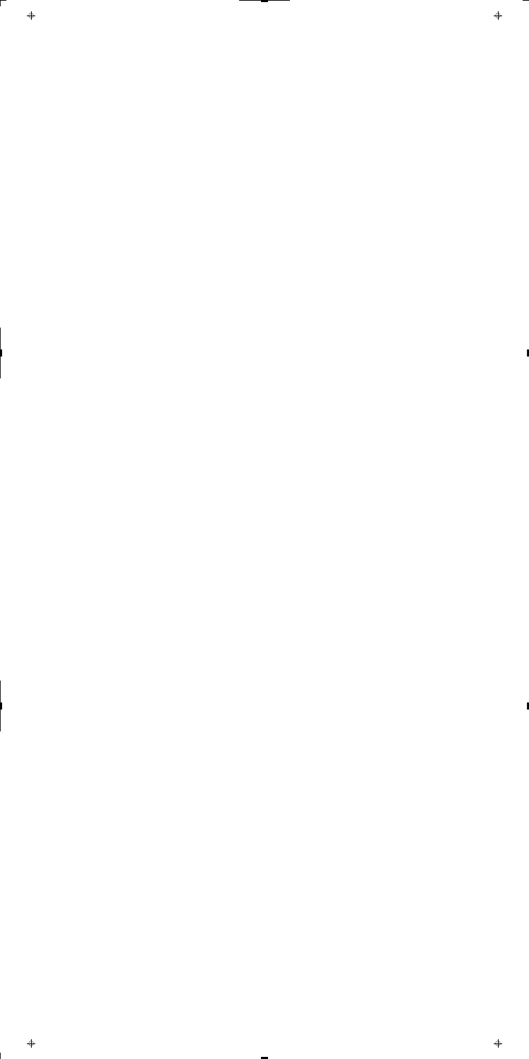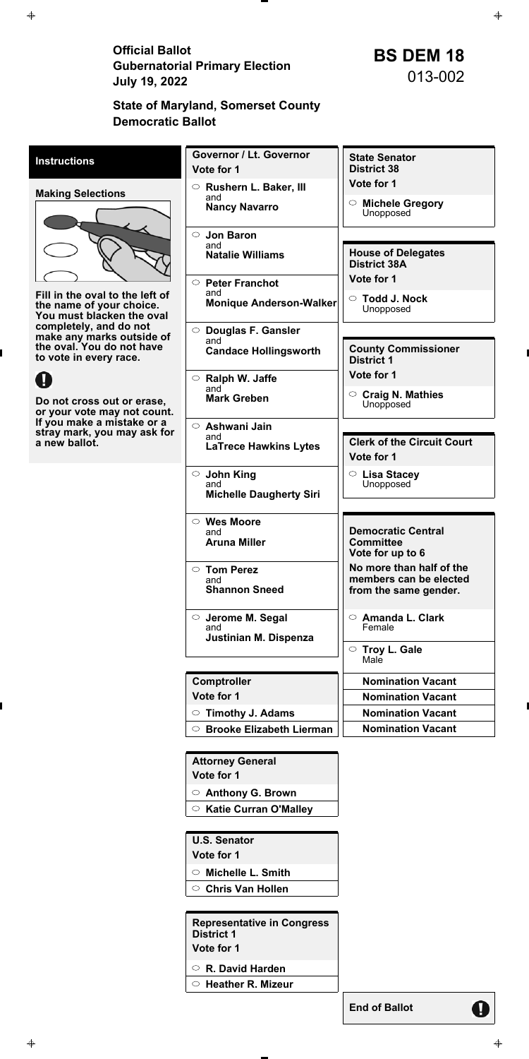Official Ballot<br>
Gubernatorial Primary Election<br>
July 19, 2022<br> **DEM 18** 013-002 **July 19, 2022** 

# **State of Maryland, Somerset County Democratic Ballot**

**End of Ballot** 

q

| <b>Instructions</b>                                                                                        | Governor / Lt. Governor<br>Vote for 1                                     | <b>State Senator</b><br><b>District 38</b>                                  |
|------------------------------------------------------------------------------------------------------------|---------------------------------------------------------------------------|-----------------------------------------------------------------------------|
|                                                                                                            | $\circ$ Rushern L. Baker, III                                             | Vote for 1                                                                  |
| <b>Making Selections</b>                                                                                   | and<br><b>Nancy Navarro</b>                                               | <b>Michele Gregory</b><br>$\circ$<br>Unopposed                              |
|                                                                                                            | $\circ$ Jon Baron<br>and<br><b>Natalie Williams</b>                       | <b>House of Delegates</b><br><b>District 38A</b><br>Vote for 1              |
| Fill in the oval to the left of<br>the name of your choice.<br>You must blacken the oval                   | <b>Peter Franchot</b><br>$\circ$<br>and<br><b>Monique Anderson-Walker</b> | $\circ$ Todd J. Nock<br>Unopposed                                           |
| completely, and do not<br>make any marks outside of<br>the oval. You do not have<br>to vote in every race. | ○ Douglas F. Gansler<br>and<br><b>Candace Hollingsworth</b>               | <b>County Commissioner</b><br><b>District 1</b>                             |
|                                                                                                            | $\circ$ Ralph W. Jaffe                                                    | Vote for 1                                                                  |
| Do not cross out or erase,<br>or your vote may not count.                                                  | and<br><b>Mark Greben</b>                                                 | <b>Craig N. Mathies</b><br>$\circ$<br>Unopposed                             |
| If you make a mistake or a<br>stray mark, you may ask for<br>a new ballot.                                 | $\circ$ Ashwani Jain<br>and<br><b>LaTrece Hawkins Lytes</b>               | <b>Clerk of the Circuit Court</b><br>Vote for 1                             |
|                                                                                                            | ○ John King<br>and<br><b>Michelle Daugherty Siri</b>                      | $\circ$ Lisa Stacey<br>Unopposed                                            |
|                                                                                                            | $\circ$ Wes Moore<br>and<br><b>Aruna Miller</b>                           | <b>Democratic Central</b><br><b>Committee</b><br>Vote for up to 6           |
|                                                                                                            | ○ Tom Perez<br>and<br><b>Shannon Sneed</b>                                | No more than half of the<br>members can be elected<br>from the same gender. |
|                                                                                                            | ○ Jerome M. Segal<br>and<br>Justinian M. Dispenza                         | <b>Amanda L. Clark</b><br>$\circ$<br>Female                                 |
|                                                                                                            |                                                                           | ○ Troy L. Gale<br>Male                                                      |
|                                                                                                            | Comptroller                                                               | <b>Nomination Vacant</b>                                                    |
|                                                                                                            | Vote for 1                                                                | <b>Nomination Vacant</b>                                                    |
|                                                                                                            | <b>Timothy J. Adams</b><br>$\circ$                                        | <b>Nomination Vacant</b>                                                    |
|                                                                                                            | <b>Brooke Elizabeth Lierman</b><br>$\circ$                                | <b>Nomination Vacant</b>                                                    |

**Attorney General Vote for 1** 

**Anthony G. Brown** 

**Katie Curran O'Malley** 

**U.S. Senator** 

**Vote for 1** 

**Michelle L. Smith** 

**Chris Van Hollen** 

**Representative in Congress District 1** 

**Vote for 1** 

**R. David Harden**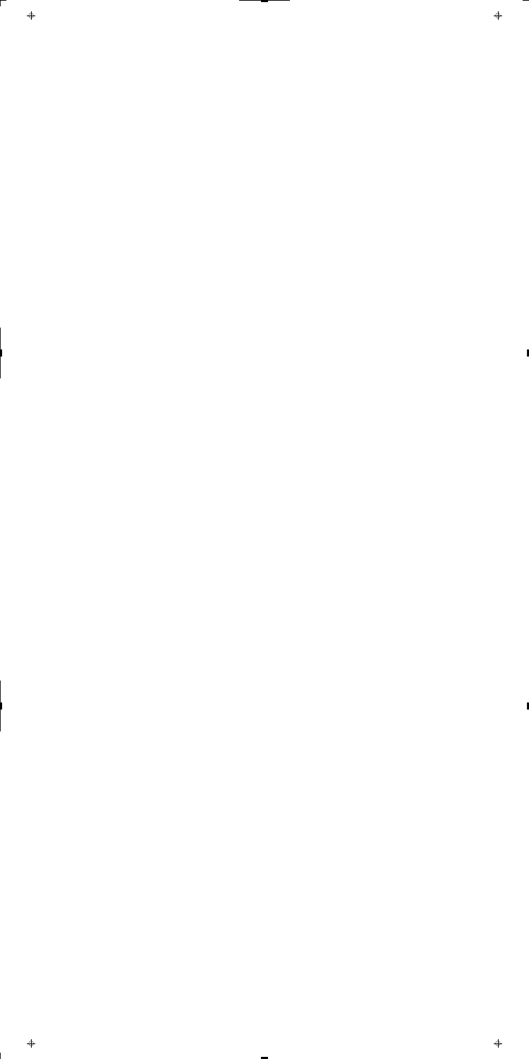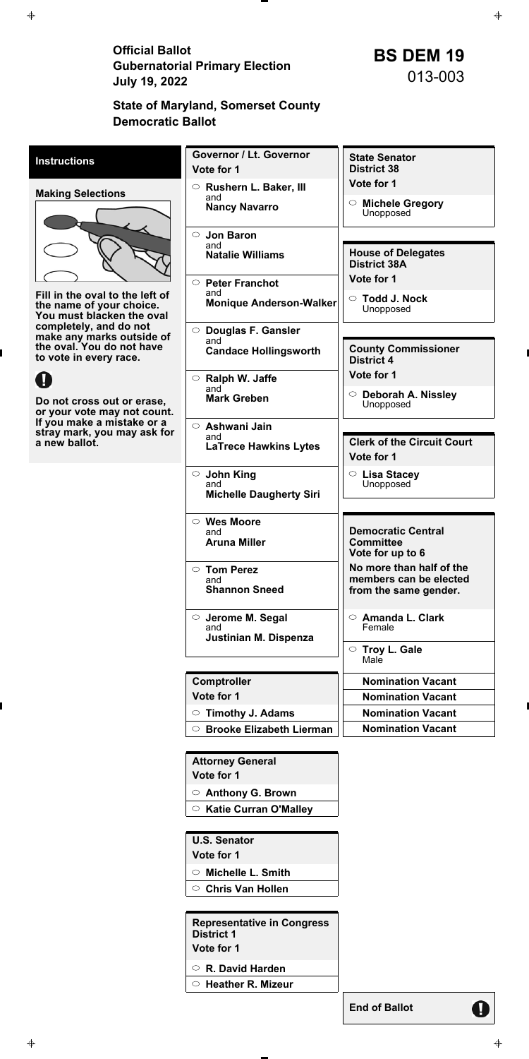Official Ballot<br>
Gubernatorial Primary Election<br>
July 19, 2022<br> **DEM 19 July 19, 2022** 

# **State of Maryland, Somerset County Democratic Ballot**

**End of Ballot** 

q

| <b>Instructions</b>                                                                                                                                                 | Governor / Lt. Governor<br>Vote for 1                                                                                            | <b>State Senator</b><br><b>District 38</b>                                                       |
|---------------------------------------------------------------------------------------------------------------------------------------------------------------------|----------------------------------------------------------------------------------------------------------------------------------|--------------------------------------------------------------------------------------------------|
| <b>Making Selections</b><br>Fill in the oval to the left of                                                                                                         | $\circ$ Rushern L. Baker, III<br>and<br><b>Nancy Navarro</b>                                                                     | Vote for 1<br><b>Michele Gregory</b><br>$\circ$<br>Unopposed                                     |
|                                                                                                                                                                     | $\circ$ Jon Baron<br>and<br><b>Natalie Williams</b><br><b>Peter Franchot</b><br>$\circ$<br>and<br><b>Monique Anderson-Walker</b> | <b>House of Delegates</b><br><b>District 38A</b><br>Vote for 1<br><b>Todd J. Nock</b><br>$\circ$ |
| the name of your choice.<br>You must blacken the oval<br>completely, and do not<br>make any marks outside of<br>the oval. You do not have<br>to vote in every race. | O Douglas F. Gansler<br>and<br><b>Candace Hollingsworth</b>                                                                      | Unopposed<br><b>County Commissioner</b><br><b>District 4</b>                                     |
| U<br>Do not cross out or erase,<br>or your vote may not count.                                                                                                      | $\circ$ Ralph W. Jaffe<br>and<br><b>Mark Greben</b>                                                                              | Vote for 1<br>$\circ$ Deborah A. Nissley<br>Unopposed                                            |
| If you make a mistake or a<br>stray mark, you may ask for<br>a new ballot.                                                                                          | $\circ$ Ashwani Jain<br>and<br><b>LaTrece Hawkins Lytes</b>                                                                      | <b>Clerk of the Circuit Court</b><br>Vote for 1                                                  |
|                                                                                                                                                                     | $\circ$ John King<br>and<br><b>Michelle Daugherty Siri</b>                                                                       | $\circ$ Lisa Stacey<br>Unopposed                                                                 |
|                                                                                                                                                                     | $\circ$ Wes Moore<br>and<br><b>Aruna Miller</b>                                                                                  | <b>Democratic Central</b><br><b>Committee</b><br>Vote for up to 6                                |
|                                                                                                                                                                     | $\circ$ Tom Perez<br>and<br><b>Shannon Sneed</b>                                                                                 | No more than half of the<br>members can be elected<br>from the same gender.                      |
|                                                                                                                                                                     | $\circ$ Jerome M. Segal<br>and<br>Justinian M. Dispenza                                                                          | <b>Amanda L. Clark</b><br>$\circ$<br>Female<br>○ Troy L. Gale                                    |
|                                                                                                                                                                     |                                                                                                                                  | Male                                                                                             |
|                                                                                                                                                                     | Comptroller                                                                                                                      | <b>Nomination Vacant</b>                                                                         |
|                                                                                                                                                                     | Vote for 1                                                                                                                       | <b>Nomination Vacant</b>                                                                         |
|                                                                                                                                                                     | $\circ$ Timothy J. Adams                                                                                                         | <b>Nomination Vacant</b>                                                                         |
|                                                                                                                                                                     | <b>Brooke Elizabeth Lierman</b><br>$\circ$                                                                                       | <b>Nomination Vacant</b>                                                                         |

**Attorney General Vote for 1** 

**Anthony G. Brown** 

**Katie Curran O'Malley** 

**U.S. Senator** 

**Vote for 1** 

**Michelle L. Smith** 

**Chris Van Hollen** 

**Representative in Congress District 1** 

**Vote for 1** 

**R. David Harden**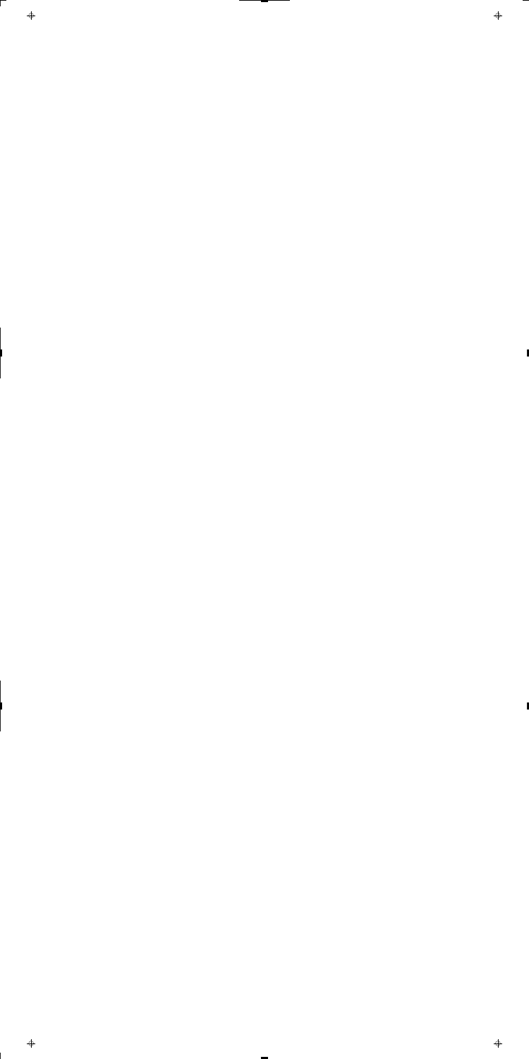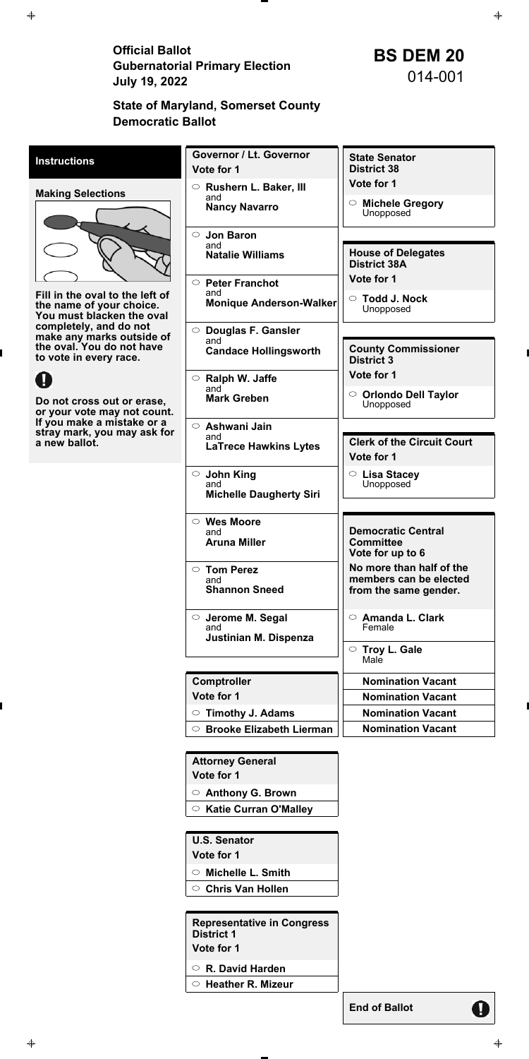Official Ballot<br>
Gubernatorial Primary Election<br>
July 19 2022<br> **BS DEM 20**<br>
014-001 **July 19, 2022** 

### **State of Maryland, Somerset County Democratic Ballot**

**End of Ballot** 

q

| <b>Instructions</b>                                                                                                                                                          | Governor / Lt. Governor<br>Vote for 1                                                                                                                                                 | <b>State Senator</b><br><b>District 38</b>                                                                                                  |
|------------------------------------------------------------------------------------------------------------------------------------------------------------------------------|---------------------------------------------------------------------------------------------------------------------------------------------------------------------------------------|---------------------------------------------------------------------------------------------------------------------------------------------|
| <b>Making Selections</b>                                                                                                                                                     | $\circ$ Rushern L. Baker, III<br>and<br><b>Nancy Navarro</b>                                                                                                                          | Vote for 1<br><b>Michele Gregory</b><br>$\circ$<br>Unopposed                                                                                |
| Fill in the oval to the left of<br>the name of your choice.<br>You must blacken the oval<br>completely, and do not<br>make any marks outside of<br>the oval. You do not have | $\circ$ Jon Baron<br>and<br><b>Natalie Williams</b><br>$\circ$ Peter Franchot<br>and<br><b>Monique Anderson-Walker</b><br>O Douglas F. Gansler<br>and<br><b>Candace Hollingsworth</b> | <b>House of Delegates</b><br><b>District 38A</b><br>Vote for 1<br><b>Todd J. Nock</b><br>$\circ$<br>Unopposed<br><b>County Commissioner</b> |
| to vote in every race.<br>Do not cross out or erase,                                                                                                                         | $\circ$ Ralph W. Jaffe<br>and<br><b>Mark Greben</b>                                                                                                                                   | <b>District 3</b><br>Vote for 1<br>$\circ$ Orlondo Dell Taylor<br>Unopposed                                                                 |
| or your vote may not count.<br>If you make a mistake or a<br>stray mark, you may ask for<br>a new ballot.                                                                    | $\circ$ Ashwani Jain<br>and<br><b>LaTrece Hawkins Lytes</b>                                                                                                                           | <b>Clerk of the Circuit Court</b><br>Vote for 1                                                                                             |
|                                                                                                                                                                              | $\circ$ John King<br>and<br><b>Michelle Daugherty Siri</b>                                                                                                                            | $\circ$ Lisa Stacey<br>Unopposed                                                                                                            |
|                                                                                                                                                                              | $\circ$ Wes Moore<br>and<br><b>Aruna Miller</b>                                                                                                                                       | <b>Democratic Central</b><br><b>Committee</b><br>Vote for up to 6                                                                           |
|                                                                                                                                                                              | $\circ$ Tom Perez<br>and<br><b>Shannon Sneed</b>                                                                                                                                      | No more than half of the<br>members can be elected<br>from the same gender.                                                                 |
|                                                                                                                                                                              | $\circ$ Jerome M. Segal<br>and<br>Justinian M. Dispenza                                                                                                                               | $\circ$ Amanda L. Clark<br>Female<br>$\circ$ Troy L. Gale<br>Male                                                                           |
|                                                                                                                                                                              | Comptroller<br>Vote for 1<br>$\circ$ Timothy J. Adams<br>$\circ$ Brooke Elizabeth Lierman                                                                                             | <b>Nomination Vacant</b><br><b>Nomination Vacant</b><br><b>Nomination Vacant</b><br><b>Nomination Vacant</b>                                |
|                                                                                                                                                                              |                                                                                                                                                                                       |                                                                                                                                             |

**Attorney General Vote for 1** 

**Anthony G. Brown** 

**Katie Curran O'Malley** 

**U.S. Senator** 

**Vote for 1** 

**Michelle L. Smith** 

**Chris Van Hollen** 

**Representative in Congress District 1** 

**Vote for 1** 

**R. David Harden**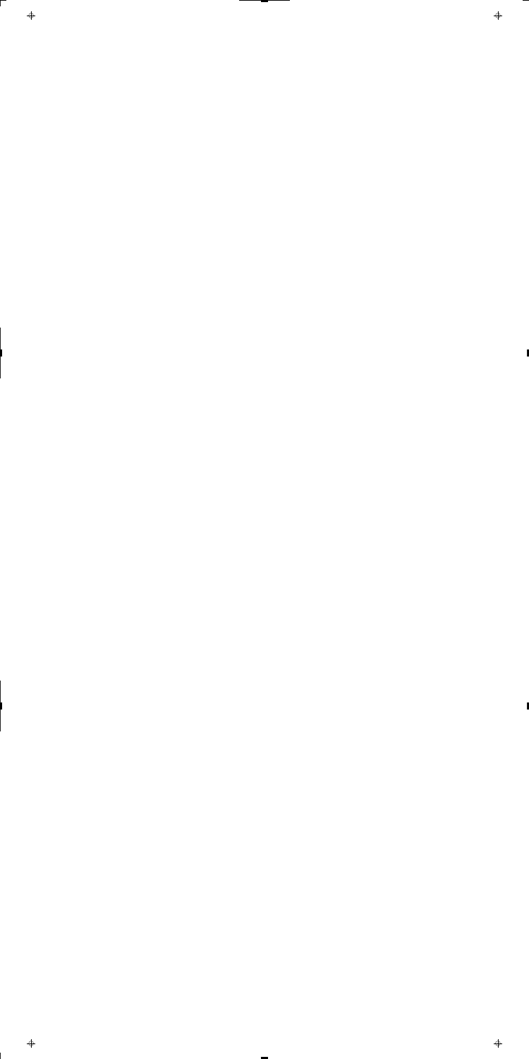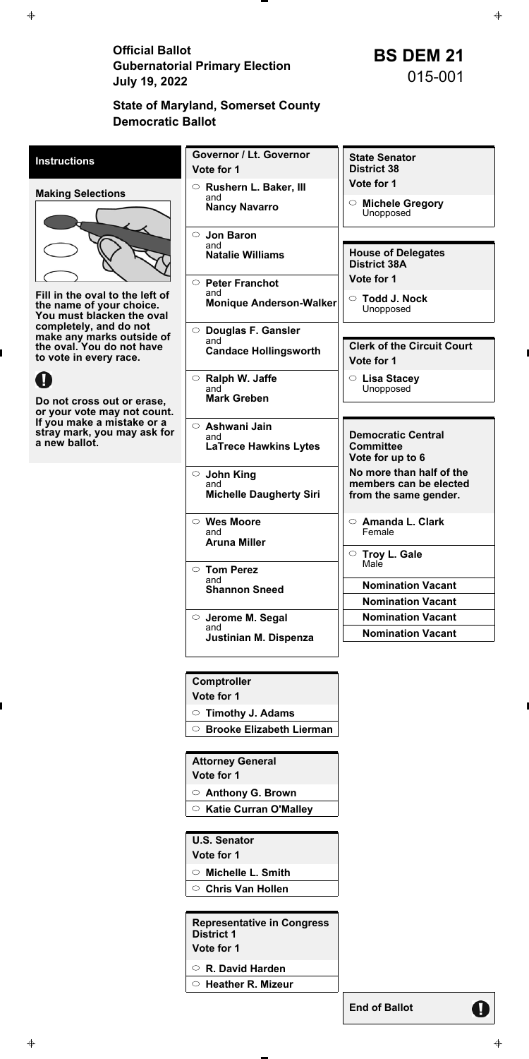Official Ballot<br>
Gubernatorial Primary Election<br>
July 19 2022<br>
BS DEM 21 **July 19, 2022** 

### **State of Maryland, Somerset County Democratic Ballot**

**End of Ballot** 

Ø

| Vote for 1<br>$\circ$ Rushern L. Baker, III<br><b>Making Selections</b><br>and<br>$\circ$ Michele Gregory<br><b>Nancy Navarro</b><br>Unopposed<br>$\circ$ Jon Baron<br>and<br><b>House of Delegates</b><br><b>Natalie Williams</b><br><b>District 38A</b> |  |
|-----------------------------------------------------------------------------------------------------------------------------------------------------------------------------------------------------------------------------------------------------------|--|
|                                                                                                                                                                                                                                                           |  |
|                                                                                                                                                                                                                                                           |  |
| Vote for 1<br><b>Peter Franchot</b><br>$\circ$<br>and<br>Fill in the oval to the left of<br><b>Todd J. Nock</b><br>$\circ$<br>Monique Anderson-Walker<br>the name of your choice.<br>Unopposed<br>You must blacken the oval                               |  |
| completely, and do not<br>○ Douglas F. Gansler<br>make any marks outside of<br>and<br><b>Clerk of the Circuit Court</b><br>the oval. You do not have<br><b>Candace Hollingsworth</b><br>to vote in every race.<br>Vote for 1                              |  |
| Ralph W. Jaffe<br>$\circ$ Lisa Stacey<br>$\circ$<br>and<br>Unopposed<br><b>Mark Greben</b><br>Do not cross out or erase,<br>or your vote may not count.                                                                                                   |  |
| If you make a mistake or a<br>$\circ$ Ashwani Jain<br>stray mark, you may ask for<br><b>Democratic Central</b><br>and<br>a new ballot.<br><b>LaTrece Hawkins Lytes</b><br><b>Committee</b><br>Vote for up to 6                                            |  |
| No more than half of the<br>$\circ$ John King<br>members can be elected<br>and<br><b>Michelle Daugherty Siri</b><br>from the same gender.                                                                                                                 |  |
| ○ Wes Moore<br><b>Amanda L. Clark</b><br>$\circ$<br>and<br>Female<br><b>Aruna Miller</b>                                                                                                                                                                  |  |
| ◯ Troy L. Gale<br>Male<br>$\circ$ Tom Perez<br>and<br><b>Nomination Vacant</b><br><b>Shannon Sneed</b>                                                                                                                                                    |  |
| <b>Nomination Vacant</b>                                                                                                                                                                                                                                  |  |
| <b>Nomination Vacant</b><br>$\circ$ Jerome M. Segal                                                                                                                                                                                                       |  |
| and<br><b>Nomination Vacant</b><br>Justinian M. Dispenza                                                                                                                                                                                                  |  |

**Comptroller** 

**Vote for 1** 

**Timothy J. Adams** 

**Brooke Elizabeth Lierman** 

**Attorney General Vote for 1** 

**Anthony G. Brown** 

**Katie Curran O'Malley** 

**U.S. Senator** 

**Vote for 1** 

**Michelle L. Smith** 

**Chris Van Hollen** 

**Representative in Congress District 1** 

**Vote for 1** 

**R. David Harden**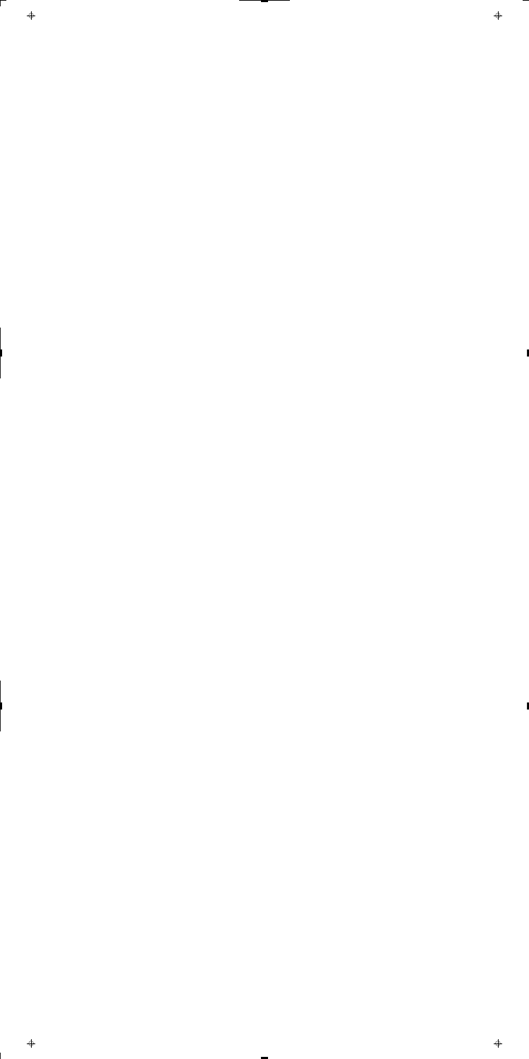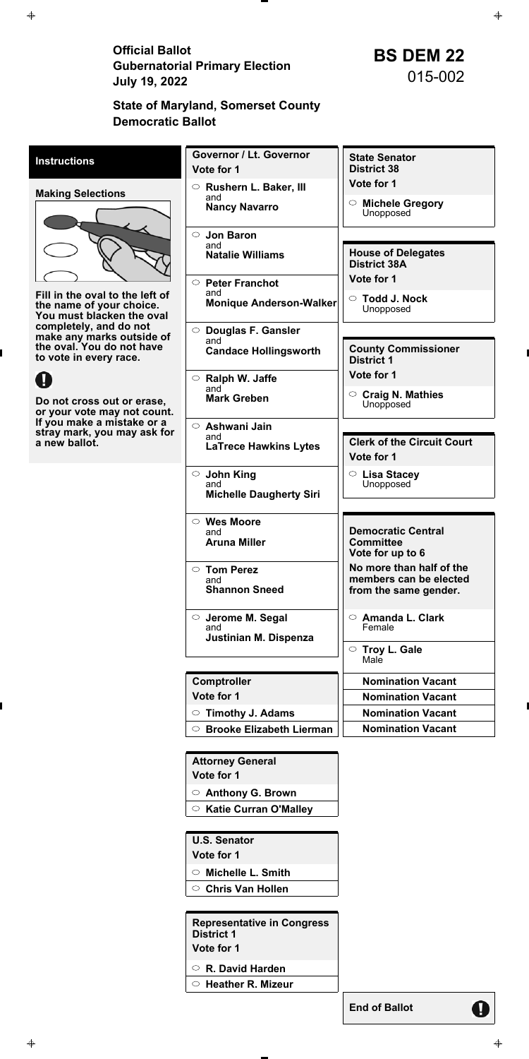Official Ballot<br>
Gubernatorial Primary Election<br>
July 19, 2022<br> **BS DEM 22**<br>
015-002 **July 19, 2022** 

# **State of Maryland, Somerset County Democratic Ballot**

**End of Ballot** 

q

| <b>Instructions</b>                                                                                                | Governor / Lt. Governor<br>Vote for 1                                                                                                      | <b>State Senator</b><br><b>District 38</b>                                                                    |
|--------------------------------------------------------------------------------------------------------------------|--------------------------------------------------------------------------------------------------------------------------------------------|---------------------------------------------------------------------------------------------------------------|
|                                                                                                                    | Rushern L. Baker, III                                                                                                                      | Vote for 1                                                                                                    |
| <b>Making Selections</b>                                                                                           | and<br><b>Nancy Navarro</b>                                                                                                                | <b>Michele Gregory</b><br>$\circ$<br>Unopposed                                                                |
| Fill in the oval to the left of<br>the name of your choice.<br>You must blacken the oval<br>completely, and do not | <b>Jon Baron</b><br>$\circ$<br>and<br><b>Natalie Williams</b><br><b>Peter Franchot</b><br>$\circ$<br>and<br><b>Monique Anderson-Walker</b> | <b>House of Delegates</b><br><b>District 38A</b><br>Vote for 1<br><b>Todd J. Nock</b><br>$\circ$<br>Unopposed |
| make any marks outside of<br>the oval. You do not have<br>to vote in every race.                                   | $\circ$ Douglas F. Gansler<br>and<br><b>Candace Hollingsworth</b>                                                                          | <b>County Commissioner</b><br><b>District 1</b>                                                               |
|                                                                                                                    | $\circ$ Ralph W. Jaffe                                                                                                                     | Vote for 1                                                                                                    |
| Do not cross out or erase,<br>or your vote may not count.                                                          | and<br><b>Mark Greben</b>                                                                                                                  | <b>Craig N. Mathies</b><br>$\circ$<br>Unopposed                                                               |
| If you make a mistake or a<br>stray mark, you may ask for<br>a new ballot.                                         | $\circ$ Ashwani Jain<br>and<br><b>LaTrece Hawkins Lytes</b>                                                                                | <b>Clerk of the Circuit Court</b><br>Vote for 1                                                               |
|                                                                                                                    | ○ John King<br>and<br><b>Michelle Daugherty Siri</b>                                                                                       | $\circ$ Lisa Stacey<br>Unopposed                                                                              |
|                                                                                                                    | $\circ$ Wes Moore<br>and<br><b>Aruna Miller</b>                                                                                            | <b>Democratic Central</b><br><b>Committee</b><br>Vote for up to 6                                             |
|                                                                                                                    | ○ Tom Perez<br>and<br><b>Shannon Sneed</b>                                                                                                 | No more than half of the<br>members can be elected<br>from the same gender.                                   |
|                                                                                                                    | $\circ$ Jerome M. Segal<br>and<br>Justinian M. Dispenza                                                                                    | <b>Amanda L. Clark</b><br>$\circ$<br>Female<br>○ Troy L. Gale                                                 |
|                                                                                                                    |                                                                                                                                            | Male                                                                                                          |
|                                                                                                                    | Comptroller                                                                                                                                | <b>Nomination Vacant</b>                                                                                      |
|                                                                                                                    | Vote for 1                                                                                                                                 | <b>Nomination Vacant</b>                                                                                      |
|                                                                                                                    | <b>Timothy J. Adams</b><br>$\circ$                                                                                                         | <b>Nomination Vacant</b>                                                                                      |
|                                                                                                                    | <b>Brooke Elizabeth Lierman</b><br>$\circ$                                                                                                 | <b>Nomination Vacant</b>                                                                                      |

**Attorney General Vote for 1** 

**Anthony G. Brown** 

**Katie Curran O'Malley** 

**U.S. Senator** 

**Vote for 1** 

**Michelle L. Smith** 

**Chris Van Hollen** 

**Representative in Congress District 1** 

**Vote for 1** 

**R. David Harden**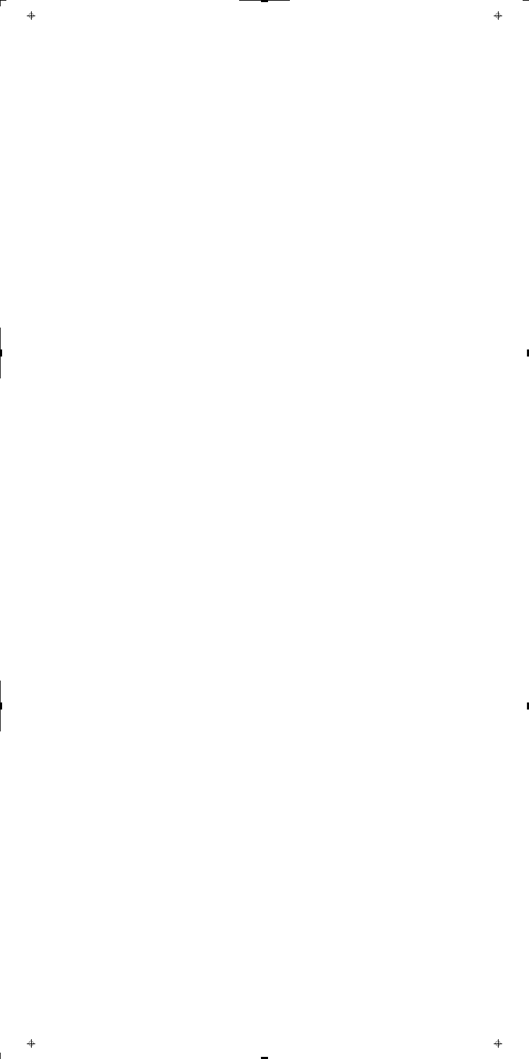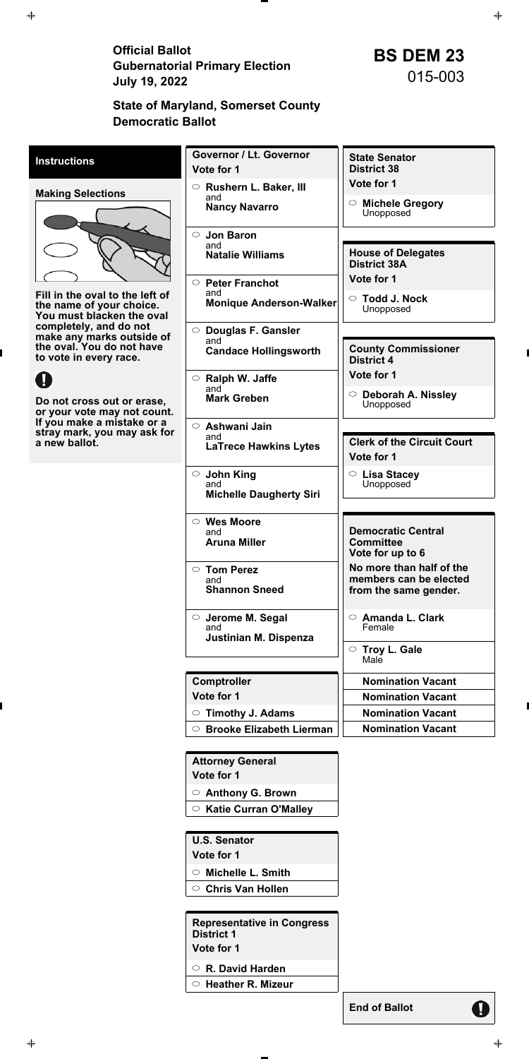Official Ballot<br>
Gubernatorial Primary Election<br>
July 19, 2022<br> **BS DEM 23**<br>
015-003 **July 19, 2022** 

# **State of Maryland, Somerset County Democratic Ballot**

**End of Ballot** 

q

| <b>Instructions</b>                                                                                                  | <b>Governor / Lt. Governor</b><br>Vote for 1                                                                           | <b>State Senator</b><br><b>District 38</b>                                                          |
|----------------------------------------------------------------------------------------------------------------------|------------------------------------------------------------------------------------------------------------------------|-----------------------------------------------------------------------------------------------------|
|                                                                                                                      | $\circ$ Rushern L. Baker, III                                                                                          | Vote for 1                                                                                          |
| <b>Making Selections</b><br>Fill in the oval to the left of<br>the name of your choice.<br>You must blacken the oval | and<br><b>Nancy Navarro</b>                                                                                            | $\circ$ Michele Gregory<br>Unopposed                                                                |
|                                                                                                                      | $\circ$ Jon Baron<br>and<br><b>Natalie Williams</b><br>$\circ$ Peter Franchot<br>and<br><b>Monique Anderson-Walker</b> | <b>House of Delegates</b><br><b>District 38A</b><br>Vote for 1<br>$\circ$ Todd J. Nock<br>Unopposed |
| completely, and do not<br>make any marks outside of                                                                  | $\circ$ Douglas F. Gansler<br>and                                                                                      |                                                                                                     |
| the oval. You do not have<br>to vote in every race.                                                                  | <b>Candace Hollingsworth</b>                                                                                           | <b>County Commissioner</b><br><b>District 4</b>                                                     |
| Ø                                                                                                                    | $\circ$ Ralph W. Jaffe                                                                                                 | Vote for 1                                                                                          |
| Do not cross out or erase,<br>or your vote may not count.                                                            | and<br><b>Mark Greben</b>                                                                                              | Deborah A. Nissley<br>$\circ$<br>Unopposed                                                          |
| If you make a mistake or a<br>stray mark, you may ask for<br>a new ballot.                                           | $\circ$ Ashwani Jain<br>and<br><b>LaTrece Hawkins Lytes</b>                                                            | <b>Clerk of the Circuit Court</b><br>Vote for 1                                                     |
|                                                                                                                      | $\circ$ John King<br>and<br><b>Michelle Daugherty Siri</b>                                                             | $\circ$ Lisa Stacey<br>Unopposed                                                                    |
|                                                                                                                      | $\circ$ Wes Moore<br>and<br><b>Aruna Miller</b>                                                                        | <b>Democratic Central</b><br><b>Committee</b><br>Vote for up to 6                                   |
|                                                                                                                      | $\circ$ Tom Perez<br>and<br><b>Shannon Sneed</b>                                                                       | No more than half of the<br>members can be elected<br>from the same gender.                         |
|                                                                                                                      | $\circ$ Jerome M. Segal<br>and<br>Justinian M. Dispenza                                                                | <b>Amanda L. Clark</b><br>$\circ$<br>Female                                                         |
|                                                                                                                      |                                                                                                                        | $\circ$ Troy L. Gale<br>Male                                                                        |
|                                                                                                                      | Comptroller                                                                                                            | <b>Nomination Vacant</b>                                                                            |
|                                                                                                                      | Vote for 1                                                                                                             | <b>Nomination Vacant</b>                                                                            |
|                                                                                                                      | $\circ$ Timothy J. Adams                                                                                               | <b>Nomination Vacant</b>                                                                            |
|                                                                                                                      | <b>Brooke Elizabeth Lierman</b><br>$\circ$                                                                             | <b>Nomination Vacant</b>                                                                            |

**Attorney General Vote for 1** 

**Anthony G. Brown** 

**Katie Curran O'Malley** 

**U.S. Senator** 

**Vote for 1** 

**Michelle L. Smith** 

**Chris Van Hollen** 

**Representative in Congress District 1** 

**Vote for 1** 

**R. David Harden**